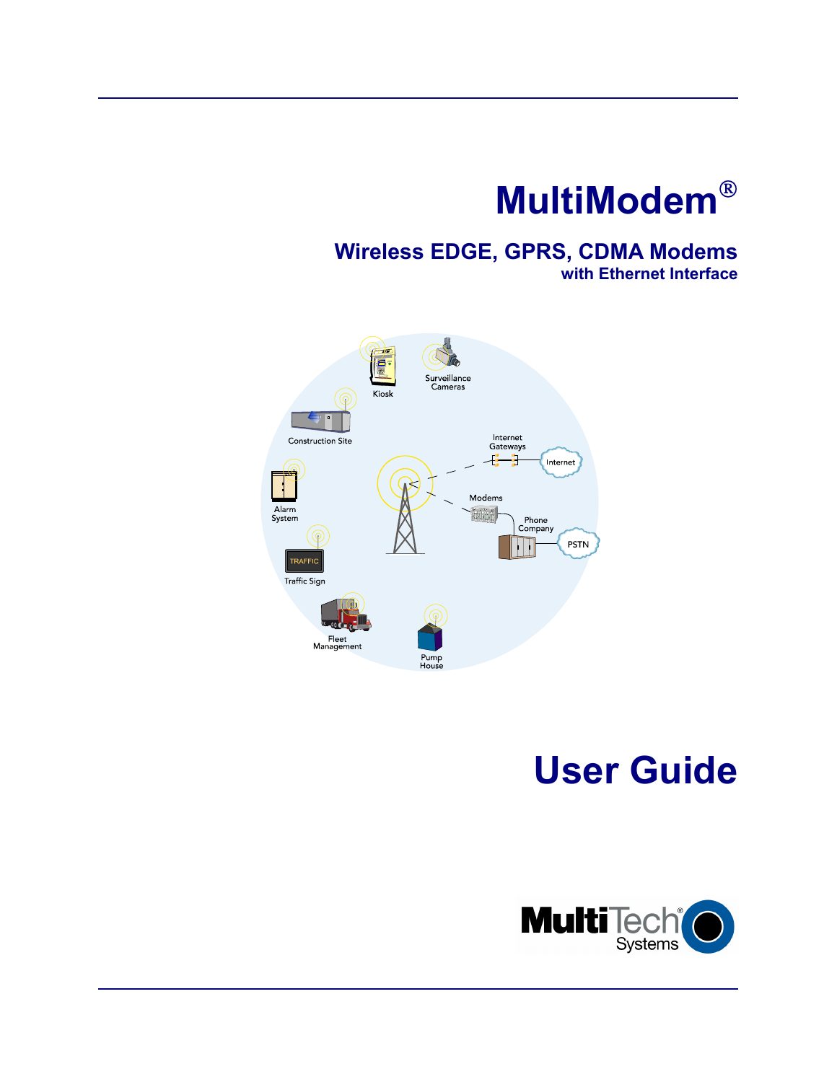# **MultiModem**

### **Wireless EDGE, GPRS, CDMA Modems with Ethernet Interface**



# **User Guide**

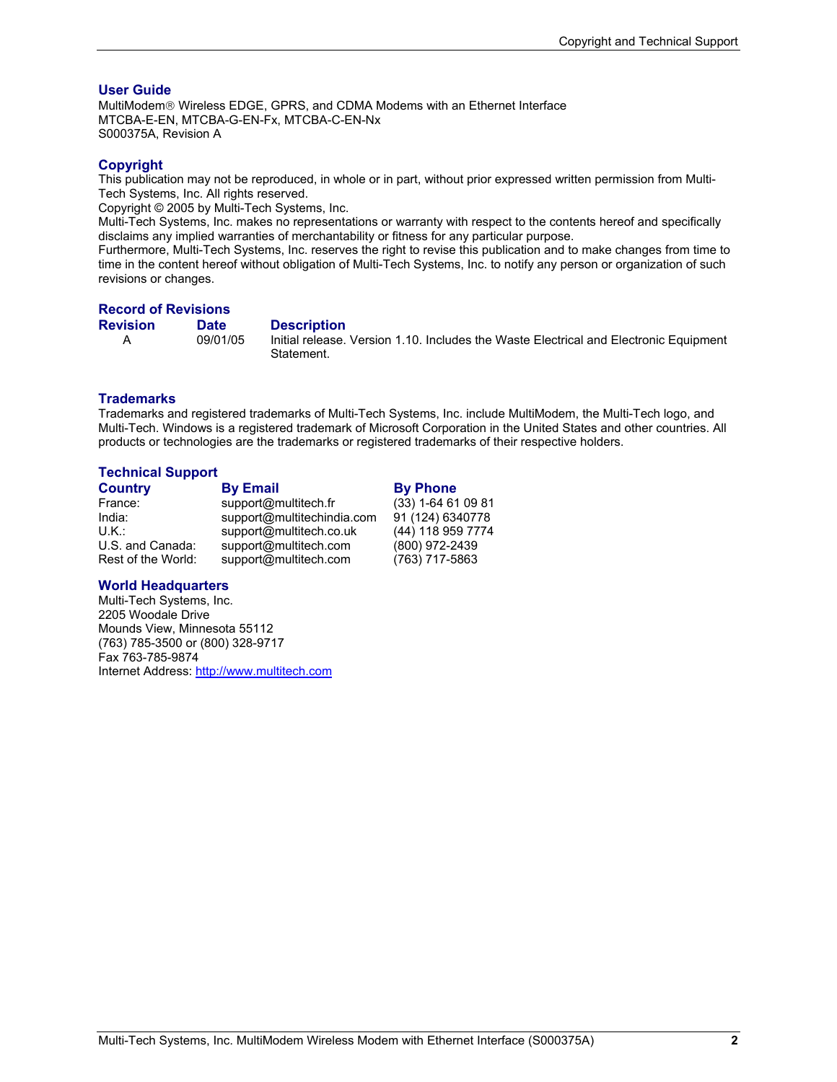#### **User Guide**

MultiModem<sup>®</sup> Wireless EDGE, GPRS, and CDMA Modems with an Ethernet Interface MTCBA-E-EN, MTCBA-G-EN-Fx, MTCBA-C-EN-Nx S000375A, Revision A

#### **Copyright**

This publication may not be reproduced, in whole or in part, without prior expressed written permission from Multi-Tech Systems, Inc. All rights reserved.

Copyright © 2005 by Multi-Tech Systems, Inc.

Multi-Tech Systems, Inc. makes no representations or warranty with respect to the contents hereof and specifically disclaims any implied warranties of merchantability or fitness for any particular purpose.

Furthermore, Multi-Tech Systems, Inc. reserves the right to revise this publication and to make changes from time to time in the content hereof without obligation of Multi-Tech Systems, Inc. to notify any person or organization of such revisions or changes.

#### **Record of Revisions**

**Revision Date Description**<br>A 09/01/05 Initial release.

 A 09/01/05 Initial release. Version 1.10. Includes the Waste Electrical and Electronic Equipment Statement.

#### **Trademarks**

Trademarks and registered trademarks of Multi-Tech Systems, Inc. include MultiModem, the Multi-Tech logo, and Multi-Tech. Windows is a registered trademark of Microsoft Corporation in the United States and other countries. All products or technologies are the trademarks or registered trademarks of their respective holders.

#### **Technical Support**

| <b>Country</b>     | <b>By Email</b>            | <b>By Phone</b>      |
|--------------------|----------------------------|----------------------|
| France:            | support@multitech.fr       | $(33)$ 1-64 61 09 81 |
| India:             | support@multitechindia.com | 91 (124) 6340778     |
| U.K.:              | support@multitech.co.uk    | (44) 118 959 7774    |
| U.S. and Canada:   | support@multitech.com      | (800) 972-2439       |
| Rest of the World: | support@multitech.com      | (763) 717-5863       |

#### **World Headquarters**

Multi-Tech Systems, Inc. 2205 Woodale Drive Mounds View, Minnesota 55112 (763) 785-3500 or (800) 328-9717 Fax 763-785-9874 Internet Address: http://www.multitech.com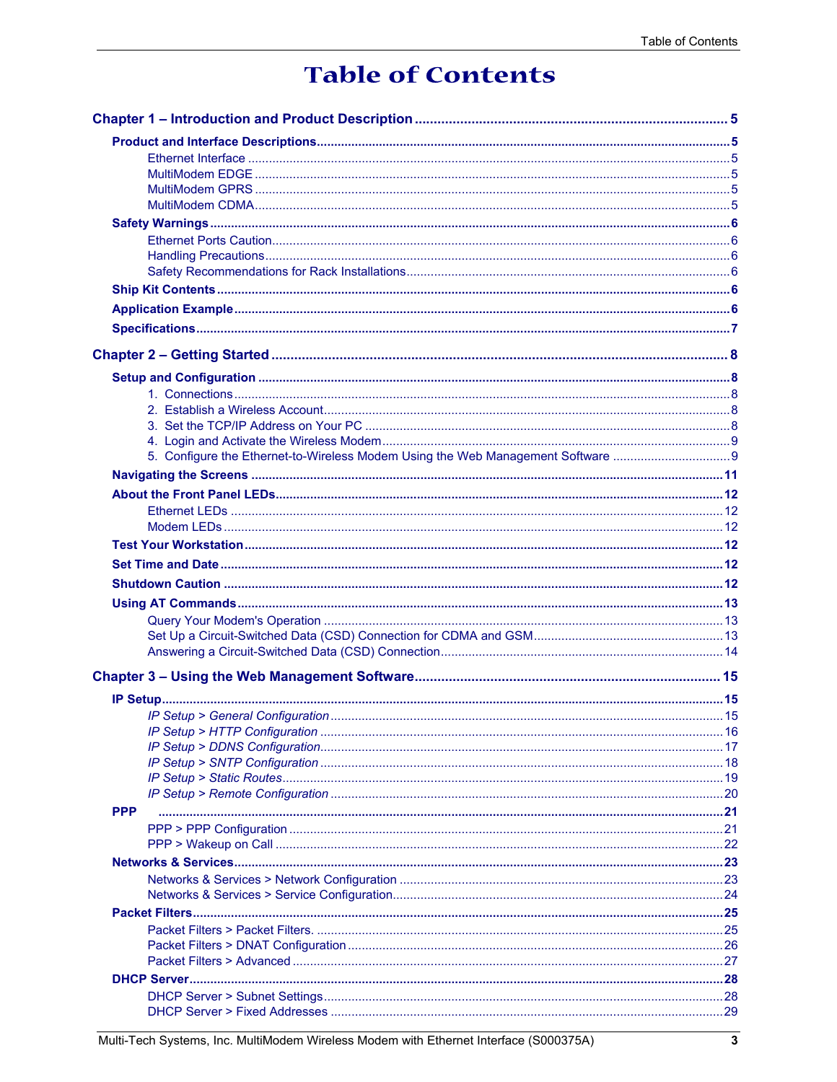## **Table of Contents**

| <b>PPP</b> |     |
|------------|-----|
|            |     |
|            |     |
|            |     |
|            |     |
|            |     |
|            |     |
|            |     |
|            |     |
|            |     |
|            |     |
|            |     |
|            | .29 |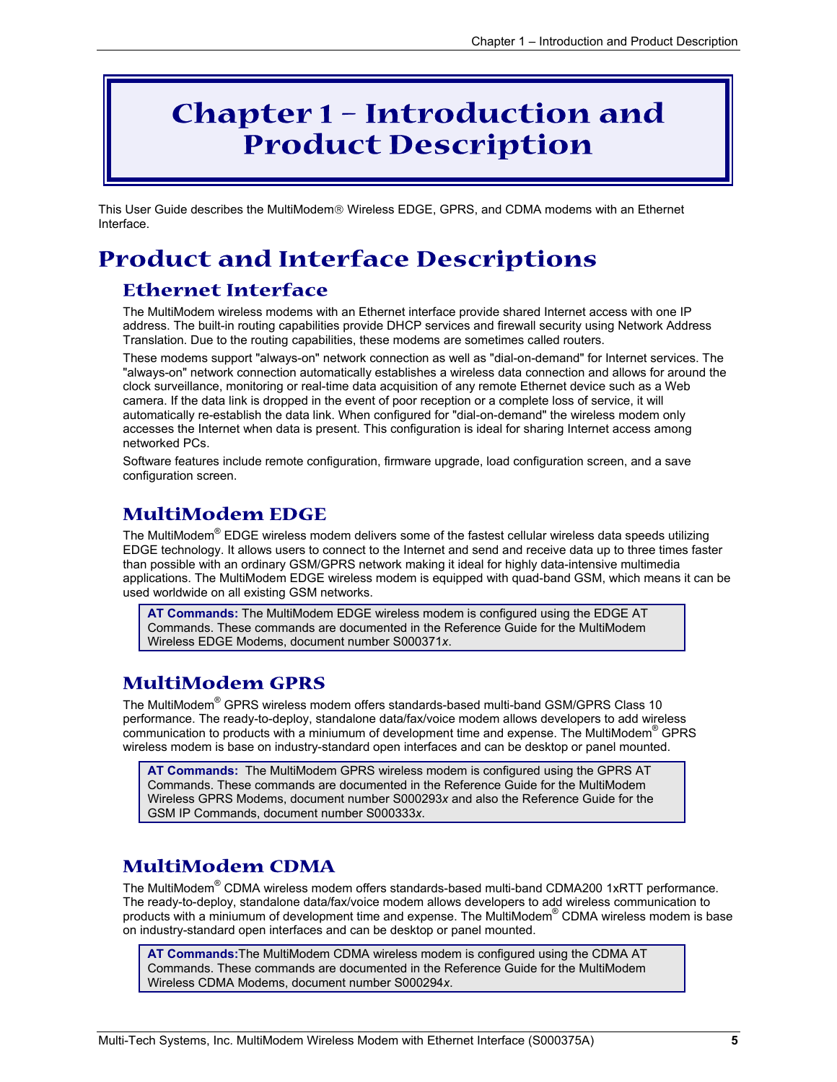## **Chapter 1 – Introduction and Product Description**

This User Guide describes the MultiModem® Wireless EDGE, GPRS, and CDMA modems with an Ethernet Interface.

## **Product and Interface Descriptions**

### **Ethernet Interface**

The MultiModem wireless modems with an Ethernet interface provide shared Internet access with one IP address. The built-in routing capabilities provide DHCP services and firewall security using Network Address Translation. Due to the routing capabilities, these modems are sometimes called routers.

These modems support "always-on" network connection as well as "dial-on-demand" for Internet services. The "always-on" network connection automatically establishes a wireless data connection and allows for around the clock surveillance, monitoring or real-time data acquisition of any remote Ethernet device such as a Web camera. If the data link is dropped in the event of poor reception or a complete loss of service, it will automatically re-establish the data link. When configured for "dial-on-demand" the wireless modem only accesses the Internet when data is present. This configuration is ideal for sharing Internet access among networked PCs.

Software features include remote configuration, firmware upgrade, load configuration screen, and a save configuration screen.

### **MultiModem EDGE**

The MultiModem® EDGE wireless modem delivers some of the fastest cellular wireless data speeds utilizing EDGE technology. It allows users to connect to the Internet and send and receive data up to three times faster than possible with an ordinary GSM/GPRS network making it ideal for highly data-intensive multimedia applications. The MultiModem EDGE wireless modem is equipped with quad-band GSM, which means it can be used worldwide on all existing GSM networks.

**AT Commands:** The MultiModem EDGE wireless modem is configured using the EDGE AT Commands. These commands are documented in the Reference Guide for the MultiModem Wireless EDGE Modems, document number S000371*x*.

### **MultiModem GPRS**

The MultiModem® GPRS wireless modem offers standards-based multi-band GSM/GPRS Class 10 performance. The ready-to-deploy, standalone data/fax/voice modem allows developers to add wireless communication to products with a miniumum of development time and expense. The MultiModem® GPRS wireless modem is base on industry-standard open interfaces and can be desktop or panel mounted.

**AT Commands:** The MultiModem GPRS wireless modem is configured using the GPRS AT Commands. These commands are documented in the Reference Guide for the MultiModem Wireless GPRS Modems, document number S000293*x* and also the Reference Guide for the GSM IP Commands, document number S000333*x*.

### **MultiModem CDMA**

The MultiModem<sup>®</sup> CDMA wireless modem offers standards-based multi-band CDMA200 1xRTT performance. The ready-to-deploy, standalone data/fax/voice modem allows developers to add wireless communication to products with a miniumum of development time and expense. The MultiModem® CDMA wireless modem is base on industry-standard open interfaces and can be desktop or panel mounted.

**AT Commands:**The MultiModem CDMA wireless modem is configured using the CDMA AT Commands. These commands are documented in the Reference Guide for the MultiModem Wireless CDMA Modems, document number S000294*x*.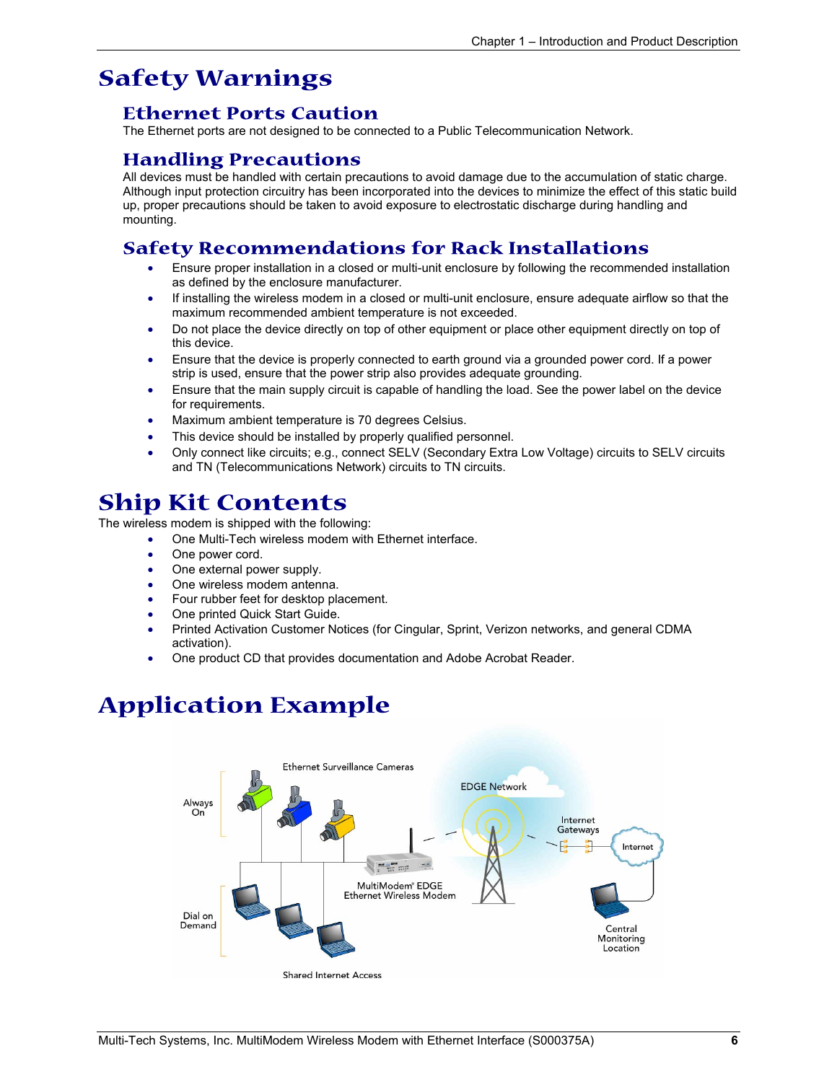### **Safety Warnings**

### **Ethernet Ports Caution**

The Ethernet ports are not designed to be connected to a Public Telecommunication Network.

### **Handling Precautions**

All devices must be handled with certain precautions to avoid damage due to the accumulation of static charge. Although input protection circuitry has been incorporated into the devices to minimize the effect of this static build up, proper precautions should be taken to avoid exposure to electrostatic discharge during handling and mounting.

### **Safety Recommendations for Rack Installations**

- Ensure proper installation in a closed or multi-unit enclosure by following the recommended installation as defined by the enclosure manufacturer.
- If installing the wireless modem in a closed or multi-unit enclosure, ensure adequate airflow so that the maximum recommended ambient temperature is not exceeded.
- Do not place the device directly on top of other equipment or place other equipment directly on top of this device.
- Ensure that the device is properly connected to earth ground via a grounded power cord. If a power strip is used, ensure that the power strip also provides adequate grounding.
- Ensure that the main supply circuit is capable of handling the load. See the power label on the device for requirements.
- Maximum ambient temperature is 70 degrees Celsius.
- This device should be installed by properly qualified personnel.
- Only connect like circuits; e.g., connect SELV (Secondary Extra Low Voltage) circuits to SELV circuits and TN (Telecommunications Network) circuits to TN circuits.

### **Ship Kit Contents**

The wireless modem is shipped with the following:

- One Multi-Tech wireless modem with Ethernet interface.
- One power cord.
- One external power supply.
- One wireless modem antenna.
- Four rubber feet for desktop placement.
- One printed Quick Start Guide.
- Printed Activation Customer Notices (for Cingular, Sprint, Verizon networks, and general CDMA activation).
- One product CD that provides documentation and Adobe Acrobat Reader.

## **Application Example**

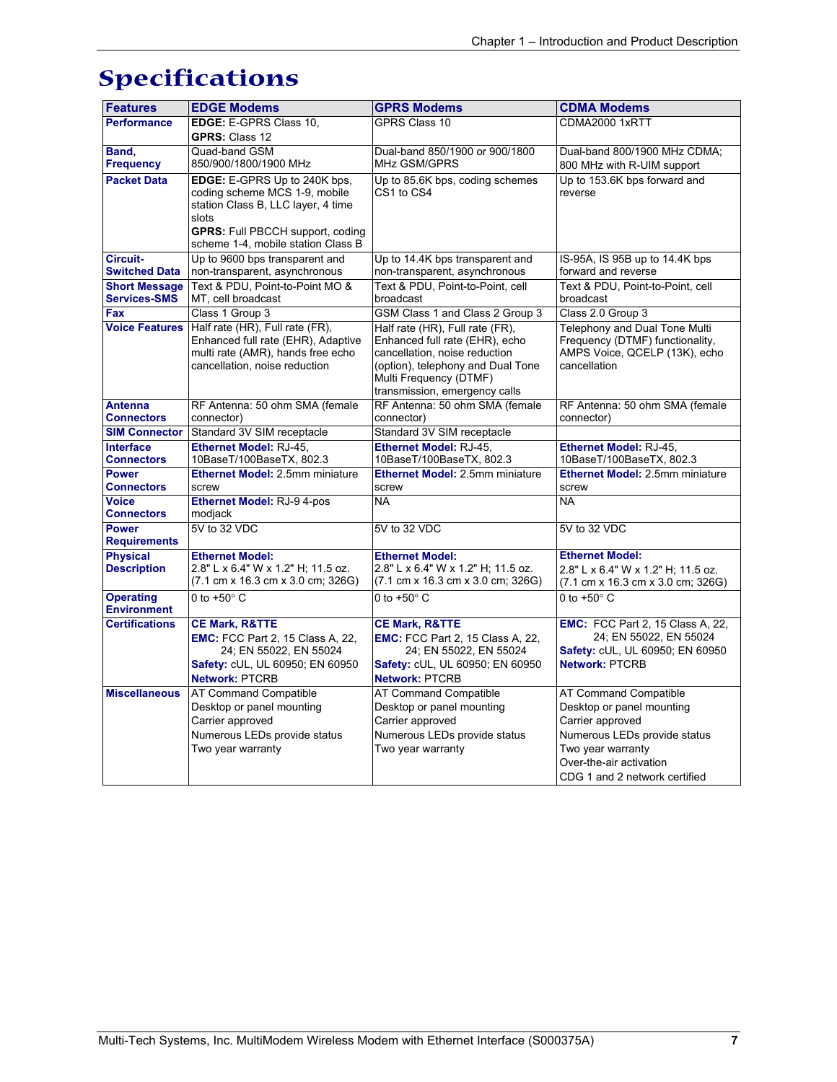## **Specifications**

| <b>Features</b>                        | <b>EDGE Modems</b>                                                            | <b>GPRS Modems</b>                                                             | <b>CDMA Modems</b>                                                             |
|----------------------------------------|-------------------------------------------------------------------------------|--------------------------------------------------------------------------------|--------------------------------------------------------------------------------|
| <b>Performance</b>                     | EDGE: E-GPRS Class 10,                                                        | <b>GPRS Class 10</b>                                                           | CDMA2000 1xRTT                                                                 |
|                                        | <b>GPRS: Class 12</b>                                                         |                                                                                |                                                                                |
| Band,<br><b>Frequency</b>              | Quad-band GSM<br>850/900/1800/1900 MHz                                        | Dual-band 850/1900 or 900/1800<br><b>MHz GSM/GPRS</b>                          | Dual-band 800/1900 MHz CDMA;                                                   |
| <b>Packet Data</b>                     | EDGE: E-GPRS Up to 240K bps.                                                  | Up to 85.6K bps, coding schemes                                                | 800 MHz with R-UIM support<br>Up to 153.6K bps forward and                     |
|                                        | coding scheme MCS 1-9, mobile                                                 | CS1 to CS4                                                                     | reverse                                                                        |
|                                        | station Class B, LLC layer, 4 time                                            |                                                                                |                                                                                |
|                                        | slots                                                                         |                                                                                |                                                                                |
|                                        | <b>GPRS:</b> Full PBCCH support, coding<br>scheme 1-4, mobile station Class B |                                                                                |                                                                                |
| Circuit-                               | Up to 9600 bps transparent and                                                | Up to 14.4K bps transparent and                                                | IS-95A, IS 95B up to 14.4K bps                                                 |
| <b>Switched Data</b>                   | non-transparent, asynchronous                                                 | non-transparent, asynchronous                                                  | forward and reverse                                                            |
| <b>Short Message</b>                   | Text & PDU. Point-to-Point MO &                                               | Text & PDU, Point-to-Point, cell                                               | Text & PDU, Point-to-Point, cell                                               |
| <b>Services-SMS</b><br>Fax             | MT, cell broadcast<br>Class 1 Group 3                                         | broadcast<br>GSM Class 1 and Class 2 Group 3                                   | broadcast<br>Class 2.0 Group 3                                                 |
| <b>Voice Features</b>                  | Half rate (HR), Full rate (FR),                                               | Half rate (HR), Full rate (FR),                                                | Telephony and Dual Tone Multi                                                  |
|                                        | Enhanced full rate (EHR), Adaptive                                            | Enhanced full rate (EHR), echo                                                 | Frequency (DTMF) functionality,                                                |
|                                        | multi rate (AMR), hands free echo                                             | cancellation, noise reduction                                                  | AMPS Voice, QCELP (13K), echo                                                  |
|                                        | cancellation, noise reduction                                                 | (option), telephony and Dual Tone                                              | cancellation                                                                   |
|                                        |                                                                               | Multi Frequency (DTMF)<br>transmission, emergency calls                        |                                                                                |
| <b>Antenna</b>                         | RF Antenna: 50 ohm SMA (female                                                | RF Antenna: 50 ohm SMA (female                                                 | RF Antenna: 50 ohm SMA (female                                                 |
| <b>Connectors</b>                      | connector)                                                                    | connector)                                                                     | connector)                                                                     |
| <b>SIM Connector</b>                   | Standard 3V SIM receptacle                                                    | Standard 3V SIM receptacle                                                     |                                                                                |
| <b>Interface</b>                       | Ethernet Model: RJ-45,                                                        | Ethernet Model: RJ-45.                                                         | Ethernet Model: RJ-45.                                                         |
| <b>Connectors</b><br><b>Power</b>      | 10BaseT/100BaseTX, 802.3<br>Ethernet Model: 2.5mm miniature                   | 10BaseT/100BaseTX, 802.3<br>Ethernet Model: 2.5mm miniature                    | 10BaseT/100BaseTX, 802.3<br><b>Ethernet Model: 2.5mm miniature</b>             |
| <b>Connectors</b>                      | screw                                                                         | screw                                                                          | screw                                                                          |
| <b>Voice</b>                           | Ethernet Model: RJ-9 4-pos                                                    | <b>NA</b>                                                                      | <b>NA</b>                                                                      |
| <b>Connectors</b>                      | modjack                                                                       |                                                                                |                                                                                |
| <b>Power</b>                           | 5V to 32 VDC                                                                  | 5V to 32 VDC                                                                   | 5V to 32 VDC                                                                   |
| <b>Requirements</b><br><b>Physical</b> | <b>Ethernet Model:</b>                                                        | <b>Ethernet Model:</b>                                                         | <b>Ethernet Model:</b>                                                         |
| <b>Description</b>                     | 2.8" L x 6.4" W x 1.2" H; 11.5 oz.                                            | 2.8" L x 6.4" W x 1.2" H; 11.5 oz.                                             | 2.8" L x 6.4" W x 1.2" H; 11.5 oz.                                             |
|                                        | (7.1 cm x 16.3 cm x 3.0 cm; 326G)                                             | $(7.1 \text{ cm} \times 16.3 \text{ cm} \times 3.0 \text{ cm}; 326 \text{ G})$ | $(7.1 \text{ cm} \times 16.3 \text{ cm} \times 3.0 \text{ cm}; 326 \text{ G})$ |
| <b>Operating</b>                       | 0 to $+50^\circ$ C                                                            | 0 to $+50^\circ$ C                                                             | 0 to $+50^\circ$ C                                                             |
| <b>Environment</b>                     |                                                                               |                                                                                |                                                                                |
| <b>Certifications</b>                  | <b>CE Mark, R&amp;TTE</b><br><b>EMC:</b> FCC Part 2, 15 Class A, 22,          | <b>CE Mark, R&amp;TTE</b><br><b>EMC:</b> FCC Part 2, 15 Class A, 22,           | <b>EMC:</b> FCC Part 2, 15 Class A, 22,<br>24; EN 55022, EN 55024              |
|                                        | 24; EN 55022, EN 55024                                                        | 24; EN 55022, EN 55024                                                         | Safety: cUL, UL 60950; EN 60950                                                |
|                                        | Safety: cUL, UL 60950; EN 60950                                               | Safety: cUL, UL 60950; EN 60950                                                | Network: PTCRB                                                                 |
|                                        | Network: PTCRB                                                                | <b>Network: PTCRB</b>                                                          |                                                                                |
| <b>Miscellaneous</b>                   | <b>AT Command Compatible</b>                                                  | <b>AT Command Compatible</b>                                                   | AT Command Compatible                                                          |
|                                        | Desktop or panel mounting                                                     | Desktop or panel mounting                                                      | Desktop or panel mounting                                                      |
|                                        | Carrier approved                                                              | Carrier approved                                                               | Carrier approved                                                               |
|                                        | Numerous LEDs provide status                                                  | Numerous LEDs provide status                                                   | Numerous LEDs provide status                                                   |
|                                        | Two year warranty                                                             | Two year warranty                                                              | Two year warranty<br>Over-the-air activation                                   |
|                                        |                                                                               |                                                                                | CDG 1 and 2 network certified                                                  |
|                                        |                                                                               |                                                                                |                                                                                |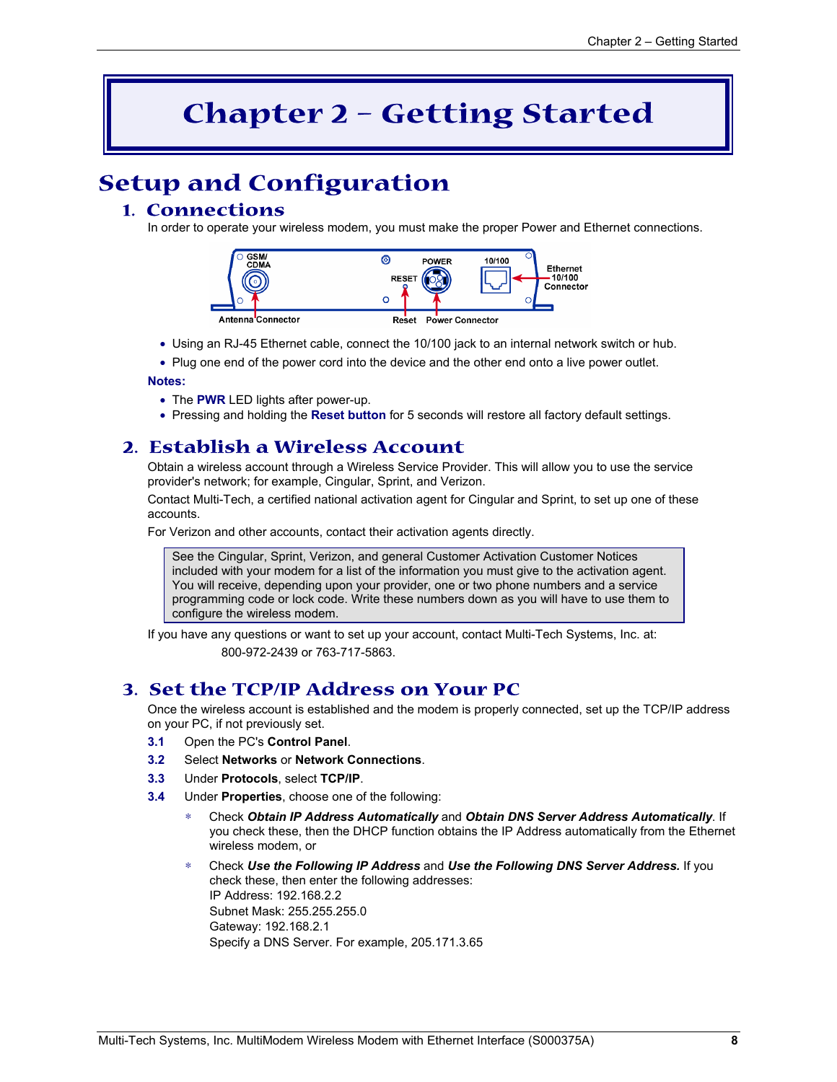## **Chapter 2 – Getting Started**

## **Setup and Configuration**

### **1. Connections**

In order to operate your wireless modem, you must make the proper Power and Ethernet connections.



- Using an RJ-45 Ethernet cable, connect the 10/100 jack to an internal network switch or hub.
- Plug one end of the power cord into the device and the other end onto a live power outlet.

#### **Notes:**

- The **PWR** LED lights after power-up.
- Pressing and holding the **Reset button** for 5 seconds will restore all factory default settings.

### **2. Establish a Wireless Account**

Obtain a wireless account through a Wireless Service Provider. This will allow you to use the service provider's network; for example, Cingular, Sprint, and Verizon.

Contact Multi-Tech, a certified national activation agent for Cingular and Sprint, to set up one of these accounts.

For Verizon and other accounts, contact their activation agents directly.

See the Cingular, Sprint, Verizon, and general Customer Activation Customer Notices included with your modem for a list of the information you must give to the activation agent. You will receive, depending upon your provider, one or two phone numbers and a service programming code or lock code. Write these numbers down as you will have to use them to configure the wireless modem.

If you have any questions or want to set up your account, contact Multi-Tech Systems, Inc. at: 800-972-2439 or 763-717-5863.

### **3. Set the TCP/IP Address on Your PC**

Once the wireless account is established and the modem is properly connected, set up the TCP/IP address on your PC, if not previously set.

- **3.1** Open the PC's **Control Panel**.
- **3.2** Select **Networks** or **Network Connections**.
- **3.3** Under **Protocols**, select **TCP/IP**.
- **3.4** Under **Properties**, choose one of the following:
	- ∗ Check *Obtain IP Address Automatically* and *Obtain DNS Server Address Automatically*. If you check these, then the DHCP function obtains the IP Address automatically from the Ethernet wireless modem, or
	- ∗ Check *Use the Following IP Address* and *Use the Following DNS Server Address.* If you check these, then enter the following addresses: IP Address: 192.168.2.2 Subnet Mask: 255.255.255.0 Gateway: 192.168.2.1 Specify a DNS Server. For example, 205.171.3.65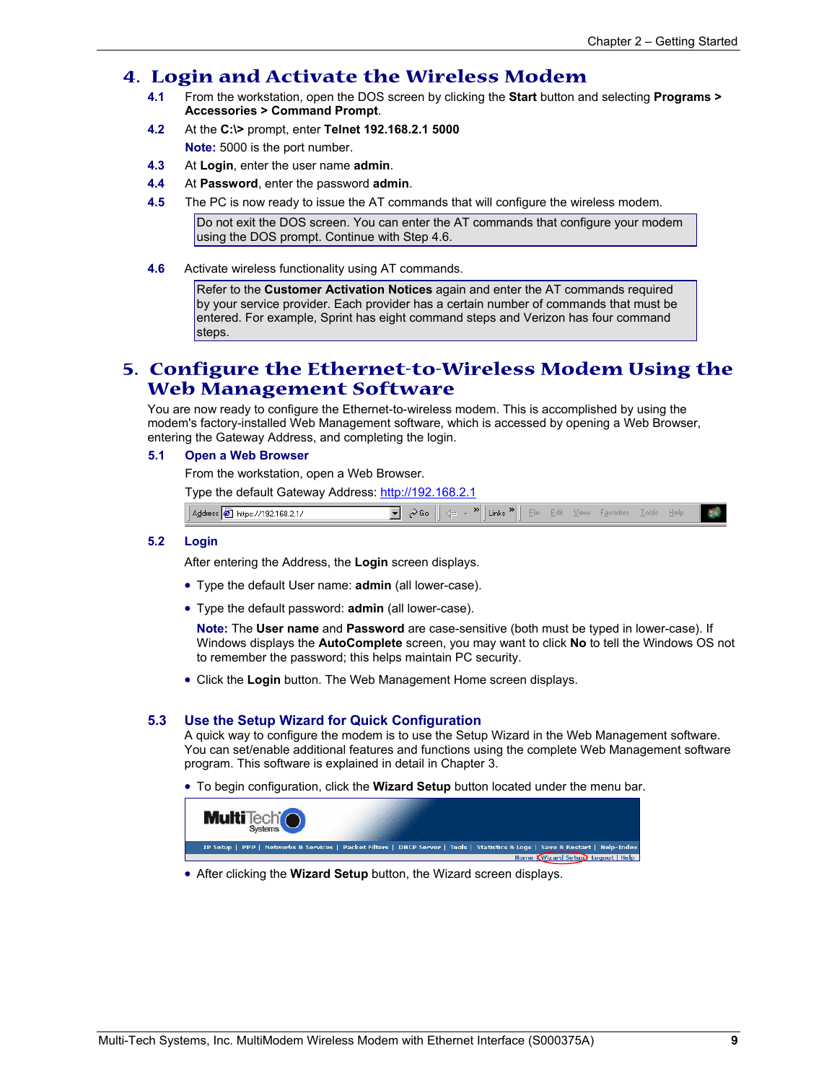### **4. Login and Activate the Wireless Modem**

- **4.1** From the workstation, open the DOS screen by clicking the **Start** button and selecting **Programs > Accessories > Command Prompt**.
- **4.2** At the **C:\>** prompt, enter **Telnet 192.168.2.1 5000 Note:** 5000 is the port number.
- **4.3** At **Login**, enter the user name **admin**.
- **4.4** At **Password**, enter the password **admin**.
- **4.5** The PC is now ready to issue the AT commands that will configure the wireless modem.

Do not exit the DOS screen. You can enter the AT commands that configure your modem using the DOS prompt. Continue with Step 4.6.

**4.6** Activate wireless functionality using AT commands.

Refer to the **Customer Activation Notices** again and enter the AT commands required by your service provider. Each provider has a certain number of commands that must be entered. For example, Sprint has eight command steps and Verizon has four command steps.

### **5. Configure the Ethernet-to-Wireless Modem Using the Web Management Software**

You are now ready to configure the Ethernet-to-wireless modem. This is accomplished by using the modem's factory-installed Web Management software, which is accessed by opening a Web Browser, entering the Gateway Address, and completing the login.

#### **5.1 Open a Web Browser**

From the workstation, open a Web Browser.

Type the default Gateway Address: http://192.168.2.1

| $168.2*$<br>Ade<br>httn<br>'192<br>. .<br>− | . .<br>Links<br>ΊΙΕ<br>$\sim$ | $-$<br>$\sim$ | - | $-$ |  |
|---------------------------------------------|-------------------------------|---------------|---|-----|--|
|                                             |                               |               |   |     |  |

#### **5.2 Login**

After entering the Address, the **Login** screen displays.

- Type the default User name: **admin** (all lower-case).
- Type the default password: **admin** (all lower-case).

**Note:** The **User name** and **Password** are case-sensitive (both must be typed in lower-case). If Windows displays the **AutoComplete** screen, you may want to click **No** to tell the Windows OS not to remember the password; this helps maintain PC security.

• Click the **Login** button. The Web Management Home screen displays.

#### **5.3 Use the Setup Wizard for Quick Configuration**

A quick way to configure the modem is to use the Setup Wizard in the Web Management software. You can set/enable additional features and functions using the complete Web Management software program. This software is explained in detail in Chapter 3.

• To begin configuration, click the **Wizard Setup** button located under the menu bar.



• After clicking the **Wizard Setup** button, the Wizard screen displays.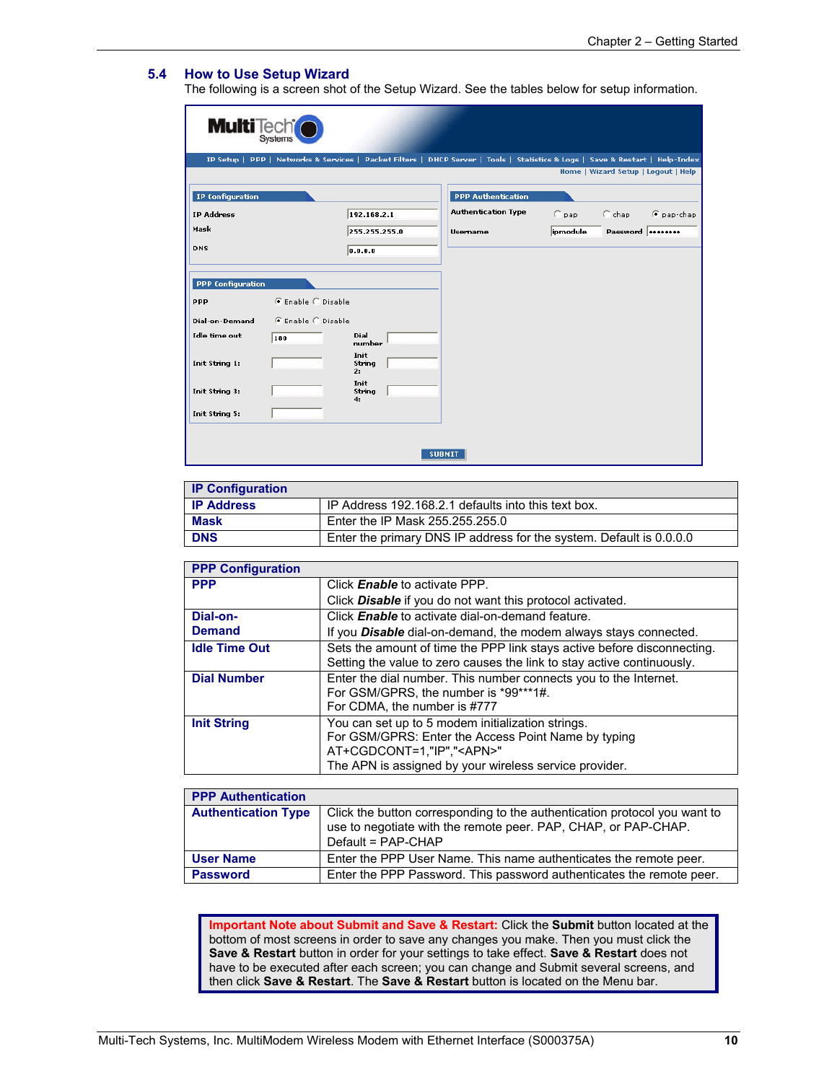#### **5.4 How to Use Setup Wizard**

The following is a screen shot of the Setup Wizard. See the tables below for setup information.

| <b>Multi</b> Tech <sup>t</sup> |                    |                      |                            |          |                                                                                                                               |
|--------------------------------|--------------------|----------------------|----------------------------|----------|-------------------------------------------------------------------------------------------------------------------------------|
|                                |                    |                      |                            |          | IP Setup   PPP   Networks & Services   Packet Filters   DHCP Server   Tools   Statistics & Logs   Save & Restart   Help-Index |
|                                |                    |                      |                            |          | Home   Wizard Setup   Logout   Help                                                                                           |
| <b>IP Configuration</b>        |                    |                      | <b>PPP Authentication</b>  |          |                                                                                                                               |
| <b>IP Address</b>              |                    | 192.168.2.1          | <b>Authentication Type</b> | $C$ pap  | $C$ chap<br>C pap-chap                                                                                                        |
| Mask                           |                    | 255.255.255.0        | <b>Usemame</b>             | ipmodule | Password  ********                                                                                                            |
| DNS                            |                    | 0.0.0.0              |                            |          |                                                                                                                               |
|                                |                    |                      |                            |          |                                                                                                                               |
| <b>PPP Configuration</b>       |                    |                      |                            |          |                                                                                                                               |
| PPP                            | € Enable C Disable |                      |                            |          |                                                                                                                               |
| Dial-on-Demand                 | C Enable C Disable |                      |                            |          |                                                                                                                               |
| <b>Idle time out</b>           | 180                | Dial<br>number       |                            |          |                                                                                                                               |
| Init String 1:                 |                    | Init<br>String<br>2: |                            |          |                                                                                                                               |
| Init String 3:                 |                    | Init<br>String<br>4: |                            |          |                                                                                                                               |
| Init String 5:                 |                    |                      |                            |          |                                                                                                                               |
|                                |                    |                      |                            |          |                                                                                                                               |
|                                |                    |                      | <b>SUBMIT</b>              |          |                                                                                                                               |

| <b>IP Configuration</b> |                                                                     |
|-------------------------|---------------------------------------------------------------------|
| <b>IP Address</b>       | IP Address 192.168.2.1 defaults into this text box.                 |
| <b>Mask</b>             | Enter the IP Mask 255.255.255.0                                     |
| <b>DNS</b>              | Enter the primary DNS IP address for the system. Default is 0.0.0.0 |

| <b>PPP Configuration</b> |                                                                                                                                                                                                         |
|--------------------------|---------------------------------------------------------------------------------------------------------------------------------------------------------------------------------------------------------|
| <b>PPP</b>               | Click <b>Enable</b> to activate PPP.                                                                                                                                                                    |
|                          | Click <b>Disable</b> if you do not want this protocol activated.                                                                                                                                        |
| Dial-on-                 | Click <b>Enable</b> to activate dial-on-demand feature.                                                                                                                                                 |
| <b>Demand</b>            | If you <b>Disable</b> dial-on-demand, the modem always stays connected.                                                                                                                                 |
| <b>Idle Time Out</b>     | Sets the amount of time the PPP link stays active before disconnecting.<br>Setting the value to zero causes the link to stay active continuously.                                                       |
| <b>Dial Number</b>       | Enter the dial number. This number connects you to the Internet.<br>For GSM/GPRS, the number is *99***1#.<br>For CDMA, the number is #777                                                               |
| <b>Init String</b>       | You can set up to 5 modem initialization strings.<br>For GSM/GPRS: Enter the Access Point Name by typing<br>AT+CGDCONT=1,"IP"," <apn>"<br/>The APN is assigned by your wireless service provider.</apn> |

| <b>PPP Authentication</b>  |                                                                                                                                                                   |
|----------------------------|-------------------------------------------------------------------------------------------------------------------------------------------------------------------|
| <b>Authentication Type</b> | Click the button corresponding to the authentication protocol you want to<br>use to negotiate with the remote peer. PAP, CHAP, or PAP-CHAP.<br>Default = PAP-CHAP |
| <b>User Name</b>           | Enter the PPP User Name. This name authenticates the remote peer.                                                                                                 |
| <b>Password</b>            | Enter the PPP Password. This password authenticates the remote peer.                                                                                              |

**Important Note about Submit and Save & Restart:** Click the **Submit** button located at the bottom of most screens in order to save any changes you make. Then you must click the **Save & Restart** button in order for your settings to take effect. **Save & Restart** does not have to be executed after each screen; you can change and Submit several screens, and then click **Save & Restart**. The **Save & Restart** button is located on the Menu bar.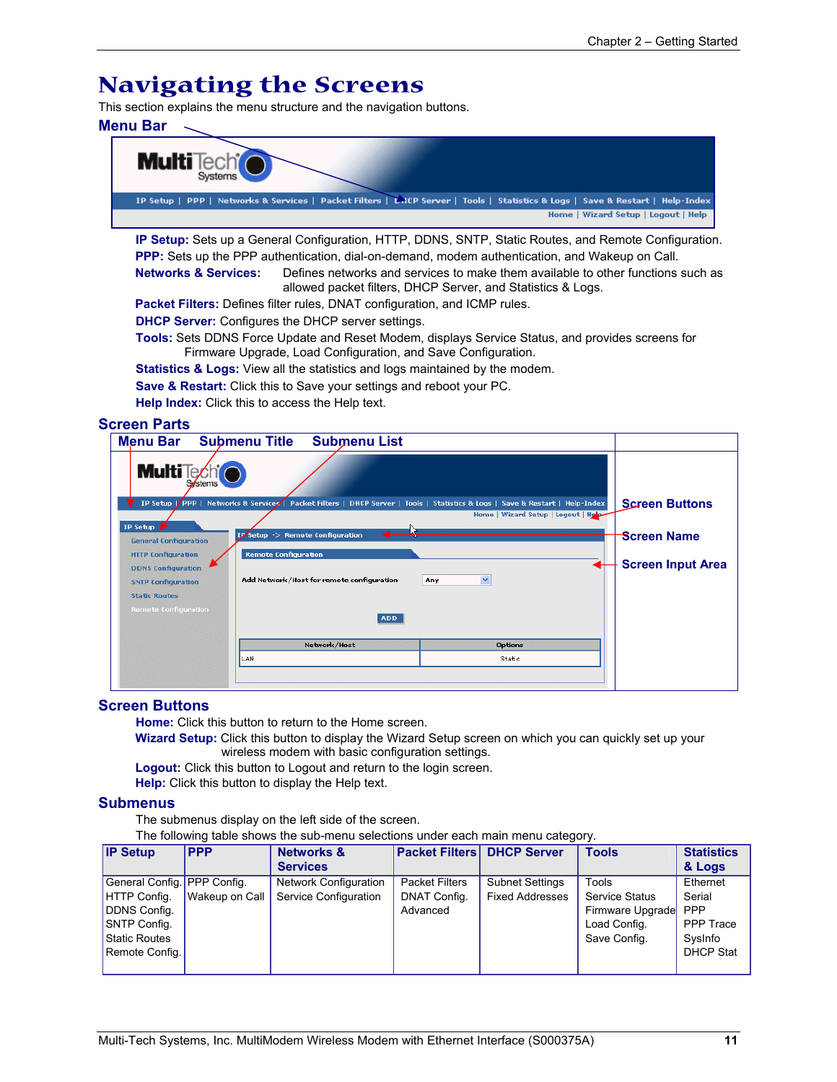### **Navigating the Screens**

This section explains the menu structure and the navigation buttons.

#### **Menu Bar**



**IP Setup:** Sets up a General Configuration, HTTP, DDNS, SNTP, Static Routes, and Remote Configuration. **PPP:** Sets up the PPP authentication, dial-on-demand, modem authentication, and Wakeup on Call. **Networks & Services:** Defines networks and services to make them available to other functions such as

allowed packet filters, DHCP Server, and Statistics & Logs.

**Packet Filters:** Defines filter rules, DNAT configuration, and ICMP rules.

**DHCP Server:** Configures the DHCP server settings.

**Tools:** Sets DDNS Force Update and Reset Modem, displays Service Status, and provides screens for Firmware Upgrade, Load Configuration, and Save Configuration.

**Statistics & Logs:** View all the statistics and logs maintained by the modem.

**Save & Restart:** Click this to Save your settings and reboot your PC.

**Help Index:** Click this to access the Help text.

#### **Screen Parts**

| Menu Bar Submenu Title       |                                  | <b>Submenu List</b>                       |                                                                                                                               |                          |
|------------------------------|----------------------------------|-------------------------------------------|-------------------------------------------------------------------------------------------------------------------------------|--------------------------|
| <b>MultiTechio</b>           |                                  |                                           |                                                                                                                               |                          |
|                              |                                  |                                           | IP Setup   PPP   Networks & Services   Packet Filters   DHCP Server   Tools   Statistics & Logs   Save & Restart   Help-Index | <b>Screen Buttons</b>    |
| IP Setup $\geq$              | IP Setup -> Remote Configuration |                                           | Home   Wizard Setup   Logout   Help                                                                                           | <b>Screen Name</b>       |
| <b>General Configuration</b> |                                  |                                           |                                                                                                                               |                          |
| <b>HTTP Configuration</b>    | <b>Remote Configuration</b>      |                                           |                                                                                                                               |                          |
| <b>DDNS Configuration</b>    |                                  |                                           |                                                                                                                               | <b>Screen Input Area</b> |
| <b>SNTP Configuration</b>    |                                  | Add Network/Host for remote configuration | $\checkmark$<br>Any                                                                                                           |                          |
| <b>Static Routes</b>         |                                  |                                           |                                                                                                                               |                          |
| <b>Remote Configuration</b>  |                                  | ADD.                                      |                                                                                                                               |                          |
|                              |                                  | Network/Host                              | <b>Options</b>                                                                                                                |                          |
|                              | LAN                              |                                           | Static                                                                                                                        |                          |
|                              |                                  |                                           |                                                                                                                               |                          |

#### **Screen Buttons**

**Home:** Click this button to return to the Home screen.

**Wizard Setup:** Click this button to display the Wizard Setup screen on which you can quickly set up your wireless modem with basic configuration settings.

**Logout:** Click this button to Logout and return to the login screen.

**Help:** Click this button to display the Help text.

#### **Submenus**

The submenus display on the left side of the screen.

The following table shows the sub-menu selections under each main menu category.

| <b>IP Setup</b>             | <b>PPP</b>     | <b>Networks &amp;</b><br><b>Services</b> |                       | <b>Packet Filters DHCP Server</b> | <b>Tools</b>          | <b>Statistics</b><br>& Logs |
|-----------------------------|----------------|------------------------------------------|-----------------------|-----------------------------------|-----------------------|-----------------------------|
|                             |                |                                          |                       |                                   |                       |                             |
| General Config. PPP Config. |                | <b>Network Configuration</b>             | <b>Packet Filters</b> | <b>Subnet Settings</b>            | Tools                 | Ethernet                    |
| HTTP Config.                | Wakeup on Call | Service Configuration                    | DNAT Config.          | <b>Fixed Addresses</b>            | <b>Service Status</b> | Serial                      |
| DDNS Config.                |                |                                          | Advanced              |                                   | Firmware Upgrade      | PPP                         |
| SNTP Config.                |                |                                          |                       |                                   | Load Config.          | PPP Trace                   |
| <b>Static Routes</b>        |                |                                          |                       |                                   | Save Config.          | SysInfo                     |
| Remote Config.              |                |                                          |                       |                                   |                       | <b>DHCP Stat</b>            |
|                             |                |                                          |                       |                                   |                       |                             |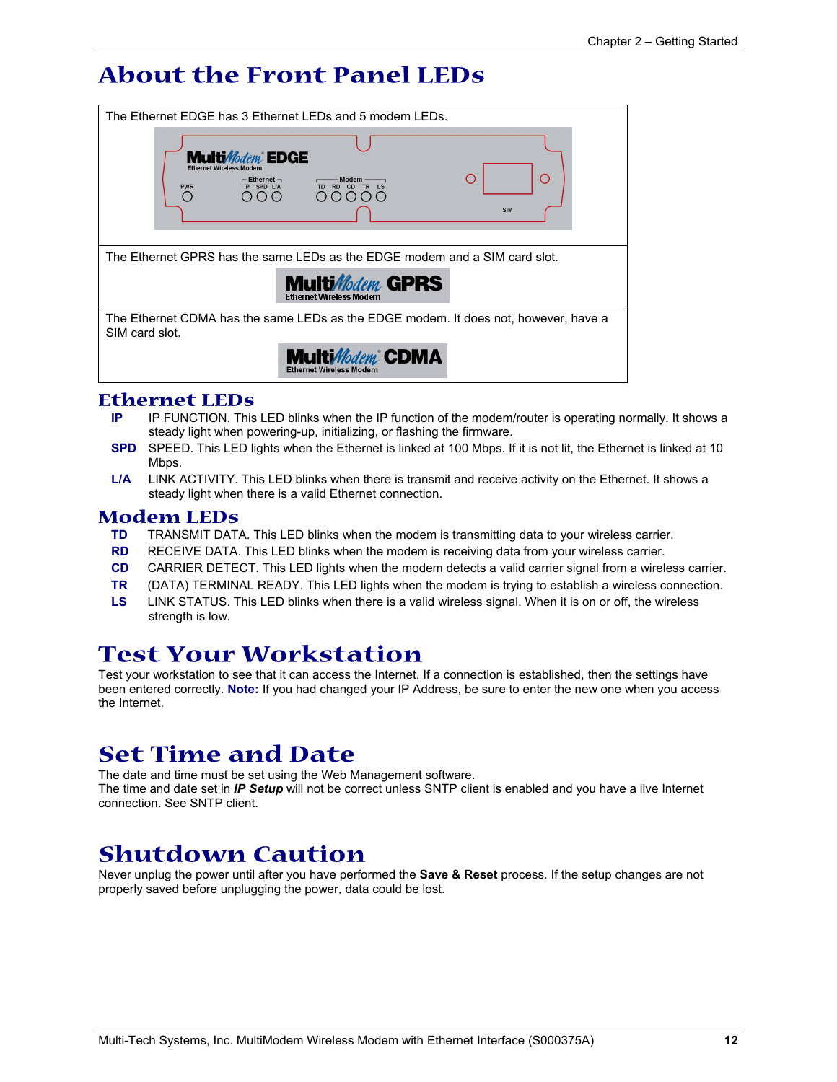## **About the Front Panel LEDs**

|                                                                                                                                                                        | The Ethernet EDGE has 3 Ethernet LEDs and 5 modem LEDs.                             |  |  |  |
|------------------------------------------------------------------------------------------------------------------------------------------------------------------------|-------------------------------------------------------------------------------------|--|--|--|
| <b>Multi</b> <i>Modeni</i> EDGE<br><b>Ethernet Wireless Modem</b><br>Ο<br>$-$ Ethernet $-$<br>IP SPD L/A<br>CD<br>TR<br><b>PWR</b><br>O(O)<br>$\bigcirc$<br><b>SIM</b> |                                                                                     |  |  |  |
|                                                                                                                                                                        | The Ethernet GPRS has the same LEDs as the EDGE modem and a SIM card slot.          |  |  |  |
|                                                                                                                                                                        | <b>Multi/lodem GPRS</b><br><b>Fthernet Wireless Modem</b>                           |  |  |  |
| SIM card slot.                                                                                                                                                         | The Ethernet CDMA has the same LEDs as the EDGE modem. It does not, however, have a |  |  |  |
|                                                                                                                                                                        | <b>Multi</b> Modem <sup>®</sup> CDMA<br><b>Ethernet Wireless Modem</b>              |  |  |  |

## **Ethernet LEDs**

- **IP** IP FUNCTION. This LED blinks when the IP function of the modem/router is operating normally. It shows a steady light when powering-up, initializing, or flashing the firmware.
- **SPD** SPEED. This LED lights when the Ethernet is linked at 100 Mbps. If it is not lit, the Ethernet is linked at 10 Mbps.
- **L/A** LINK ACTIVITY. This LED blinks when there is transmit and receive activity on the Ethernet. It shows a steady light when there is a valid Ethernet connection.

### **Modem LEDs**

- **TD** TRANSMIT DATA. This LED blinks when the modem is transmitting data to your wireless carrier.
- **RD** RECEIVE DATA. This LED blinks when the modem is receiving data from your wireless carrier.
- **CD** CARRIER DETECT. This LED lights when the modem detects a valid carrier signal from a wireless carrier.
- **TR** (DATA) TERMINAL READY. This LED lights when the modem is trying to establish a wireless connection.
- **LS** LINK STATUS. This LED blinks when there is a valid wireless signal. When it is on or off, the wireless strength is low.

### **Test Your Workstation**

Test your workstation to see that it can access the Internet. If a connection is established, then the settings have been entered correctly. **Note:** If you had changed your IP Address, be sure to enter the new one when you access the Internet.

## **Set Time and Date**

The date and time must be set using the Web Management software. The time and date set in *IP Setup* will not be correct unless SNTP client is enabled and you have a live Internet connection. See SNTP client.

## **Shutdown Caution**

Never unplug the power until after you have performed the **Save & Reset** process. If the setup changes are not properly saved before unplugging the power, data could be lost.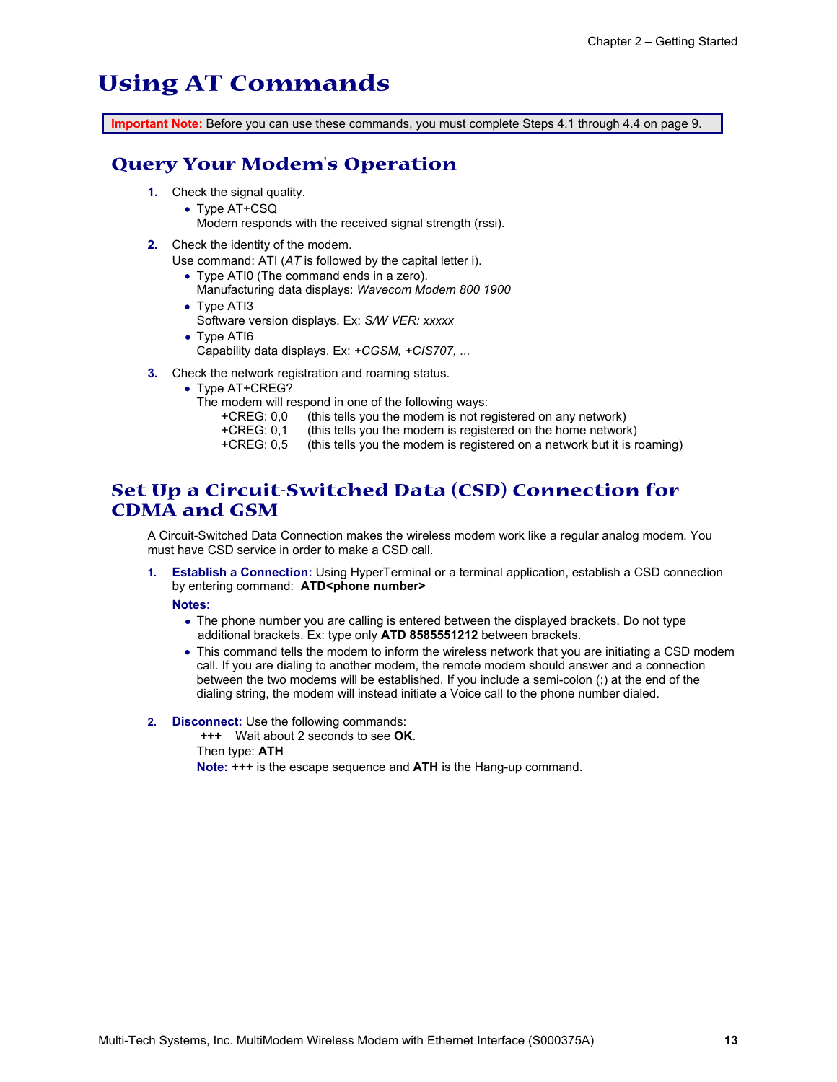## **Using AT Commands**

**Important Note:** Before you can use these commands, you must complete Steps 4.1 through 4.4 on page 9.

### **Query Your Modem's Operation**

- **1.** Check the signal quality.
	- Type AT+CSQ
	- Modem responds with the received signal strength (rssi).
- **2.** Check the identity of the modem.

Use command: ATI (*AT* is followed by the capital letter i).

- Type ATI0 (The command ends in a zero).
	- Manufacturing data displays: *Wavecom Modem 800 1900*
- Type ATI3 Software version displays. Ex: *S/W VER: xxxxx*
- Type ATI6 Capability data displays. Ex: *+CGSM, +CIS707, ...*
- **3.** Check the network registration and roaming status.
	- Type AT+CREG?
		- The modem will respond in one of the following ways:<br>+CREG: 0,0 (this tells you the modem is not re
			- $(t)$  (this tells you the modem is not registered on any network)
			- +CREG: 0,1 (this tells you the modem is registered on the home network)
			- +CREG: 0,5 (this tells you the modem is registered on a network but it is roaming)

### **Set Up a Circuit-Switched Data (CSD) Connection for CDMA and GSM**

A Circuit-Switched Data Connection makes the wireless modem work like a regular analog modem. You must have CSD service in order to make a CSD call.

**1. Establish a Connection:** Using HyperTerminal or a terminal application, establish a CSD connection by entering command: ATD<phone number>

**Notes:** 

- The phone number you are calling is entered between the displayed brackets. Do not type additional brackets. Ex: type only **ATD 8585551212** between brackets.
- This command tells the modem to inform the wireless network that you are initiating a CSD modem call. If you are dialing to another modem, the remote modem should answer and a connection between the two modems will be established. If you include a semi-colon (;) at the end of the dialing string, the modem will instead initiate a Voice call to the phone number dialed.
- **2. Disconnect:** Use the following commands:

**+++** Wait about 2 seconds to see **OK**. Then type: **ATH Note: +++** is the escape sequence and **ATH** is the Hang-up command.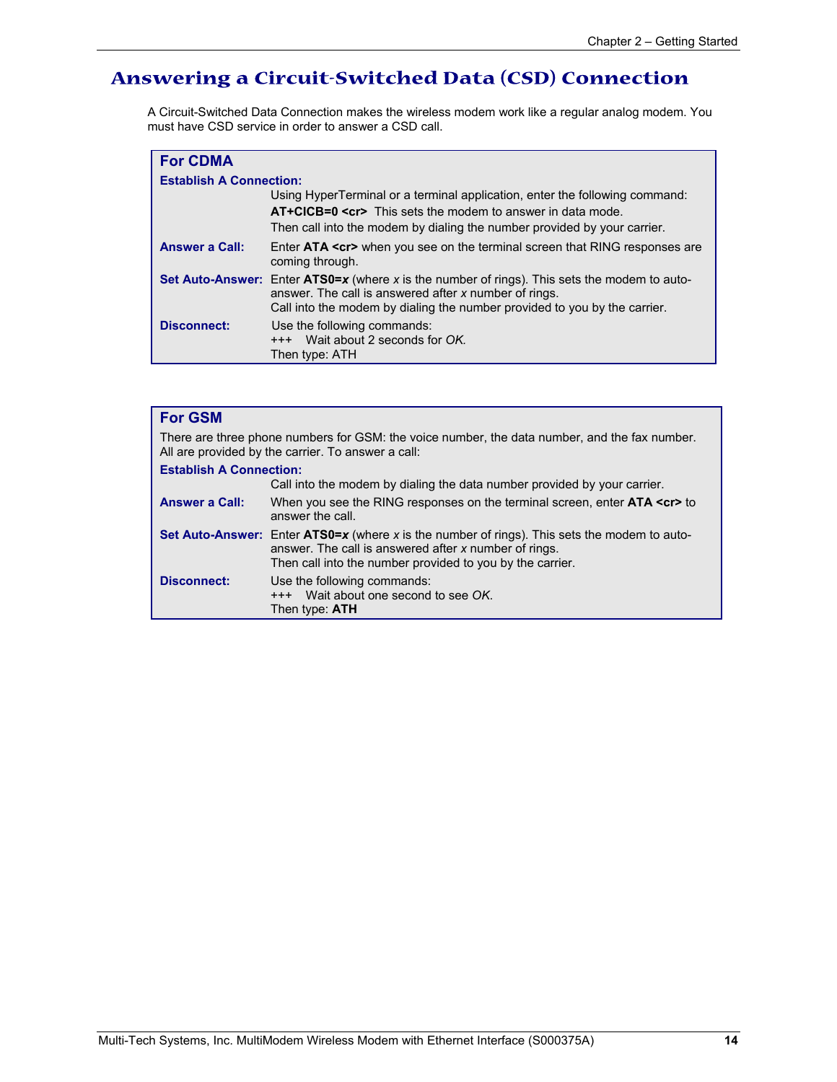### **Answering a Circuit-Switched Data (CSD) Connection**

A Circuit-Switched Data Connection makes the wireless modem work like a regular analog modem. You must have CSD service in order to answer a CSD call.

| <b>For CDMA</b>                |                                                                                                                                                                                                                                           |
|--------------------------------|-------------------------------------------------------------------------------------------------------------------------------------------------------------------------------------------------------------------------------------------|
| <b>Establish A Connection:</b> |                                                                                                                                                                                                                                           |
|                                | Using HyperTerminal or a terminal application, enter the following command:<br>AT+CICB=0 <cr> This sets the modem to answer in data mode.<br/>Then call into the modem by dialing the number provided by your carrier.</cr>               |
| <b>Answer a Call:</b>          | Enter ATA <cr> when you see on the terminal screen that RING responses are<br/>coming through.</cr>                                                                                                                                       |
|                                | <b>Set Auto-Answer:</b> Enter ATS0=x (where x is the number of rings). This sets the modem to auto-<br>answer. The call is answered after x number of rings.<br>Call into the modem by dialing the number provided to you by the carrier. |
| <b>Disconnect:</b>             | Use the following commands:<br>+++ Wait about 2 seconds for OK.<br>Then type: ATH                                                                                                                                                         |

| <b>For GSM</b>                                                                                                                                      |                                                                                                                                                                                                                           |  |  |
|-----------------------------------------------------------------------------------------------------------------------------------------------------|---------------------------------------------------------------------------------------------------------------------------------------------------------------------------------------------------------------------------|--|--|
| There are three phone numbers for GSM: the voice number, the data number, and the fax number.<br>All are provided by the carrier. To answer a call: |                                                                                                                                                                                                                           |  |  |
| <b>Establish A Connection:</b>                                                                                                                      |                                                                                                                                                                                                                           |  |  |
|                                                                                                                                                     | Call into the modem by dialing the data number provided by your carrier.                                                                                                                                                  |  |  |
| <b>Answer a Call:</b>                                                                                                                               | When you see the RING responses on the terminal screen, enter <b>ATA <cr></cr></b> to<br>answer the call.                                                                                                                 |  |  |
|                                                                                                                                                     | <b>Set Auto-Answer:</b> Enter ATS0=x (where x is the number of rings). This sets the modem to auto-<br>answer. The call is answered after x number of rings.<br>Then call into the number provided to you by the carrier. |  |  |
| <b>Disconnect:</b>                                                                                                                                  | Use the following commands:<br>+++ Wait about one second to see OK.<br>Then type: ATH                                                                                                                                     |  |  |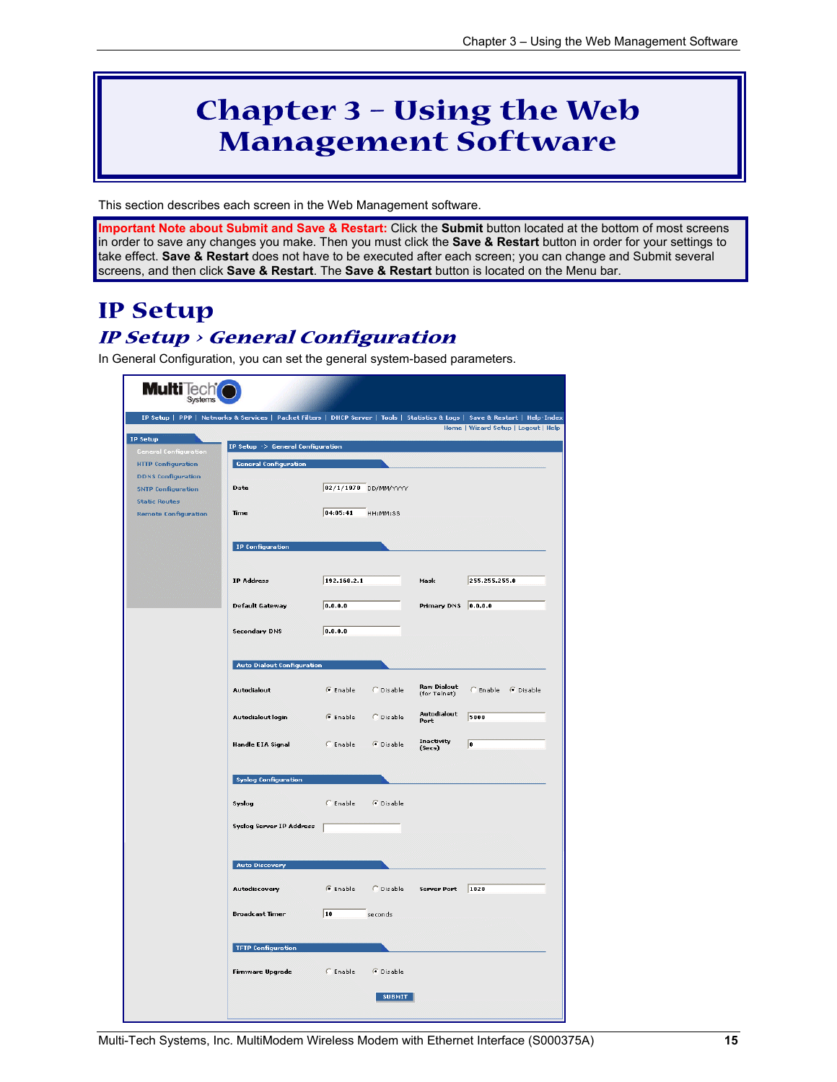## **Chapter 3 – Using the Web Management Software**

This section describes each screen in the Web Management software.

**Important Note about Submit and Save & Restart:** Click the **Submit** button located at the bottom of most screens in order to save any changes you make. Then you must click the **Save & Restart** button in order for your settings to take effect. **Save & Restart** does not have to be executed after each screen; you can change and Submit several screens, and then click **Save & Restart**. The **Save & Restart** button is located on the Menu bar.

### **IP Setup IP Setup > General Configuration**

In General Configuration, you can set the general system-based parameters.

|                                                        | IP Setup   PPP   Networks & Services   Packet Filters   DHCP Server   Tools   Statistics & Logs   Save & Restart   Help-Index |             |                      |                                    | Home   Wizard Setup   Logout   Help |
|--------------------------------------------------------|-------------------------------------------------------------------------------------------------------------------------------|-------------|----------------------|------------------------------------|-------------------------------------|
| IP Setup<br><b>General Configuration</b>               | IP Setup -> General Configuration                                                                                             |             |                      |                                    |                                     |
| <b>HTTP Configuration</b>                              | <b>General Configuration</b>                                                                                                  |             |                      |                                    |                                     |
| <b>DDNS Configuration</b><br><b>SNTP Configuration</b> | Date                                                                                                                          |             | 02/1/1970 DD/MM/YYYY |                                    |                                     |
| <b>Static Routes</b><br><b>Remote Configuration</b>    | <b>Time</b>                                                                                                                   | 04:05:41    | HH:MM:SS             |                                    |                                     |
|                                                        | IP Configuration                                                                                                              |             |                      |                                    |                                     |
|                                                        | <b>IP Address</b>                                                                                                             | 192.168.2.1 |                      | Mask                               | 255.255.255.0                       |
|                                                        | <b>Default Gateway</b>                                                                                                        | 0.0.0.0     |                      | Primary DNS 0.0.0.0                |                                     |
|                                                        | <b>Secondary DNS</b>                                                                                                          | 0.0.0.0     |                      |                                    |                                     |
|                                                        | <b>Auto Dialout Configuration</b>                                                                                             |             |                      |                                    |                                     |
|                                                        | Autodialout                                                                                                                   | C Enable    | C Disable            | <b>Raw Dialout</b><br>(for Telnet) | C Enable G Disable                  |
|                                                        | Autodialout login                                                                                                             | G Enable    | C Disable            | Autodialout<br>Port                | 5000                                |
|                                                        | Handle EIA Signal                                                                                                             | C Enable    | C Disable            | <b>Inactivity</b><br>(Secs)        | $ 0\rangle$                         |
|                                                        | <b>Syslog Configuration</b>                                                                                                   |             |                      |                                    |                                     |
|                                                        | Syslog                                                                                                                        | $C$ Enable  | C Disable            |                                    |                                     |
|                                                        | Syslog Server IP Address [                                                                                                    |             |                      |                                    |                                     |
|                                                        | <b>Auto Discovery</b>                                                                                                         |             |                      |                                    |                                     |
|                                                        | Autodiscovery                                                                                                                 | G Enable    | C Disable            | Server Port 1020                   |                                     |
|                                                        | <b>Broadcast Timer</b>                                                                                                        | $\sqrt{10}$ | seconds              |                                    |                                     |
|                                                        | <b>TFTP Configuration</b>                                                                                                     |             |                      |                                    |                                     |
|                                                        | Firmware Upgrade                                                                                                              | $C$ Enable  | C Disable            |                                    |                                     |
|                                                        |                                                                                                                               |             | <b>SUBMIT</b>        |                                    |                                     |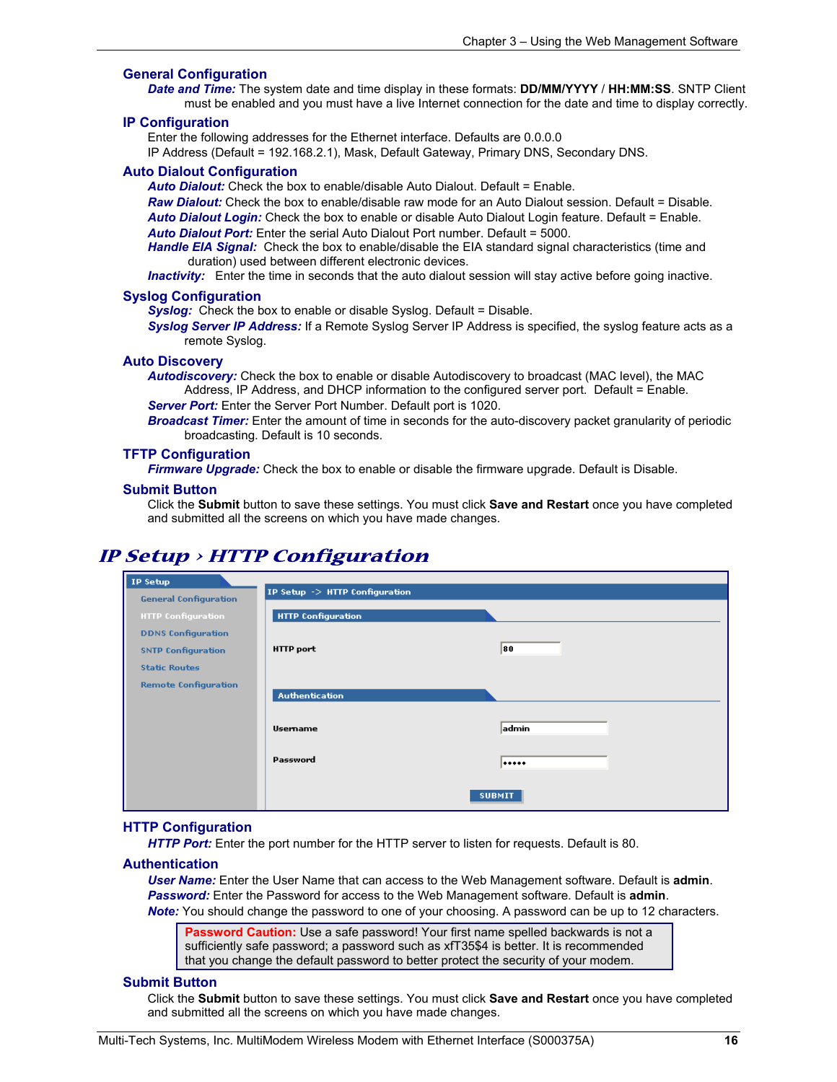#### **General Configuration**

*Date and Time:* The system date and time display in these formats: **DD/MM/YYYY** / **HH:MM:SS**. SNTP Client must be enabled and you must have a live Internet connection for the date and time to display correctly.

#### **IP Configuration**

Enter the following addresses for the Ethernet interface. Defaults are 0.0.0.0

IP Address (Default = 192.168.2.1), Mask, Default Gateway, Primary DNS, Secondary DNS.

#### **Auto Dialout Configuration**

*Auto Dialout:* Check the box to enable/disable Auto Dialout. Default = Enable.

*Raw Dialout:* Check the box to enable/disable raw mode for an Auto Dialout session. Default = Disable. *Auto Dialout Login:* Check the box to enable or disable Auto Dialout Login feature. Default = Enable. *Auto Dialout Port:* Enter the serial Auto Dialout Port number. Default = 5000.

*Handle EIA Signal:* Check the box to enable/disable the EIA standard signal characteristics (time and duration) used between different electronic devices.

*Inactivity:* Enter the time in seconds that the auto dialout session will stay active before going inactive.

#### **Syslog Configuration**

**Syslog:** Check the box to enable or disable Syslog. Default = Disable.

*Syslog Server IP Address:* If a Remote Syslog Server IP Address is specified, the syslog feature acts as a remote Syslog.

#### **Auto Discovery**

*Autodiscovery:* Check the box to enable or disable Autodiscovery to broadcast (MAC level), the MAC Address, IP Address, and DHCP information to the configured server port. Default = Enable.

*Server Port:* Enter the Server Port Number. Default port is 1020.

*Broadcast Timer:* Enter the amount of time in seconds for the auto-discovery packet granularity of periodic broadcasting. Default is 10 seconds.

#### **TFTP Configuration**

*Firmware Upgrade:* Check the box to enable or disable the firmware upgrade. Default is Disable.

#### **Submit Button**

Click the **Submit** button to save these settings. You must click **Save and Restart** once you have completed and submitted all the screens on which you have made changes.

### **IP Setup > HTTP Configuration**

| IP Setup                     |                                |               |
|------------------------------|--------------------------------|---------------|
| <b>General Configuration</b> | IP Setup -> HTTP Configuration |               |
| <b>HTTP Configuration</b>    | <b>HTTP Configuration</b>      |               |
| <b>DDNS Configuration</b>    |                                |               |
| <b>SNTP Configuration</b>    | <b>HTTP</b> port               | 80            |
| <b>Static Routes</b>         |                                |               |
| <b>Remote Configuration</b>  |                                |               |
|                              | <b>Authentication</b>          |               |
|                              | <b>Usemame</b>                 | admin         |
|                              | Password                       |               |
|                              |                                | <b>SUBMIT</b> |

#### **HTTP Configuration**

*HTTP Port:* Enter the port number for the HTTP server to listen for requests. Default is 80.

#### **Authentication**

*User Name:* Enter the User Name that can access to the Web Management software. Default is **admin**. *Password:* Enter the Password for access to the Web Management software. Default is **admin**.

*Note:* You should change the password to one of your choosing. A password can be up to 12 characters.

**Password Caution:** Use a safe password! Your first name spelled backwards is not a sufficiently safe password; a password such as xfT35\$4 is better. It is recommended that you change the default password to better protect the security of your modem.

#### **Submit Button**

Click the **Submit** button to save these settings. You must click **Save and Restart** once you have completed and submitted all the screens on which you have made changes.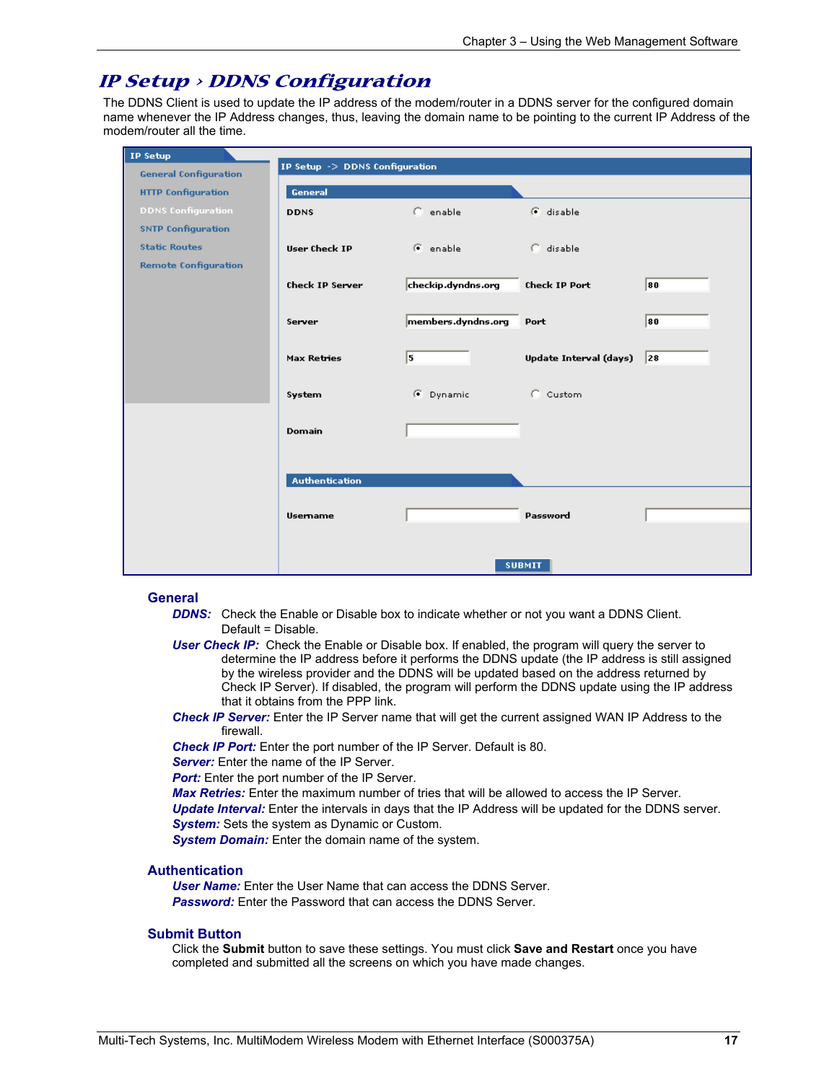### **IP Setup > DDNS Configuration**

The DDNS Client is used to update the IP address of the modem/router in a DDNS server for the configured domain name whenever the IP Address changes, thus, leaving the domain name to be pointing to the current IP Address of the modem/router all the time.

| <b>IP Setup</b>              |                                |                      |                        |    |
|------------------------------|--------------------------------|----------------------|------------------------|----|
| <b>General Configuration</b> | IP Setup -> DDNS Configuration |                      |                        |    |
| <b>HTTP Configuration</b>    | General                        |                      |                        |    |
| <b>DDNS Configuration</b>    | <b>DDNS</b>                    | $C$ enable           | G disable              |    |
| <b>SNTP Configuration</b>    |                                |                      |                        |    |
| <b>Static Routes</b>         | <b>User Check IP</b>           | $\mathcal{F}$ enable | C disable              |    |
| <b>Remote Configuration</b>  |                                |                      |                        |    |
|                              | <b>Check IP Server</b>         | checkip.dyndns.org   | <b>Check IP Port</b>   | 80 |
|                              |                                |                      |                        |    |
|                              | Server                         | members.dyndns.org   | Port                   | 80 |
|                              |                                |                      |                        |    |
|                              | <b>Max Retries</b>             | 15                   | Update Interval (days) | 28 |
|                              |                                |                      |                        |    |
|                              | System                         | C Dynamic            | C Custom               |    |
|                              |                                |                      |                        |    |
|                              | Domain                         |                      |                        |    |
|                              |                                |                      |                        |    |
|                              |                                |                      |                        |    |
|                              | <b>Authentication</b>          |                      |                        |    |
|                              |                                |                      |                        |    |
|                              | <b>Usemame</b>                 |                      | Password               |    |
|                              |                                |                      |                        |    |
|                              |                                |                      |                        |    |
|                              |                                |                      | <b>SUBMIT</b>          |    |

#### **General**

- **DDNS:** Check the Enable or Disable box to indicate whether or not you want a DDNS Client. Default = Disable.
- *User Check IP:* Check the Enable or Disable box. If enabled, the program will query the server to determine the IP address before it performs the DDNS update (the IP address is still assigned by the wireless provider and the DDNS will be updated based on the address returned by Check IP Server). If disabled, the program will perform the DDNS update using the IP address that it obtains from the PPP link.
- *Check IP Server:* Enter the IP Server name that will get the current assigned WAN IP Address to the firewall.

*Check IP Port:* Enter the port number of the IP Server. Default is 80.

**Server:** Enter the name of the IP Server.

*Port:* Enter the port number of the IP Server.

*Max Retries:* Enter the maximum number of tries that will be allowed to access the IP Server.

*Update Interval:* Enter the intervals in days that the IP Address will be updated for the DDNS server. *System:* Sets the system as Dynamic or Custom.

*System Domain:* Enter the domain name of the system.

#### **Authentication**

*User Name:* Enter the User Name that can access the DDNS Server. **Password:** Enter the Password that can access the DDNS Server.

#### **Submit Button**

Click the **Submit** button to save these settings. You must click **Save and Restart** once you have completed and submitted all the screens on which you have made changes.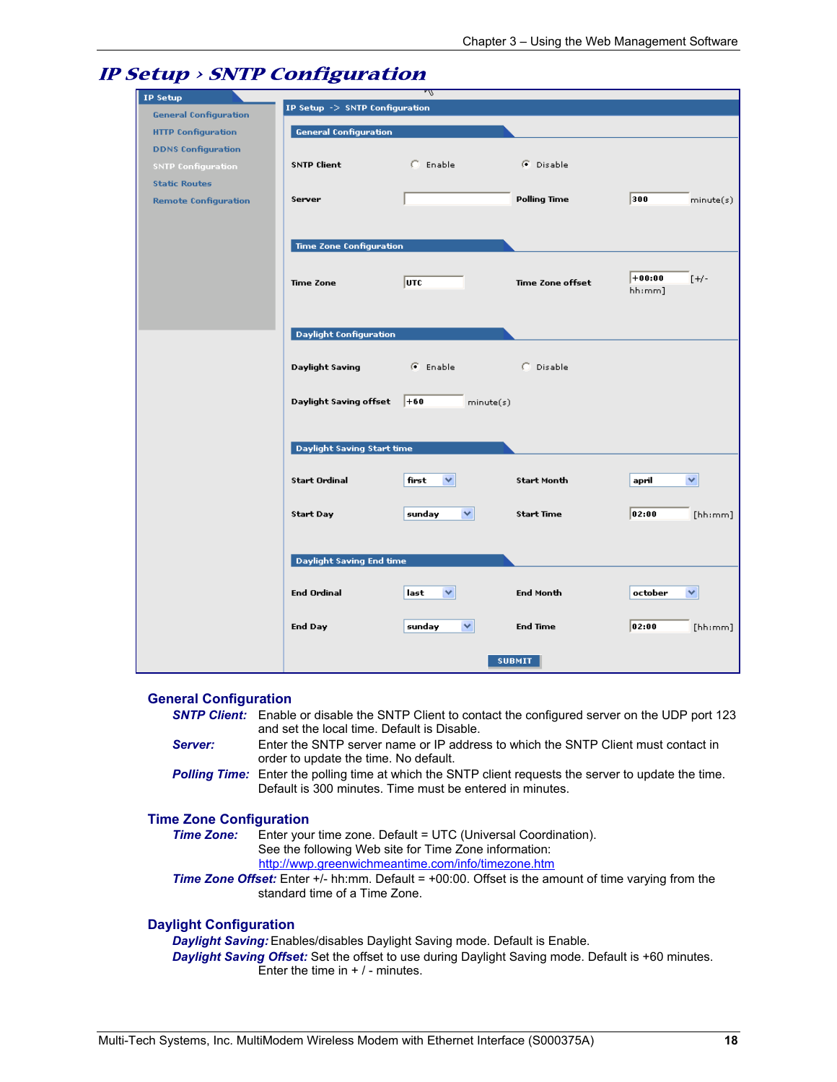|                  |                                                                                                                                                                                                      |                                                                                                                                                                                                                                                                         | 300<br>minute(s)                                                                                                                                       |
|------------------|------------------------------------------------------------------------------------------------------------------------------------------------------------------------------------------------------|-------------------------------------------------------------------------------------------------------------------------------------------------------------------------------------------------------------------------------------------------------------------------|--------------------------------------------------------------------------------------------------------------------------------------------------------|
|                  |                                                                                                                                                                                                      |                                                                                                                                                                                                                                                                         |                                                                                                                                                        |
|                  |                                                                                                                                                                                                      |                                                                                                                                                                                                                                                                         |                                                                                                                                                        |
|                  |                                                                                                                                                                                                      |                                                                                                                                                                                                                                                                         |                                                                                                                                                        |
|                  |                                                                                                                                                                                                      |                                                                                                                                                                                                                                                                         |                                                                                                                                                        |
| <b>Time Zone</b> | UTC                                                                                                                                                                                                  | Time Zone offset                                                                                                                                                                                                                                                        | $+00:00$<br>$[+/$<br>hh:mm]                                                                                                                            |
|                  |                                                                                                                                                                                                      |                                                                                                                                                                                                                                                                         |                                                                                                                                                        |
|                  |                                                                                                                                                                                                      |                                                                                                                                                                                                                                                                         |                                                                                                                                                        |
|                  |                                                                                                                                                                                                      |                                                                                                                                                                                                                                                                         |                                                                                                                                                        |
|                  |                                                                                                                                                                                                      |                                                                                                                                                                                                                                                                         |                                                                                                                                                        |
|                  |                                                                                                                                                                                                      |                                                                                                                                                                                                                                                                         |                                                                                                                                                        |
|                  |                                                                                                                                                                                                      |                                                                                                                                                                                                                                                                         |                                                                                                                                                        |
|                  |                                                                                                                                                                                                      |                                                                                                                                                                                                                                                                         |                                                                                                                                                        |
|                  |                                                                                                                                                                                                      |                                                                                                                                                                                                                                                                         |                                                                                                                                                        |
|                  |                                                                                                                                                                                                      |                                                                                                                                                                                                                                                                         |                                                                                                                                                        |
|                  |                                                                                                                                                                                                      |                                                                                                                                                                                                                                                                         |                                                                                                                                                        |
|                  |                                                                                                                                                                                                      |                                                                                                                                                                                                                                                                         |                                                                                                                                                        |
|                  |                                                                                                                                                                                                      |                                                                                                                                                                                                                                                                         | april<br>$\checkmark$                                                                                                                                  |
|                  |                                                                                                                                                                                                      |                                                                                                                                                                                                                                                                         |                                                                                                                                                        |
|                  |                                                                                                                                                                                                      |                                                                                                                                                                                                                                                                         | 02:00                                                                                                                                                  |
|                  |                                                                                                                                                                                                      |                                                                                                                                                                                                                                                                         | [hh:mm]                                                                                                                                                |
|                  |                                                                                                                                                                                                      |                                                                                                                                                                                                                                                                         |                                                                                                                                                        |
|                  |                                                                                                                                                                                                      |                                                                                                                                                                                                                                                                         |                                                                                                                                                        |
|                  |                                                                                                                                                                                                      |                                                                                                                                                                                                                                                                         |                                                                                                                                                        |
|                  |                                                                                                                                                                                                      |                                                                                                                                                                                                                                                                         | october<br>×                                                                                                                                           |
|                  |                                                                                                                                                                                                      |                                                                                                                                                                                                                                                                         |                                                                                                                                                        |
|                  |                                                                                                                                                                                                      |                                                                                                                                                                                                                                                                         |                                                                                                                                                        |
|                  |                                                                                                                                                                                                      |                                                                                                                                                                                                                                                                         | 02:00<br>[hh:mm]                                                                                                                                       |
|                  |                                                                                                                                                                                                      |                                                                                                                                                                                                                                                                         |                                                                                                                                                        |
|                  |                                                                                                                                                                                                      |                                                                                                                                                                                                                                                                         |                                                                                                                                                        |
|                  | <b>General Configuration</b><br><b>SNTP Client</b><br>Server<br><b>Daylight Saving</b><br>Daylight Saving offset<br><b>Start Ordinal</b><br><b>Start Day</b><br><b>End Ordinal</b><br><b>End Day</b> | π<br>IP Setup -> SNTP Configuration<br>$C$ Enable<br><b>Time Zone Configuration</b><br><b>Daylight Configuration</b><br>G Enable<br>$+60$<br>Daylight Saving Start time<br>first<br>×<br>sunday<br>×<br>Daylight Saving End time<br>last<br>v<br>sunday<br>$\checkmark$ | G Disable<br><b>Polling Time</b><br>C Disable<br>minute(s)<br><b>Start Month</b><br><b>Start Time</b><br>End Month<br><b>End Time</b><br><b>SUBMIT</b> |

### **IP Setup > SNTP Configuration**

#### **General Configuration**

*SNTP Client:* Enable or disable the SNTP Client to contact the configured server on the UDP port 123 and set the local time. Default is Disable.

*Server:* Enter the SNTP server name or IP address to which the SNTP Client must contact in order to update the time. No default.

**Polling Time:** Enter the polling time at which the SNTP client requests the server to update the time. Default is 300 minutes. Time must be entered in minutes.

#### **Time Zone Configuration**

*Time Zone:* Enter your time zone. Default = UTC (Universal Coordination). See the following Web site for Time Zone information: http://wwp.greenwichmeantime.com/info/timezone.htm

**Time Zone Offset:** Enter +/- hh:mm. Default = +00:00. Offset is the amount of time varying from the standard time of a Time Zone.

#### **Daylight Configuration**

*Daylight Saving:* Enables/disables Daylight Saving mode. Default is Enable.

*Daylight Saving Offset:* Set the offset to use during Daylight Saving mode. Default is +60 minutes. Enter the time in  $+$  / - minutes.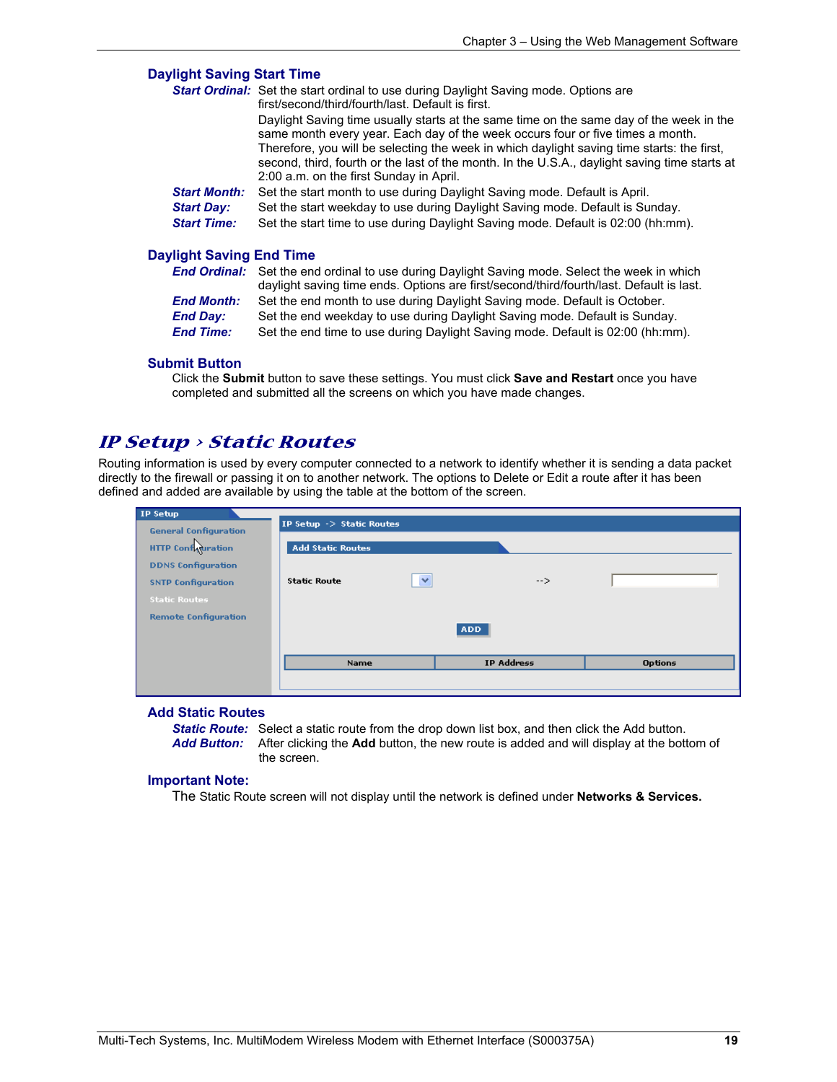#### **Daylight Saving Start Time**

|                                 | <b>Start Ordinal:</b> Set the start ordinal to use during Daylight Saving mode. Options are<br>first/second/third/fourth/last. Default is first.                                                                                                                                                                                                                                                                    |  |  |  |
|---------------------------------|---------------------------------------------------------------------------------------------------------------------------------------------------------------------------------------------------------------------------------------------------------------------------------------------------------------------------------------------------------------------------------------------------------------------|--|--|--|
|                                 | Daylight Saving time usually starts at the same time on the same day of the week in the<br>same month every year. Each day of the week occurs four or five times a month.<br>Therefore, you will be selecting the week in which daylight saving time starts: the first,<br>second, third, fourth or the last of the month. In the U.S.A., daylight saving time starts at<br>2:00 a.m. on the first Sunday in April. |  |  |  |
| <b>Start Month:</b>             | Set the start month to use during Daylight Saving mode. Default is April.                                                                                                                                                                                                                                                                                                                                           |  |  |  |
| <b>Start Day:</b>               | Set the start weekday to use during Daylight Saving mode. Default is Sunday.                                                                                                                                                                                                                                                                                                                                        |  |  |  |
| <b>Start Time:</b>              | Set the start time to use during Daylight Saving mode. Default is 02:00 (hh:mm).                                                                                                                                                                                                                                                                                                                                    |  |  |  |
| <b>Daylight Saving End Time</b> |                                                                                                                                                                                                                                                                                                                                                                                                                     |  |  |  |
|                                 | <b>End Ordinal:</b> Set the end ordinal to use during Daylight Saving mode. Select the week in which<br>daylight saving time ends. Options are first/second/third/fourth/last. Default is last.                                                                                                                                                                                                                     |  |  |  |
|                                 | . Ontothing and months to their displayers David David and and an Instantial Ontothing                                                                                                                                                                                                                                                                                                                              |  |  |  |

| <b>End Month:</b> | Set the end month to use during Daylight Saving mode. Default is October.      |
|-------------------|--------------------------------------------------------------------------------|
| End Day:          | Set the end weekday to use during Daylight Saving mode. Default is Sunday.     |
| <b>End Time:</b>  | Set the end time to use during Daylight Saving mode. Default is 02:00 (hh:mm). |

#### **Submit Button**

Click the **Submit** button to save these settings. You must click **Save and Restart** once you have completed and submitted all the screens on which you have made changes.

#### **IP Setup > Static Routes**

Routing information is used by every computer connected to a network to identify whether it is sending a data packet directly to the firewall or passing it on to another network. The options to Delete or Edit a route after it has been defined and added are available by using the table at the bottom of the screen.

| IP Setup                     |                           |                         |                   |                |
|------------------------------|---------------------------|-------------------------|-------------------|----------------|
| <b>General Configuration</b> | IP Setup -> Static Routes |                         |                   |                |
| <b>HTTP Configuration</b>    | <b>Add Static Routes</b>  |                         |                   |                |
|                              |                           |                         |                   |                |
| <b>DDNS Configuration</b>    |                           |                         |                   |                |
| <b>SNTP Configuration</b>    | <b>Static Route</b>       | $\overline{\mathbf{v}}$ | $\rightarrow$     |                |
| <b>Static Routes</b>         |                           |                         |                   |                |
| <b>Remote Configuration</b>  |                           | <b>ADD</b>              |                   |                |
|                              | Name                      |                         | <b>IP Address</b> | <b>Options</b> |
|                              |                           |                         |                   |                |

#### **Add Static Routes**

**Static Route:** Select a static route from the drop down list box, and then click the Add button.<br>**Add Button:** After clicking the **Add** button, the new route is added and will display at the bott *Add Button:* After clicking the **Add** button, the new route is added and will display at the bottom of the screen.

#### **Important Note:**

The Static Route screen will not display until the network is defined under **Networks & Services.**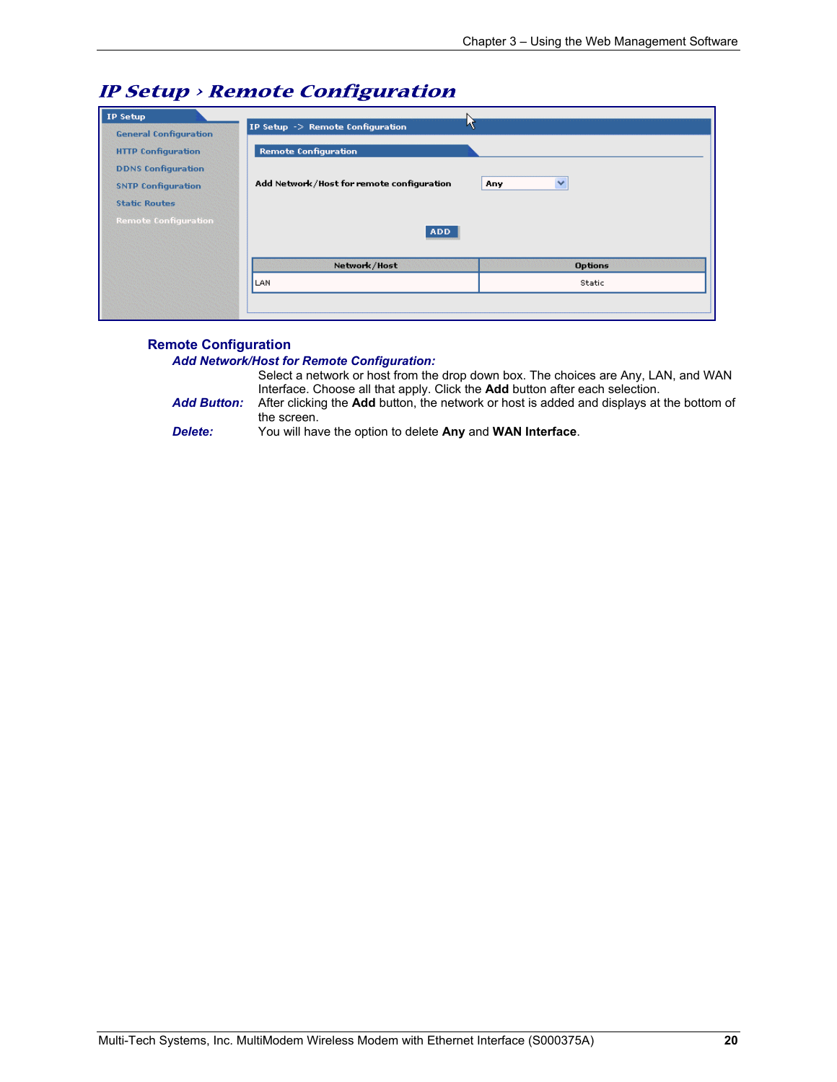| <b>General Configuration</b> | IP Setup -> Remote Configuration          |                     |
|------------------------------|-------------------------------------------|---------------------|
| <b>HTTP Configuration</b>    | <b>Remote Configuration</b>               |                     |
| <b>DDNS Configuration</b>    |                                           |                     |
| <b>SNTP Configuration</b>    | Add Network/Host for remote configuration | $\checkmark$<br>Any |
| <b>Static Routes</b>         |                                           |                     |
|                              |                                           |                     |
|                              | <b>ADD</b>                                |                     |
| <b>Remote Configuration</b>  | Network/Host                              | <b>Options</b>      |

### **IP Setup > Remote Configuration**

#### **Remote Configuration**

#### *Add Network/Host for Remote Configuration:*

Select a network or host from the drop down box. The choices are Any, LAN, and WAN Interface. Choose all that apply. Click the **Add** button after each selection. *Add Button:* After clicking the **Add** button, the network or host is added and displays at the bottom of the screen.

*Delete:* You will have the option to delete **Any** and **WAN Interface**.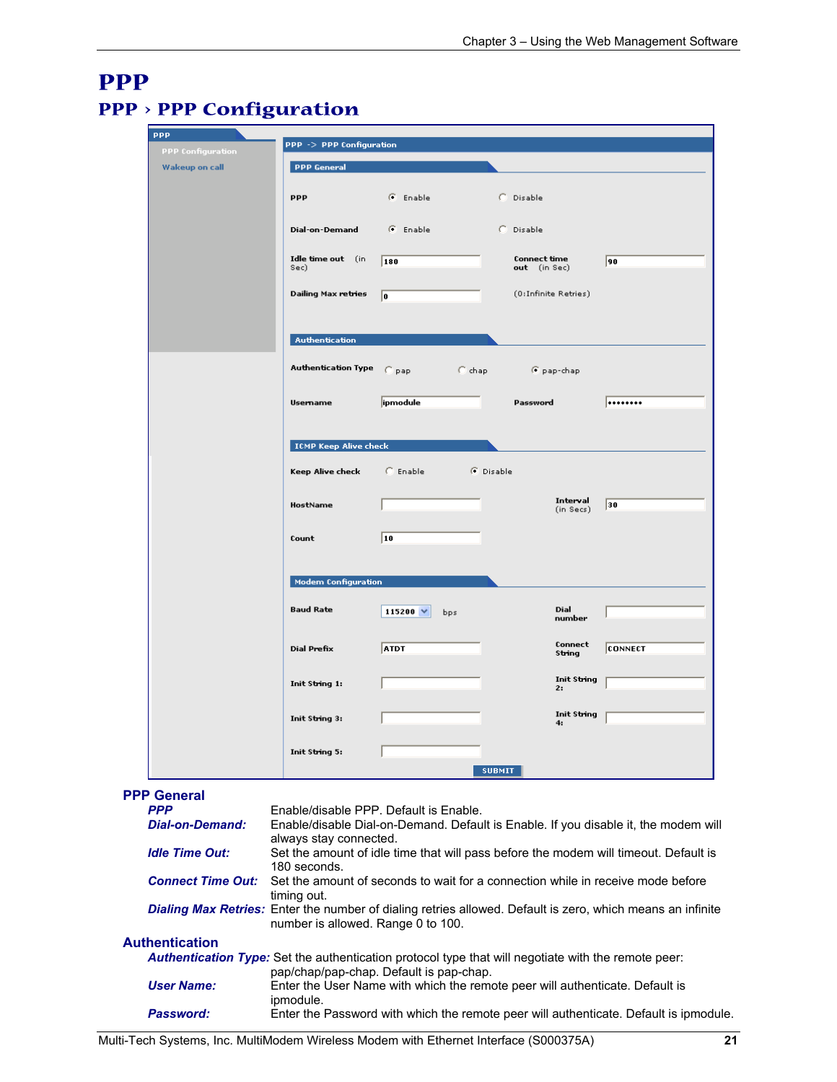### **PPP PPP > PPP Configuration**

| <b>PPP</b>                                                                                                 | PPP -> PPP Configuration               |                                                                                                                               |                      |                       |                |
|------------------------------------------------------------------------------------------------------------|----------------------------------------|-------------------------------------------------------------------------------------------------------------------------------|----------------------|-----------------------|----------------|
| <b>PPP</b> Configuration                                                                                   | <b>PPP General</b>                     |                                                                                                                               |                      |                       |                |
| <b>Wakeup on call</b>                                                                                      |                                        |                                                                                                                               |                      |                       |                |
|                                                                                                            | <b>PPP</b>                             | C Enable                                                                                                                      | C Disable            |                       |                |
|                                                                                                            |                                        |                                                                                                                               |                      |                       |                |
|                                                                                                            | Dial-on-Demand                         | G Enable                                                                                                                      | C Disable            |                       |                |
|                                                                                                            | Idle time out (in                      | 180                                                                                                                           | Connect time         |                       | 90             |
|                                                                                                            | Sec)                                   |                                                                                                                               | out (in Sec)         |                       |                |
|                                                                                                            | <b>Dailing Max retries</b>             | I٥                                                                                                                            | (0:Infinite Retries) |                       |                |
|                                                                                                            | <b>Authentication</b>                  |                                                                                                                               |                      |                       |                |
|                                                                                                            | <b>Authentication Type</b>             | <b>Common Common Common Common</b><br>$C$ pap                                                                                 |                      | € pap-chap            |                |
|                                                                                                            | Usemame                                | ipmodule                                                                                                                      | Password             |                       |                |
|                                                                                                            |                                        |                                                                                                                               |                      |                       |                |
|                                                                                                            | <b>ICMP Keep Alive check</b>           |                                                                                                                               |                      |                       |                |
|                                                                                                            | Keep Alive check                       | $\subset$ Enable                                                                                                              | <b>F</b> Disable     |                       |                |
|                                                                                                            | HostName                               |                                                                                                                               |                      | Interval<br>(in Secs) | 30             |
|                                                                                                            | Count                                  | 10                                                                                                                            |                      |                       |                |
|                                                                                                            | <b>Modem Configuration</b>             |                                                                                                                               |                      |                       |                |
|                                                                                                            | <b>Baud Rate</b>                       | 115200 $\vee$<br>bps                                                                                                          |                      | Dial<br>number        |                |
|                                                                                                            | Dial Prefix                            | <b>ATDT</b>                                                                                                                   |                      | Connect<br>String     | <b>CONNECT</b> |
|                                                                                                            | Init String 1:                         |                                                                                                                               |                      | Init String<br>2:     |                |
|                                                                                                            | Init String 3:                         |                                                                                                                               |                      | Init String<br>4:     |                |
|                                                                                                            | Init String 5:                         |                                                                                                                               |                      |                       |                |
|                                                                                                            |                                        |                                                                                                                               | <b>SUBMIT</b>        |                       |                |
| <b>PPP General</b>                                                                                         |                                        |                                                                                                                               |                      |                       |                |
| <b>PPP</b><br><b>Dial-on-Demand:</b>                                                                       |                                        | Enable/disable PPP. Default is Enable.<br>Enable/disable Dial-on-Demand. Default is Enable. If you disable it, the modem will |                      |                       |                |
| <b>Idle Time Out:</b>                                                                                      | always stay connected.<br>180 seconds. | Set the amount of idle time that will pass before the modem will timeout. Default is                                          |                      |                       |                |
| <b>Connect Time Out:</b>                                                                                   | timing out.                            | Set the amount of seconds to wait for a connection while in receive mode before                                               |                      |                       |                |
| Dialing Max Retries: Enter the number of dialing retries allowed. Default is zero, which means an infinite | number is allowed. Range 0 to 100.     |                                                                                                                               |                      |                       |                |
| <b>Authentication</b>                                                                                      |                                        |                                                                                                                               |                      |                       |                |
| Authentication Type: Set the authentication protocol type that will negotiate with the remote peer:        |                                        |                                                                                                                               |                      |                       |                |
| <b>User Name:</b>                                                                                          | ipmodule.                              | pap/chap/pap-chap. Default is pap-chap.<br>Enter the User Name with which the remote peer will authenticate. Default is       |                      |                       |                |

**Password:** Enter the Password with which the remote peer will authenticate. Default is ipmodule.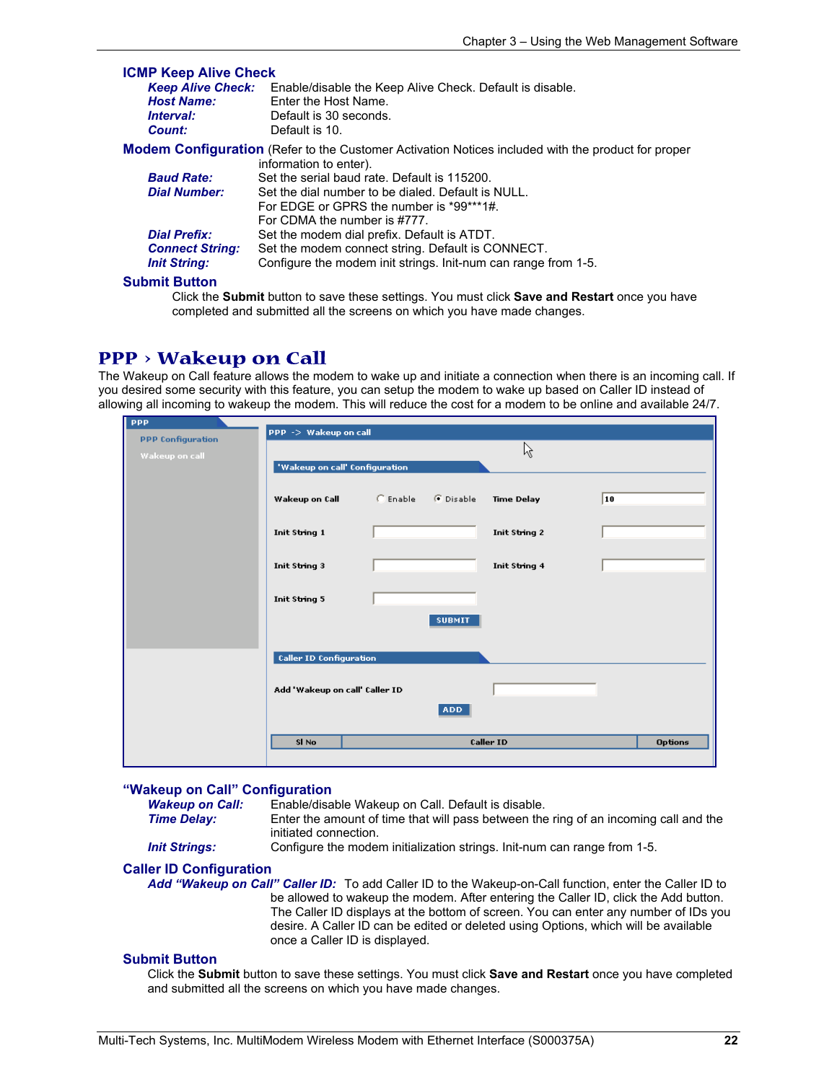| <b>ICMP Keep Alive Check</b> |                                                                                                           |
|------------------------------|-----------------------------------------------------------------------------------------------------------|
| <b>Keep Alive Check:</b>     | Enable/disable the Keep Alive Check. Default is disable.                                                  |
| <b>Host Name:</b>            | Enter the Host Name.                                                                                      |
| <i><b>Interval:</b></i>      | Default is 30 seconds.                                                                                    |
| Count:                       | Default is 10.                                                                                            |
|                              | <b>Modem Configuration</b> (Refer to the Customer Activation Notices included with the product for proper |
|                              | information to enter).                                                                                    |
| <b>Baud Rate:</b>            | Set the serial baud rate. Default is 115200.                                                              |
| <b>Dial Number:</b>          | Set the dial number to be dialed. Default is NULL.                                                        |
|                              | For EDGE or GPRS the number is *99***1#.                                                                  |
|                              | For CDMA the number is #777.                                                                              |
| <b>Dial Prefix:</b>          | Set the modem dial prefix. Default is ATDT.                                                               |
| <b>Connect String:</b>       | Set the modem connect string. Default is CONNECT.                                                         |
| <b>Init String:</b>          | Configure the modem init strings. Init-num can range from 1-5.                                            |
| <b>Submit Button</b>         |                                                                                                           |

Click the **Submit** button to save these settings. You must click **Save and Restart** once you have completed and submitted all the screens on which you have made changes.

### **PPP > Wakeup on Call**

The Wakeup on Call feature allows the modem to wake up and initiate a connection when there is an incoming call. If you desired some security with this feature, you can setup the modem to wake up based on Caller ID instead of allowing all incoming to wakeup the modem. This will reduce the cost for a modem to be online and available 24/7.

| <b>PPP</b>               |                                |                    |               |                |
|--------------------------|--------------------------------|--------------------|---------------|----------------|
| <b>PPP Configuration</b> | PPP -> Wakeup on call          |                    |               |                |
|                          |                                |                    | ß             |                |
| Wakeup on call           |                                |                    |               |                |
|                          | 'Wakeup on call' Configuration |                    |               |                |
|                          |                                |                    |               |                |
|                          | Wakeup on Call                 | C Enable C Disable | Time Delay    | 10             |
|                          |                                |                    |               |                |
|                          |                                |                    |               |                |
|                          | Init String 1                  |                    | Init String 2 |                |
|                          |                                |                    |               |                |
|                          | Init String 3                  |                    | Init String 4 |                |
|                          |                                |                    |               |                |
|                          |                                |                    |               |                |
|                          | Init String 5                  |                    |               |                |
|                          |                                |                    |               |                |
|                          |                                | <b>SUBMIT</b>      |               |                |
|                          |                                |                    |               |                |
|                          |                                |                    |               |                |
|                          | <b>Caller ID Configuration</b> |                    |               |                |
|                          |                                |                    |               |                |
|                          | Add 'Wakeup on call' Caller ID |                    |               |                |
|                          |                                |                    |               |                |
|                          |                                | <b>ADD</b>         |               |                |
|                          |                                |                    |               |                |
|                          | SI No                          |                    | Caller ID     | <b>Options</b> |
|                          |                                |                    |               |                |
|                          |                                |                    |               |                |

#### **"Wakeup on Call" Configuration**

*Wakeup on Call:* Enable/disable Wakeup on Call. Default is disable.

**Time Delay:** Enter the amount of time that will pass between the ring of an incoming call and the initiated connection.

*Init Strings:* Configure the modem initialization strings. Init-num can range from 1-5.

#### **Caller ID Configuration**

*Add "Wakeup on Call" Caller ID:* To add Caller ID to the Wakeup-on-Call function, enter the Caller ID to be allowed to wakeup the modem. After entering the Caller ID, click the Add button. The Caller ID displays at the bottom of screen. You can enter any number of IDs you desire. A Caller ID can be edited or deleted using Options, which will be available once a Caller ID is displayed.

#### **Submit Button**

Click the **Submit** button to save these settings. You must click **Save and Restart** once you have completed and submitted all the screens on which you have made changes.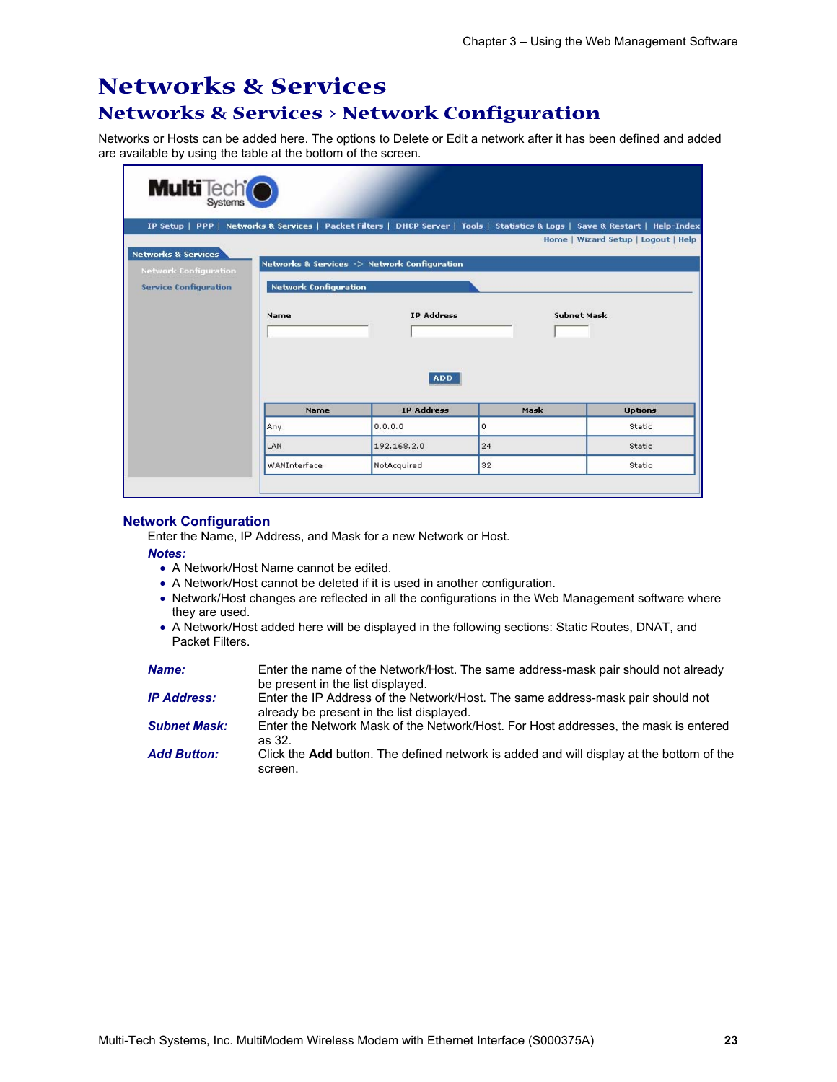### **Networks & Services Networks & Services > Network Configuration**

Networks or Hosts can be added here. The options to Delete or Edit a network after it has been defined and added are available by using the table at the bottom of the screen.

| <b>Multi</b> Tech <sup>t</sup>                                 |                              |                                              |                                                                                                                               |                                     |
|----------------------------------------------------------------|------------------------------|----------------------------------------------|-------------------------------------------------------------------------------------------------------------------------------|-------------------------------------|
|                                                                |                              |                                              | IP Setup   PPP   Networks & Services   Packet Filters   DHCP Server   Tools   Statistics & Logs   Save & Restart   Help-Index |                                     |
|                                                                |                              |                                              |                                                                                                                               | Home   Wizard Setup   Logout   Help |
| <b>Networks &amp; Services</b><br><b>Network Configuration</b> |                              | Networks & Services -> Network Configuration |                                                                                                                               |                                     |
| <b>Service Configuration</b>                                   | <b>Network Configuration</b> |                                              |                                                                                                                               |                                     |
|                                                                |                              |                                              |                                                                                                                               |                                     |
|                                                                |                              |                                              |                                                                                                                               |                                     |
|                                                                | Name                         | <b>IP Address</b>                            | <b>Subnet Mask</b>                                                                                                            |                                     |
|                                                                |                              |                                              |                                                                                                                               |                                     |
|                                                                |                              |                                              |                                                                                                                               |                                     |
|                                                                |                              | <b>ADD</b>                                   |                                                                                                                               |                                     |
|                                                                | Name                         | <b>IP Address</b>                            | Mask                                                                                                                          | <b>Options</b>                      |
|                                                                | Any                          | 0, 0, 0, 0                                   | 0                                                                                                                             | Static                              |
|                                                                | LAN                          | 192.168.2.0                                  | 24                                                                                                                            | Static                              |

#### **Network Configuration**

Enter the Name, IP Address, and Mask for a new Network or Host.

#### *Notes:*

- A Network/Host Name cannot be edited.
- A Network/Host cannot be deleted if it is used in another configuration.
- Network/Host changes are reflected in all the configurations in the Web Management software where they are used.
- A Network/Host added here will be displayed in the following sections: Static Routes, DNAT, and Packet Filters.

| <b>Name:</b>        | Enter the name of the Network/Host. The same address-mask pair should not already<br>be present in the list displayed.       |
|---------------------|------------------------------------------------------------------------------------------------------------------------------|
| <b>IP Address:</b>  | Enter the IP Address of the Network/Host. The same address-mask pair should not<br>already be present in the list displayed. |
| <b>Subnet Mask:</b> | Enter the Network Mask of the Network/Host. For Host addresses, the mask is entered<br>as 32.                                |
| <b>Add Button:</b>  | Click the <b>Add</b> button. The defined network is added and will display at the bottom of the<br>screen.                   |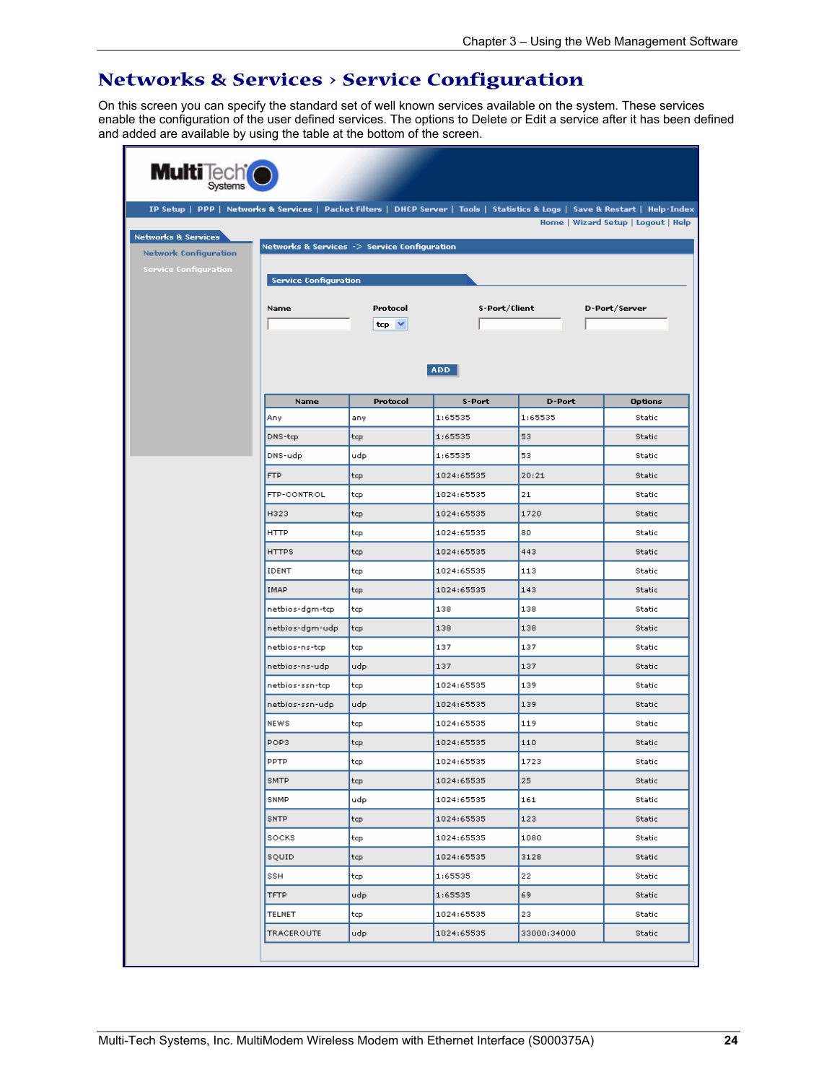### **Networks & Services > Service Configuration**

On this screen you can specify the standard set of well known services available on the system. These services enable the configuration of the user defined services. The options to Delete or Edit a service after it has been defined and added are available by using the table at the bottom of the screen.

|                                              |            |            | IP Setup   PPP   Networks & Services   Packet Filters   DHCP Server   Tools   Statistics & Logs   Save & Restart   Help-Index |                                     |
|----------------------------------------------|------------|------------|-------------------------------------------------------------------------------------------------------------------------------|-------------------------------------|
|                                              |            |            |                                                                                                                               | Home   Wizard Setup   Logout   Help |
| Networks & Services -> Service Configuration |            |            |                                                                                                                               |                                     |
|                                              |            |            |                                                                                                                               |                                     |
| <b>Service Configuration</b>                 |            |            |                                                                                                                               |                                     |
| Name                                         | Protocol   |            | S-Port/Client                                                                                                                 | D-Port/Server                       |
|                                              | $top \vee$ |            |                                                                                                                               |                                     |
|                                              |            |            |                                                                                                                               |                                     |
|                                              |            | <b>ADD</b> |                                                                                                                               |                                     |
| Name                                         | Protocol   | S-Port     | <b>D-Port</b>                                                                                                                 | <b>Options</b>                      |
| Any.                                         | any        | 1:65535    | 1:65535                                                                                                                       | Static                              |
| DNS-tcp                                      | tcp        | 1:65535    | 53                                                                                                                            | Static                              |
| DNS-udp                                      | udp        | 1:65535    | 53                                                                                                                            | Static                              |
| FTP                                          | tcp        | 1024:65535 | 20:21                                                                                                                         | <b>Static</b>                       |
| FTP-CONTROL                                  | tcp        | 1024:65535 | 21                                                                                                                            | Static                              |
| H323                                         | tcp        | 1024:65535 | 1720                                                                                                                          | Static                              |
| <b>HTTP</b>                                  | tcp        | 1024:65535 | 80                                                                                                                            | Static                              |
| <b>HTTPS</b>                                 | tcp        | 1024:65535 | 443                                                                                                                           | Static                              |
| IDENT                                        | tcp        | 1024:65535 | 113                                                                                                                           | Static                              |
| <b>IMAP</b>                                  | tcp        | 1024:65535 | 143                                                                                                                           | Static                              |
| netbios-dgm-tcp                              | tcp        | 138        | 138                                                                                                                           | Static                              |
| netbios-dgm-udp                              | tcp        | 138        | 138                                                                                                                           | Static                              |
| netbios-ns-tcp                               | tcp        | 137        | 137                                                                                                                           | Static                              |
| netbios-ns-udp                               | udp        | 137        | 137                                                                                                                           | Static                              |
| netbios-ssn-tcp                              | tcp        | 1024:65535 | 139                                                                                                                           | Static                              |
| netbios-ssn-udp                              | udp        | 1024:65535 | 139                                                                                                                           | Static                              |
| <b>NEWS</b>                                  | tcp        | 1024:65535 | 119                                                                                                                           | Static                              |
| POP3                                         | tcp        | 1024:65535 | 110                                                                                                                           | Static                              |
| PPTP                                         | tcp        | 1024:65535 | 1723                                                                                                                          | Static                              |
| SMTP                                         | tcp        | 1024:65535 | 25                                                                                                                            | Static                              |
| SNMP                                         | udp        | 1024:65535 | 161                                                                                                                           | Static                              |
| <b>SNTP</b>                                  | tcp        | 1024:65535 | 123                                                                                                                           | Static                              |
| SOCKS                                        | tcp        | 1024:65535 | 1080                                                                                                                          | Static                              |
| sQUID                                        | tcp        | 1024:65535 | 3128                                                                                                                          | Static                              |
| SSH                                          | tcp        | 1:65535    | 22                                                                                                                            | Static                              |
| <b>TFTP</b>                                  | udp        | 1:65535    | 69                                                                                                                            | Static                              |
| TELNET                                       | tcp        | 1024:65535 | 23                                                                                                                            | Static                              |
| TRACEROUTE                                   | udp        | 1024:65535 | 33000:34000                                                                                                                   | Static                              |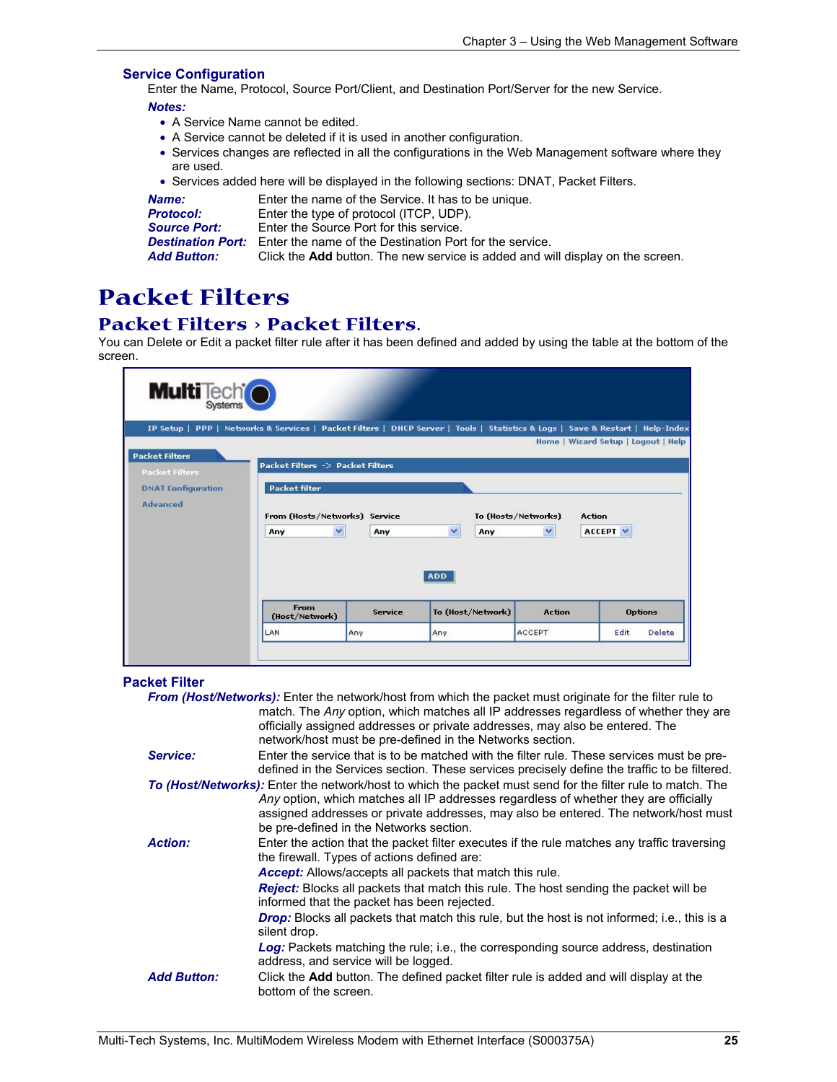#### **Service Configuration**

Enter the Name, Protocol, Source Port/Client, and Destination Port/Server for the new Service.

*Notes:* 

- A Service Name cannot be edited.
- A Service cannot be deleted if it is used in another configuration.
- Services changes are reflected in all the configurations in the Web Management software where they are used.
- Services added here will be displayed in the following sections: DNAT, Packet Filters.

| Name:               | Enter the name of the Service. It has to be unique.                                   |
|---------------------|---------------------------------------------------------------------------------------|
| <b>Protocol:</b>    | Enter the type of protocol (ITCP, UDP).                                               |
| <b>Source Port:</b> | Enter the Source Port for this service.                                               |
|                     | <b>Destination Port:</b> Enter the name of the Destination Port for the service.      |
| <b>Add Button:</b>  | Click the <b>Add</b> button. The new service is added and will display on the screen. |

### **Packet Filters**

### **Packet Filters > Packet Filters.**

You can Delete or Edit a packet filter rule after it has been defined and added by using the table at the bottom of the screen.

| <b>Multi</b> Tech <sup>t</sup>                 |                                                                                                                    |         |                                  |                                     |                                      |
|------------------------------------------------|--------------------------------------------------------------------------------------------------------------------|---------|----------------------------------|-------------------------------------|--------------------------------------|
| IP Setup                                       | PPP   Networks & Services   Packet Filters   DHCP Server   Tools   Statistics & Logs   Save & Restart   Help-Index |         |                                  |                                     |                                      |
|                                                |                                                                                                                    |         |                                  |                                     | Home   Wizard Setup   Logout   Help  |
| <b>Packet Filters</b><br><b>Packet Filters</b> | Packet Filters -> Packet Filters                                                                                   |         |                                  |                                     |                                      |
| <b>DNAT Configuration</b>                      | <b>Packet filter</b>                                                                                               |         |                                  |                                     |                                      |
| <b>Advanced</b>                                | From (Hosts/Networks) Service<br>$\checkmark$<br>Any                                                               | Any     | $\ddotmark$<br>Any<br><b>ADD</b> | To (Hosts/Networks)<br>$\checkmark$ | <b>Action</b><br>ACCEPT <sup>V</sup> |
|                                                | From<br>(Host/Network)                                                                                             | Service | To (Host/Network)                | <b>Action</b>                       | <b>Options</b>                       |
|                                                | LAN                                                                                                                | Any     | Any                              | <b>ACCEPT</b>                       | Edit<br><b>Delete</b>                |
|                                                |                                                                                                                    |         |                                  |                                     |                                      |

#### **Packet Filter**

|                    | <b>From (Host/Networks):</b> Enter the network/host from which the packet must originate for the filter rule to<br>match. The Any option, which matches all IP addresses regardless of whether they are                                                                                                                                                                                                                                                                                                                                                                                      |
|--------------------|----------------------------------------------------------------------------------------------------------------------------------------------------------------------------------------------------------------------------------------------------------------------------------------------------------------------------------------------------------------------------------------------------------------------------------------------------------------------------------------------------------------------------------------------------------------------------------------------|
|                    | officially assigned addresses or private addresses, may also be entered. The<br>network/host must be pre-defined in the Networks section.                                                                                                                                                                                                                                                                                                                                                                                                                                                    |
| Service:           | Enter the service that is to be matched with the filter rule. These services must be pre-<br>defined in the Services section. These services precisely define the traffic to be filtered.                                                                                                                                                                                                                                                                                                                                                                                                    |
|                    | To (Host/Networks): Enter the network/host to which the packet must send for the filter rule to match. The<br>Any option, which matches all IP addresses regardless of whether they are officially<br>assigned addresses or private addresses, may also be entered. The network/host must<br>be pre-defined in the Networks section.                                                                                                                                                                                                                                                         |
| <b>Action:</b>     | Enter the action that the packet filter executes if the rule matches any traffic traversing<br>the firewall. Types of actions defined are:<br>Accept: Allows/accepts all packets that match this rule.<br>Reject: Blocks all packets that match this rule. The host sending the packet will be<br>informed that the packet has been rejected.<br>Drop: Blocks all packets that match this rule, but the host is not informed; i.e., this is a<br>silent drop.<br>Log: Packets matching the rule; i.e., the corresponding source address, destination<br>address, and service will be logged. |
| <b>Add Button:</b> | Click the <b>Add</b> button. The defined packet filter rule is added and will display at the<br>bottom of the screen.                                                                                                                                                                                                                                                                                                                                                                                                                                                                        |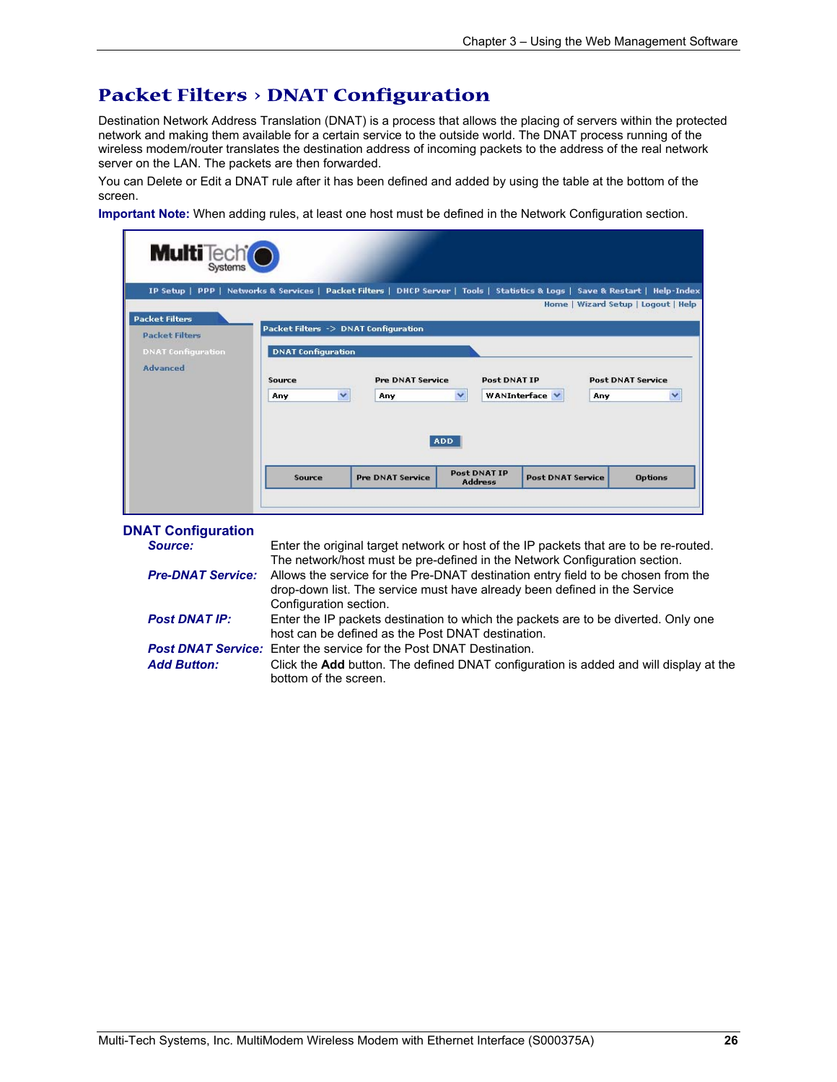### **Packet Filters > DNAT Configuration**

Destination Network Address Translation (DNAT) is a process that allows the placing of servers within the protected network and making them available for a certain service to the outside world. The DNAT process running of the wireless modem/router translates the destination address of incoming packets to the address of the real network server on the LAN. The packets are then forwarded.

You can Delete or Edit a DNAT rule after it has been defined and added by using the table at the bottom of the screen.

**Important Note:** When adding rules, at least one host must be defined in the Network Configuration section.

| <b>Multi</b> Tech <sup>t</sup>                                                                                                |                                                                                                    |                                |                                       |                          |                                                                      |
|-------------------------------------------------------------------------------------------------------------------------------|----------------------------------------------------------------------------------------------------|--------------------------------|---------------------------------------|--------------------------|----------------------------------------------------------------------|
| IP Setup   PPP   Networks & Services   Packet Filters   DHCP Server   Tools   Statistics & Logs   Save & Restart   Help-Index |                                                                                                    |                                |                                       |                          |                                                                      |
| <b>Packet Filters</b><br><b>Packet Filters</b><br><b>DNAT Configuration</b><br><b>Advanced</b>                                | Packet Filters -> DNAT Configuration<br><b>DNAT Configuration</b><br>Source<br>$\checkmark$<br>Any | <b>Pre DNAT Service</b><br>Any | Post DNAT IP<br>×<br><b>ADD</b>       | WANInterface V<br>Any    | Home   Wizard Setup   Logout   Help<br><b>Post DNAT Service</b><br>v |
|                                                                                                                               | Source                                                                                             | <b>Pre DNAT Service</b>        | <b>Post DNAT IP</b><br><b>Address</b> | <b>Post DNAT Service</b> | <b>Options</b>                                                       |
|                                                                                                                               |                                                                                                    |                                |                                       |                          |                                                                      |

|  |  | <b>DNAT Configuration</b> |
|--|--|---------------------------|
|--|--|---------------------------|

| Source:                  | Enter the original target network or host of the IP packets that are to be re-routed.<br>The network/host must be pre-defined in the Network Configuration section.                      |
|--------------------------|------------------------------------------------------------------------------------------------------------------------------------------------------------------------------------------|
| <b>Pre-DNAT Service:</b> | Allows the service for the Pre-DNAT destination entry field to be chosen from the<br>drop-down list. The service must have already been defined in the Service<br>Configuration section. |
| <b>Post DNAT IP:</b>     | Enter the IP packets destination to which the packets are to be diverted. Only one<br>host can be defined as the Post DNAT destination.                                                  |
|                          | <b>Post DNAT Service:</b> Enter the service for the Post DNAT Destination.                                                                                                               |
| <b>Add Button:</b>       | Click the <b>Add</b> button. The defined DNAT configuration is added and will display at the<br>bottom of the screen.                                                                    |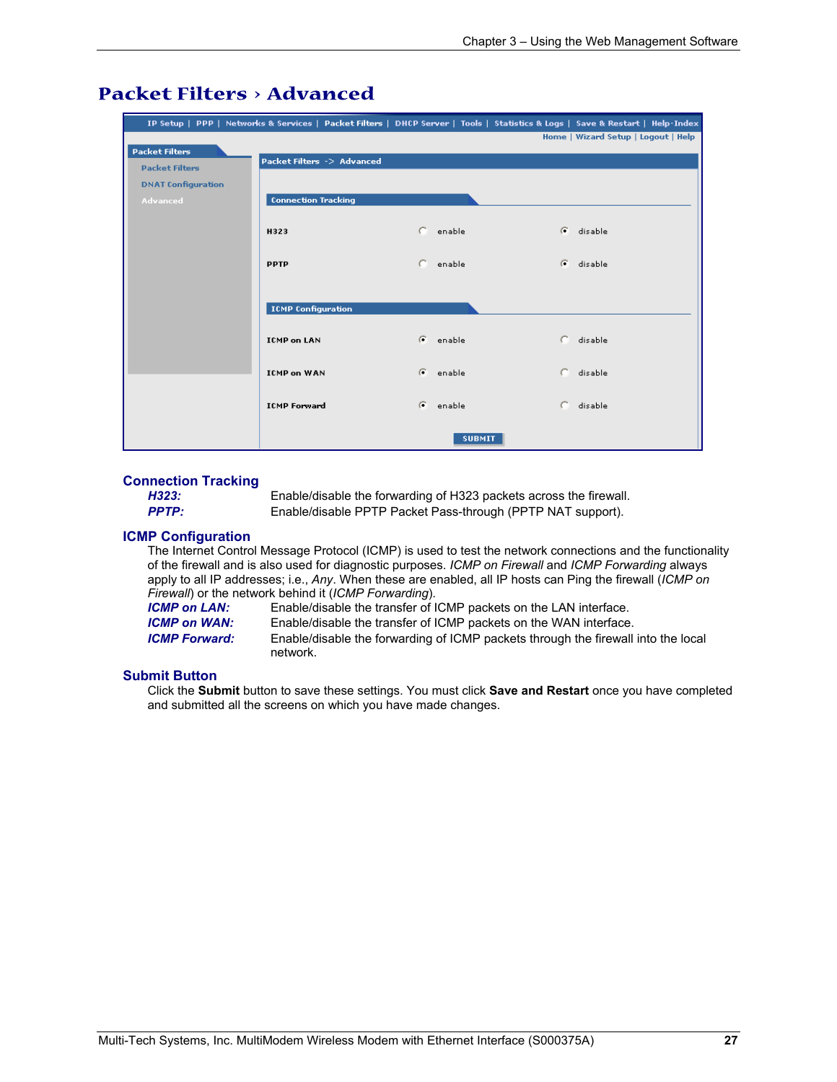|                           |                            |                    |               | IP Setup   PPP   Networks & Services   Packet Filters   DHCP Server   Tools   Statistics & Logs   Save & Restart   Help-Index |
|---------------------------|----------------------------|--------------------|---------------|-------------------------------------------------------------------------------------------------------------------------------|
|                           |                            |                    |               | Home   Wizard Setup   Logout   Help                                                                                           |
| <b>Packet Filters</b>     | Packet Filters -> Advanced |                    |               |                                                                                                                               |
| <b>Packet Filters</b>     |                            |                    |               |                                                                                                                               |
| <b>DNAT Configuration</b> |                            |                    |               |                                                                                                                               |
| <b>Advanced</b>           | <b>Connection Tracking</b> |                    |               |                                                                                                                               |
|                           | H323                       | enable             | G.            | disable                                                                                                                       |
|                           | <b>PPTP</b>                | C.<br>enable       |               | G disable                                                                                                                     |
|                           | <b>ICMP Configuration</b>  |                    |               |                                                                                                                               |
|                           | <b>ICMP on LAN</b>         | G.<br>enable       |               | C disable                                                                                                                     |
|                           | <b>ICMP on WAN</b>         | $\sigma$<br>enable | c.            | disable                                                                                                                       |
|                           | <b>ICMP Forward</b>        | G<br>enable        | C.            | disable                                                                                                                       |
|                           |                            |                    | <b>SUBMIT</b> |                                                                                                                               |

### **Packet Filters > Advanced**

### **Connection Tracking**

*H323:* Enable/disable the forwarding of H323 packets across the firewall. **PPTP:** Enable/disable PPTP Packet Pass-through (PPTP NAT support).

#### **ICMP Configuration**

 The Internet Control Message Protocol (ICMP) is used to test the network connections and the functionality of the firewall and is also used for diagnostic purposes. *ICMP on Firewall* and *ICMP Forwarding* always apply to all IP addresses; i.e., *Any*. When these are enabled, all IP hosts can Ping the firewall (*ICMP on Firewall*) or the network behind it (*ICMP Forwarding*). Enable/disable the transfer of ICMP packets on the LAN interface.

**ICMP on WAN:** Enable/disable the transfer of ICMP packets on the WAN interface. *ICMP Forward:* Enable/disable the forwarding of ICMP packets through the firewall into the local network.

#### **Submit Button**

Click the **Submit** button to save these settings. You must click **Save and Restart** once you have completed and submitted all the screens on which you have made changes.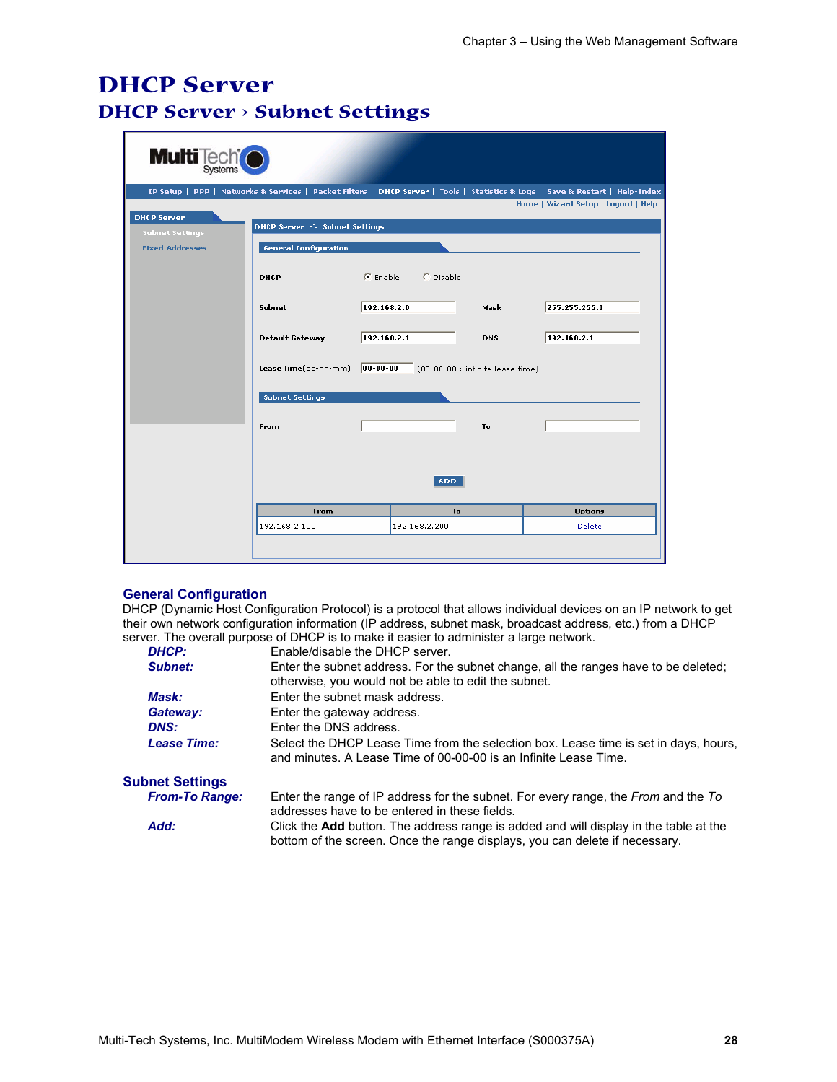### **DHCP Server DHCP Server > Subnet Settings**

| <b>Multi</b> Tech <sup>t</sup> |                                                |                     |                  |                                  |                                                                                                                               |
|--------------------------------|------------------------------------------------|---------------------|------------------|----------------------------------|-------------------------------------------------------------------------------------------------------------------------------|
|                                |                                                |                     |                  |                                  | IP Setup   PPP   Networks & Services   Packet Filters   DHCP Server   Tools   Statistics & Logs   Save & Restart   Help-Index |
|                                |                                                |                     |                  |                                  | Home   Wizard Setup   Logout   Help                                                                                           |
| <b>DHCP Server</b>             | DHCP Server -> Subnet Settings                 |                     |                  |                                  |                                                                                                                               |
| <b>Subnet Settings</b>         |                                                |                     |                  |                                  |                                                                                                                               |
| <b>Fixed Addresses</b>         | <b>General Configuration</b>                   |                     |                  |                                  |                                                                                                                               |
|                                | <b>DHCP</b>                                    | $\mathcal G$ Enable | <b>C</b> Disable |                                  |                                                                                                                               |
|                                | Subnet                                         | 192.168.2.0         |                  | Mask                             | 255.255.255.0                                                                                                                 |
|                                |                                                |                     |                  |                                  |                                                                                                                               |
|                                | <b>Default Gateway</b>                         | 192.168.2.1         |                  | <b>DNS</b>                       | 192.168.2.1                                                                                                                   |
|                                | Lease Time(dd-hh-mm)<br><b>Subnet Settings</b> | $ 00 - 00 - 00 $    |                  | (00-00-00 : infinite lease time) |                                                                                                                               |
|                                | From                                           |                     |                  | To                               |                                                                                                                               |
|                                |                                                |                     | <b>ADD</b>       |                                  |                                                                                                                               |
|                                | From                                           |                     | To               |                                  | <b>Options</b>                                                                                                                |
|                                | 192.168.2.100                                  |                     | 192.168.2.200    |                                  | Delete                                                                                                                        |
|                                |                                                |                     |                  |                                  |                                                                                                                               |

#### **General Configuration**

DHCP (Dynamic Host Configuration Protocol) is a protocol that allows individual devices on an IP network to get their own network configuration information (IP address, subnet mask, broadcast address, etc.) from a DHCP server. The overall purpose of DHCP is to make it easier to administer a large network.

| <b>DHCP:</b>           | Enable/disable the DHCP server.                                                                                                                                             |  |
|------------------------|-----------------------------------------------------------------------------------------------------------------------------------------------------------------------------|--|
| Subnet:                | Enter the subnet address. For the subnet change, all the ranges have to be deleted;<br>otherwise, you would not be able to edit the subnet.                                 |  |
| <b>Mask:</b>           | Enter the subnet mask address.                                                                                                                                              |  |
| Gateway:               | Enter the gateway address.                                                                                                                                                  |  |
| <b>DNS:</b>            | Enter the DNS address.                                                                                                                                                      |  |
| <b>Lease Time:</b>     | Select the DHCP Lease Time from the selection box. Lease time is set in days, hours,<br>and minutes. A Lease Time of 00-00-00 is an Infinite Lease Time.                    |  |
| <b>Subnet Settings</b> |                                                                                                                                                                             |  |
| <b>From-To Range:</b>  | Enter the range of IP address for the subnet. For every range, the From and the To<br>addresses have to be entered in these fields.                                         |  |
| Add:                   | Click the <b>Add</b> button. The address range is added and will display in the table at the<br>bottom of the screen. Once the range displays, you can delete if necessary. |  |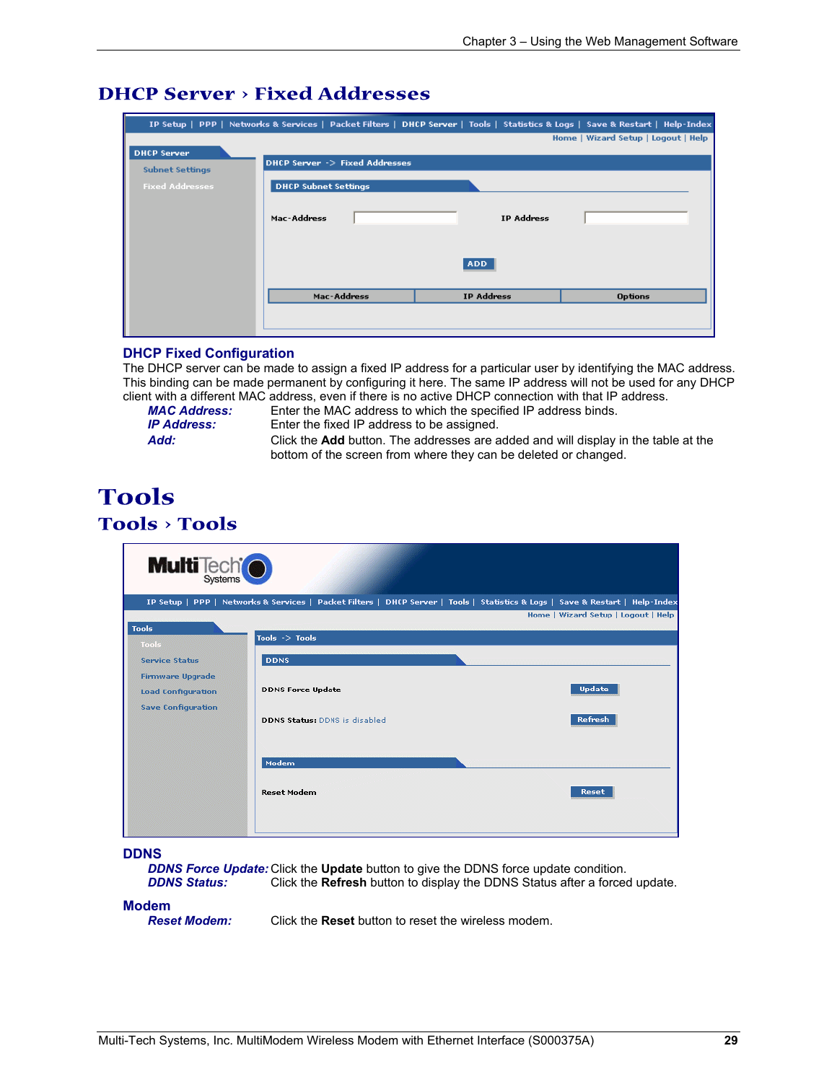### **DHCP Server > Fixed Addresses**

|                                              | IP Setup   PPP   Networks & Services   Packet Filters   DHCP Server   Tools   Statistics & Logs   Save & Restart   Help-Index |                   |                                     |
|----------------------------------------------|-------------------------------------------------------------------------------------------------------------------------------|-------------------|-------------------------------------|
|                                              |                                                                                                                               |                   | Home   Wizard Setup   Logout   Help |
| <b>DHCP Server</b><br><b>Subnet Settings</b> | DHCP Server -> Fixed Addresses                                                                                                |                   |                                     |
| <b>Fixed Addresses</b>                       | <b>DHCP Subnet Settings</b>                                                                                                   |                   |                                     |
|                                              | Mac-Address                                                                                                                   | <b>IP Address</b> |                                     |
|                                              |                                                                                                                               | <b>ADD</b>        |                                     |
|                                              | Mac-Address                                                                                                                   | <b>IP Address</b> | <b>Options</b>                      |
|                                              |                                                                                                                               |                   |                                     |

#### **DHCP Fixed Configuration**

The DHCP server can be made to assign a fixed IP address for a particular user by identifying the MAC address. This binding can be made permanent by configuring it here. The same IP address will not be used for any DHCP client with a different MAC address, even if there is no active DHCP connection with that IP address.

*MAC Address:* Enter the MAC address to which the specified IP address binds. Enter the fixed IP address to be assigned.

*Add:* Click the **Add** button. The addresses are added and will display in the table at the bottom of the screen from where they can be deleted or changed.

### **Tools Tools > Tools**

| <b>Multi</b> Tech <sup>t</sup> |                                                                                                                               |                                     |
|--------------------------------|-------------------------------------------------------------------------------------------------------------------------------|-------------------------------------|
|                                | IP Setup   PPP   Networks & Services   Packet Filters   DHCP Server   Tools   Statistics & Logs   Save & Restart   Help-Index |                                     |
|                                |                                                                                                                               | Home   Wizard Setup   Logout   Help |
| <b>Tools</b><br><b>Tools</b>   | Tools $\rightarrow$ Tools                                                                                                     |                                     |
| <b>Service Status</b>          | <b>DDNS</b>                                                                                                                   |                                     |
| <b>Firmware Upgrade</b>        |                                                                                                                               |                                     |
| <b>Load Configuration</b>      | <b>DDNS Force Update</b>                                                                                                      | <b>Update</b>                       |
| <b>Save Configuration</b>      | <b>DDNS Status: DDNS is disabled</b>                                                                                          | Refresh                             |
|                                | Modem                                                                                                                         |                                     |
|                                | <b>Reset Modem</b>                                                                                                            | Reset                               |
|                                |                                                                                                                               |                                     |

**DDNS** 

*DDNS Force Update:* Click the **Update** button to give the DDNS force update condition. **DDNS Status:** Click the **Refresh** button to display the DDNS Status after a forced update.

**Modem**<br>**Reset Modem:** 

*Reset Modem:* Click the **Reset** button to reset the wireless modem.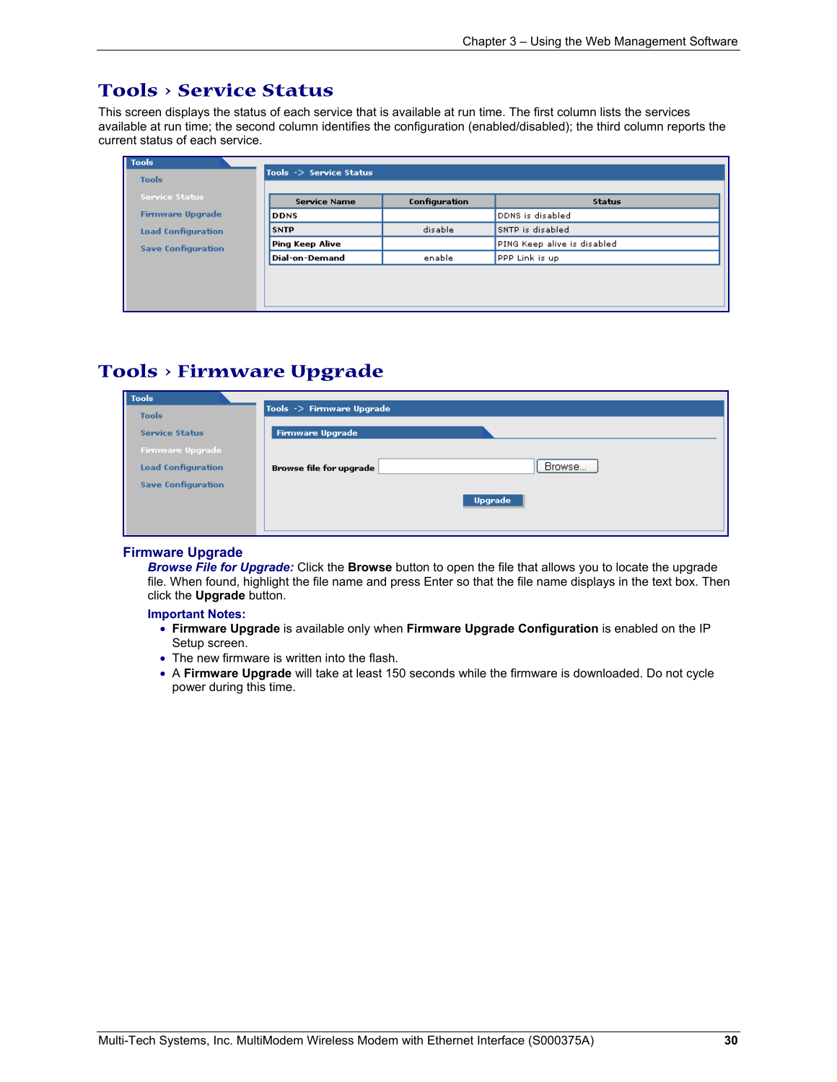### **Tools > Service Status**

This screen displays the status of each service that is available at run time. The first column lists the services available at run time; the second column identifies the configuration (enabled/disabled); the third column reports the current status of each service.

| <b>Tools</b>              | Tools $\rightarrow$ Service Status |               |                             |
|---------------------------|------------------------------------|---------------|-----------------------------|
| <b>Tools</b>              |                                    |               |                             |
| <b>Service Status</b>     | <b>Service Name</b>                | Configuration | <b>Status</b>               |
| <b>Firmware Upgrade</b>   | <b>DDNS</b>                        |               | DDNS is disabled            |
| <b>Load Configuration</b> | <b>SNTP</b>                        | disable       | SNTP is disabled            |
| <b>Save Configuration</b> | Ping Keep Alive                    |               | PING Keep alive is disabled |
|                           | Dial-on-Demand                     | enable        | PPP Link is up              |
|                           |                                    |               |                             |
|                           |                                    |               |                             |
|                           |                                    |               |                             |

### **Tools > Firmware Upgrade**

| Tools                     |                                   |
|---------------------------|-----------------------------------|
| <b>Tools</b>              | Tools -> Firmware Upgrade         |
| <b>Service Status</b>     | Firmware Upgrade                  |
| <b>Firmware Upgrade</b>   |                                   |
| <b>Load Configuration</b> | Browse<br>Browse file for upgrade |
| <b>Save Configuration</b> |                                   |
|                           | <b>Upgrade</b>                    |
|                           |                                   |
|                           |                                   |

#### **Firmware Upgrade**

*Browse File for Upgrade:* Click the **Browse** button to open the file that allows you to locate the upgrade file. When found, highlight the file name and press Enter so that the file name displays in the text box. Then click the **Upgrade** button.

#### **Important Notes:**

- **Firmware Upgrade** is available only when **Firmware Upgrade Configuration** is enabled on the IP Setup screen.
- The new firmware is written into the flash.
- A **Firmware Upgrade** will take at least 150 seconds while the firmware is downloaded. Do not cycle power during this time.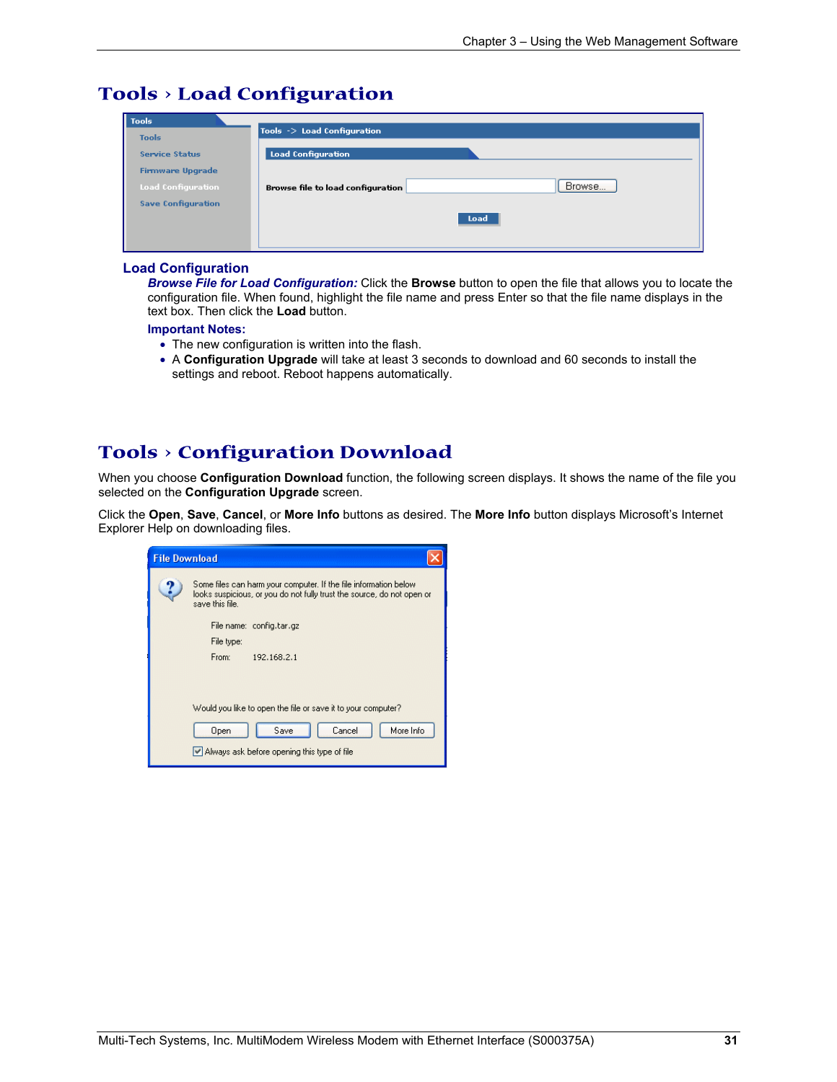### **Tools > Load Configuration**

| Tools                     |                                             |
|---------------------------|---------------------------------------------|
| <b>Tools</b>              | Tools -> Load Configuration                 |
| <b>Service Status</b>     | <b>Load Configuration</b>                   |
| <b>Firmware Upgrade</b>   |                                             |
| <b>Load Configuration</b> | Browse<br>Browse file to load configuration |
| <b>Save Configuration</b> |                                             |
|                           | Load                                        |
|                           |                                             |
|                           |                                             |

#### **Load Configuration**

*Browse File for Load Configuration:* Click the **Browse** button to open the file that allows you to locate the configuration file. When found, highlight the file name and press Enter so that the file name displays in the text box. Then click the **Load** button.

#### **Important Notes:**

- The new configuration is written into the flash.
- A **Configuration Upgrade** will take at least 3 seconds to download and 60 seconds to install the settings and reboot. Reboot happens automatically.

### **Tools > Configuration Download**

When you choose **Configuration Download** function, the following screen displays. It shows the name of the file you selected on the **Configuration Upgrade** screen.

Click the **Open**, **Save**, **Cancel**, or **More Info** buttons as desired. The **More Info** button displays Microsoft's Internet Explorer Help on downloading files.

| <b>File Download</b> |                                                                                                                                                               |
|----------------------|---------------------------------------------------------------------------------------------------------------------------------------------------------------|
|                      | Some files can harm your computer. If the file information below<br>looks suspicious, or you do not fully trust the source, do not open or<br>save this file. |
|                      | File name: config.tar.gz                                                                                                                                      |
|                      | File type:                                                                                                                                                    |
|                      | From:<br>192.168.2.1                                                                                                                                          |
|                      |                                                                                                                                                               |
|                      |                                                                                                                                                               |
|                      | Would you like to open the file or save it to your computer?                                                                                                  |
|                      | More Info<br>Save<br>Cancel<br>Open                                                                                                                           |
|                      | Always ask before opening this type of file                                                                                                                   |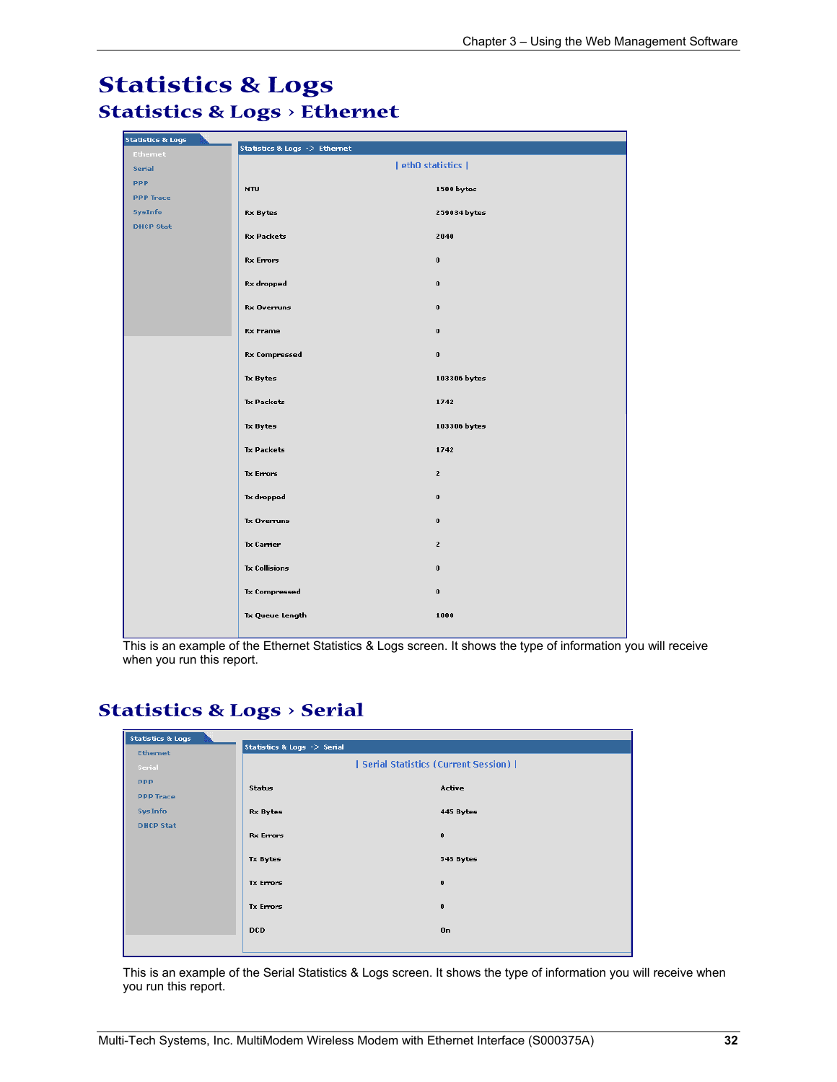### **Statistics & Logs Statistics & Logs > Ethernet**

| <b>Statistics &amp; Logs</b> | Statistics & Logs -> Ethernet |                |
|------------------------------|-------------------------------|----------------|
| <b>Ethernet</b><br>Serial    | eth0 statistics               |                |
| <b>PPP</b>                   |                               |                |
| <b>PPP Trace</b>             | MTU                           | 1500 bytes     |
| <b>SysInfo</b>               | <b>Rx Bytes</b>               | 259034 bytes   |
| <b>DHCP Stat</b>             | <b>Rx Packets</b>             | 2040           |
|                              | <b>Rx Errors</b>              | $\pmb{0}$      |
|                              | <b>Rx</b> dropped             | $\pmb{0}$      |
|                              | Rx Overruns                   | $\pmb{0}$      |
|                              | <b>Rx Frame</b>               | $\pmb{0}$      |
|                              | <b>Rx Compressed</b>          | $\pmb{0}$      |
|                              | Tx Bytes                      | 103306 bytes   |
|                              | <b>Tx Packets</b>             | 1742           |
|                              | Tx Bytes                      | 103306 bytes   |
|                              | <b>Tx Packets</b>             | 1742           |
|                              | <b>Tx Errors</b>              | $\overline{2}$ |
|                              | Tx dropped                    | $\pmb{0}$      |
|                              | <b>Tx Overruns</b>            | $\pmb{0}$      |
|                              | Tx Carrier                    | $\mathbf{2}$   |
|                              | <b>Tx Collisions</b>          | $\pmb{0}$      |
|                              | <b>Tx Compressed</b>          | $\pmb{0}$      |
|                              | Tx Queue Length               | 1000           |

This is an example of the Ethernet Statistics & Logs screen. It shows the type of information you will receive when you run this report.

### **Statistics & Logs > Serial**

| <b>Statistics &amp; Logs</b> |                             |                                     |
|------------------------------|-----------------------------|-------------------------------------|
| <b>Ethemet</b>               | Statistics & Logs -> Serial |                                     |
| Serial                       |                             | Serial Statistics (Current Session) |
| <b>PPP</b>                   | Status                      | Active                              |
| <b>PPP Trace</b>             |                             |                                     |
| SysInfo                      | Rx Bytes                    | 445 Bytes                           |
| <b>DHCP Stat</b>             | <b>Rx Errors</b>            | $\bf{0}$                            |
|                              |                             |                                     |
|                              | Tx Bytes                    | 543 Bytes                           |
|                              | <b>Tx Errors</b>            | $\bf{0}$                            |
|                              |                             |                                     |
|                              | <b>Tx Errors</b>            | $\bf{0}$                            |
|                              | <b>DCD</b>                  | On                                  |
|                              |                             |                                     |
|                              |                             |                                     |

This is an example of the Serial Statistics & Logs screen. It shows the type of information you will receive when you run this report.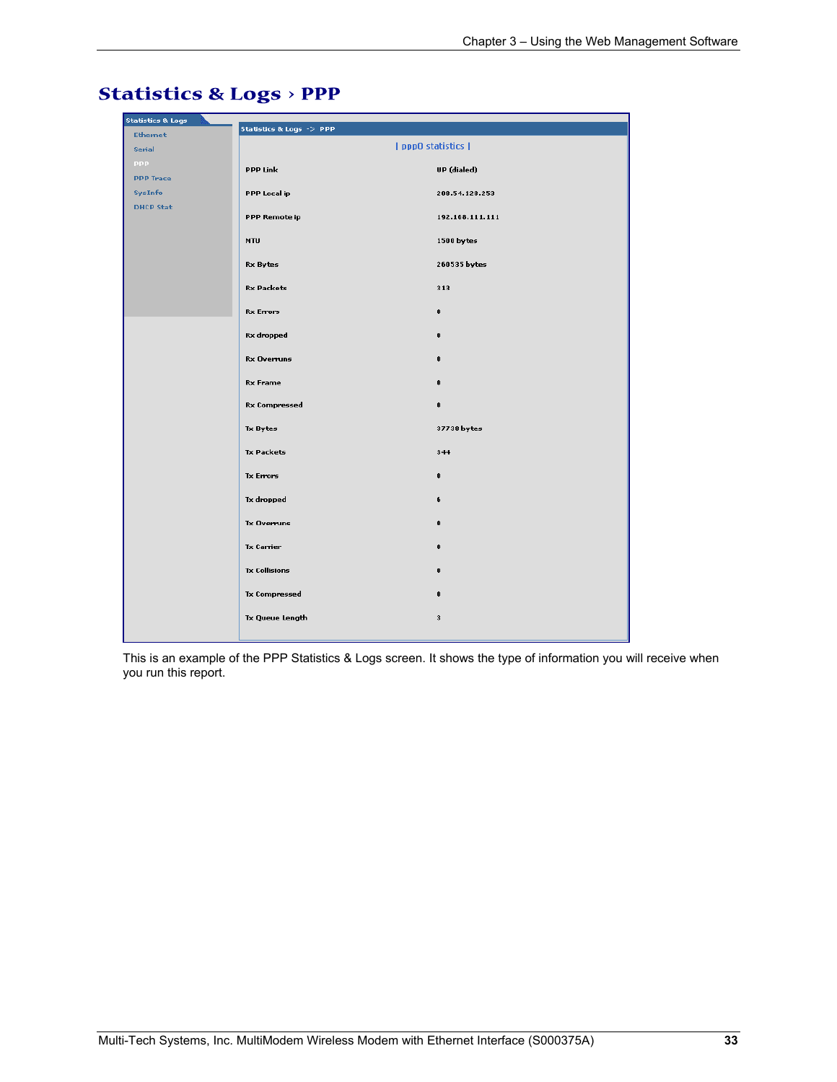| <b>Statistics &amp; Logs</b> | Statistics & Logs -> PPP |                 |
|------------------------------|--------------------------|-----------------|
| <b>Ethernet</b><br>Serial    |                          | ppp0 statistics |
| <b>PPP</b>                   |                          |                 |
| <b>PPP Trace</b>             | <b>PPP Link</b>          | UP (dialed)     |
| SysInfo                      | PPP Local ip             | 208.54.128.253  |
| <b>DHCP Stat</b>             | PPP Remote ip            | 192.168.111.111 |
|                              | <b>MTU</b>               | 1500 bytes      |
|                              | <b>Rx Bytes</b>          | 260535 bytes    |
|                              | <b>Rx Packets</b>        | 313             |
|                              | <b>Rx Errors</b>         | $\mathbf{0}$    |
|                              | Rx dropped               | $\bf{0}$        |
|                              | <b>Rx Overruns</b>       | $\mathbf{0}$    |
|                              | <b>Rx Frame</b>          | $\mathbf{0}$    |
|                              | <b>Rx Compressed</b>     | $\mathbf 0$     |
|                              | <b>Tx Bytes</b>          | 37738 bytes     |
|                              | <b>Tx Packets</b>        | 344             |
|                              | <b>Tx Errors</b>         | $\pmb{0}$       |
|                              | <b>Tx dropped</b>        | 6               |
|                              | Tx Overruns              | $\mathbf{0}$    |
|                              | <b>Tx Carrier</b>        | $\pmb{0}$       |
|                              | <b>Tx Collisions</b>     | $\bf{0}$        |
|                              | <b>Tx Compressed</b>     | $\pmb{0}$       |
|                              | <b>Tx Queue Length</b>   | 3               |
|                              |                          |                 |

### **Statistics & Logs > PPP**

This is an example of the PPP Statistics & Logs screen. It shows the type of information you will receive when you run this report.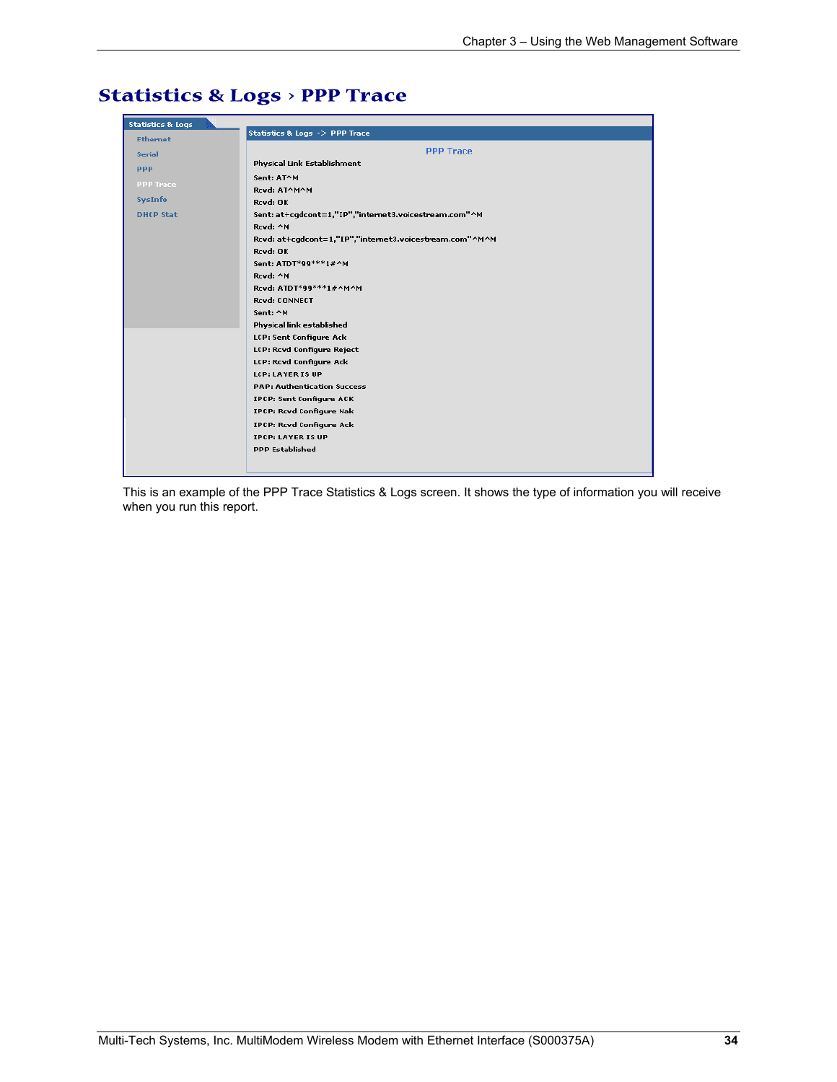| <b>Statistics &amp; Logs</b> |                                                         |
|------------------------------|---------------------------------------------------------|
| <b>Ethernet</b>              | Statistics & Logs -> PPP Trace                          |
| <b>Serial</b>                | <b>PPP Trace</b>                                        |
|                              | Physical Link Establishment                             |
| <b>PPP</b>                   | Sent: AT^M                                              |
| <b>PPP Trace</b>             | Rcvd: AT^M^M                                            |
| SysInfo                      | Rcvd: OK                                                |
| <b>DHCP Stat</b>             | Sent: at+cgdcont=1,"IP","internet3.voicestream.com"^M   |
|                              | Rcvd: ^M                                                |
|                              | Rcvd: at+cgdcont=1,"IP","internet3.voicestream.com"^M^M |
|                              | Rcvd: OK                                                |
|                              | Sent: ATDT*99***1#^M                                    |
|                              | Rcvd: ^M                                                |
|                              | Rcvd: ATDT*99***1#^M^M                                  |
|                              | Rcvd: CONNECT                                           |
|                              | Sent: ^M                                                |
|                              | Physical link established                               |
|                              | LCP: Sent Configure Ack                                 |
|                              | LCP: Rcvd Configure Reject                              |
|                              | LCP: Rcvd Configure Ack                                 |
|                              | <b>LCP: LAYER IS UP</b>                                 |
|                              | <b>PAP: Authentication Success</b>                      |
|                              | <b>IPCP: Sent Configure ACK</b>                         |
|                              | <b>IPCP: Rcvd Configure Nak</b>                         |
|                              | <b>IPCP: Rcvd Configure Ack</b>                         |
|                              | <b>IPCP: LAYER IS UP</b>                                |
|                              | <b>PPP Established</b>                                  |
|                              |                                                         |

### **Statistics & Logs > PPP Trace**

This is an example of the PPP Trace Statistics & Logs screen. It shows the type of information you will receive when you run this report.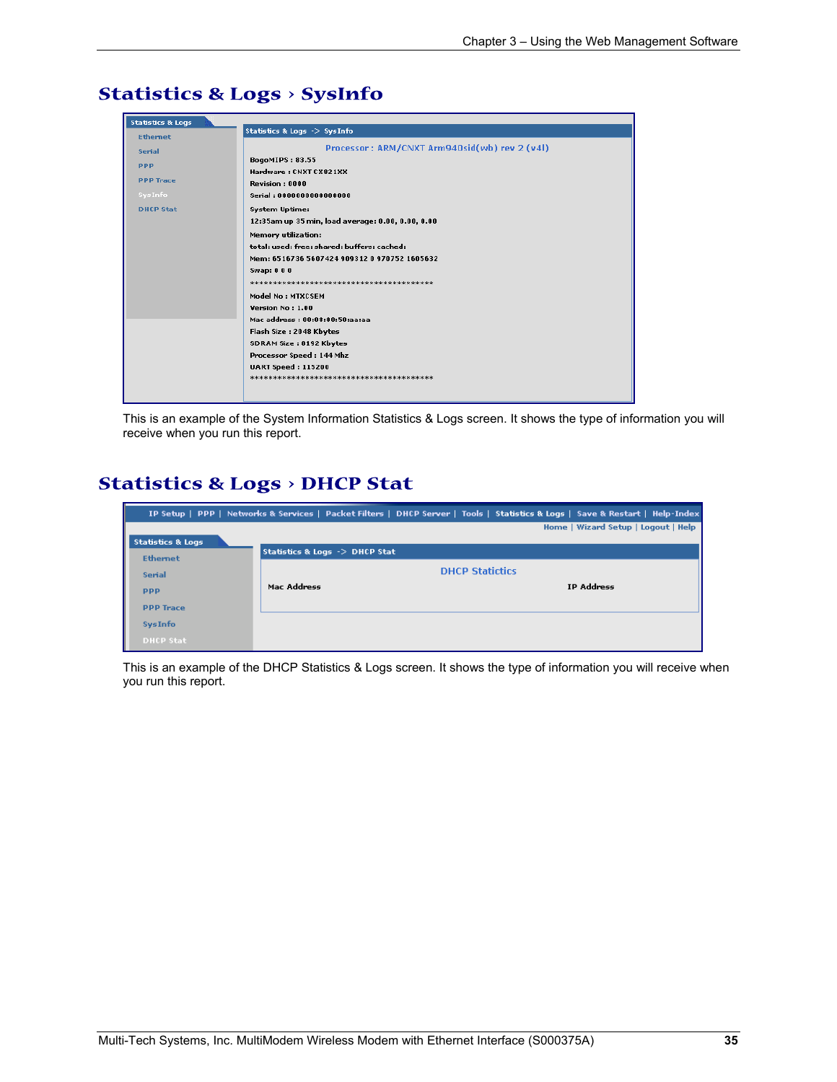

### **Statistics & Logs > SysInfo**

This is an example of the System Information Statistics & Logs screen. It shows the type of information you will receive when you run this report.

### **Statistics & Logs > DHCP Stat**

|                                   |                                           | IP Setup   PPP   Networks & Services   Packet Filters   DHCP Server   Tools   Statistics & Logs   Save & Restart   Help-Index |
|-----------------------------------|-------------------------------------------|-------------------------------------------------------------------------------------------------------------------------------|
|                                   |                                           | Home   Wizard Setup   Logout   Help                                                                                           |
| П<br><b>Statistics &amp; Logs</b> |                                           |                                                                                                                               |
| <b>Ethernet</b>                   | Statistics & Logs $\rightarrow$ DHCP Stat |                                                                                                                               |
| <b>Serial</b>                     |                                           | <b>DHCP Statictics</b>                                                                                                        |
| <b>PPP</b>                        | Mac Address                               | <b>IP Address</b>                                                                                                             |
| <b>PPP Trace</b>                  |                                           |                                                                                                                               |
| <b>SysInfo</b>                    |                                           |                                                                                                                               |
| <b>DHCP Stat</b>                  |                                           |                                                                                                                               |

This is an example of the DHCP Statistics & Logs screen. It shows the type of information you will receive when you run this report.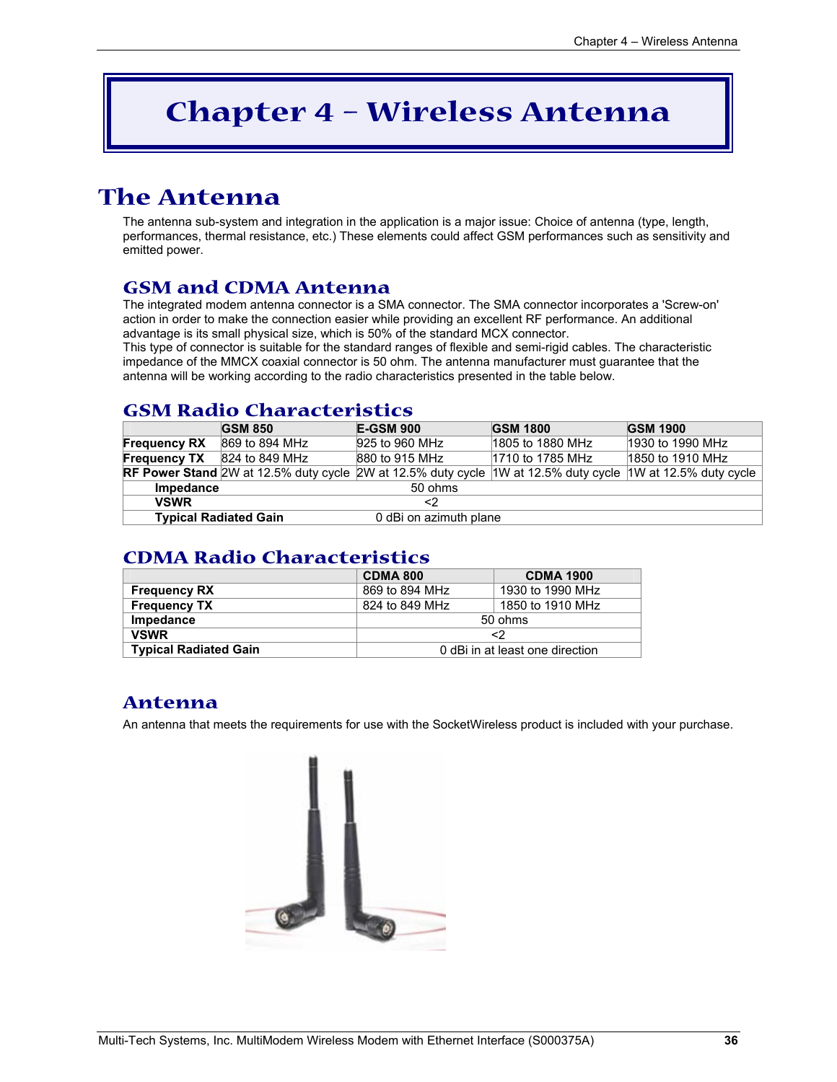## **Chapter 4 – Wireless Antenna**

## **The Antenna**

The antenna sub-system and integration in the application is a major issue: Choice of antenna (type, length, performances, thermal resistance, etc.) These elements could affect GSM performances such as sensitivity and emitted power.

### **GSM and CDMA Antenna**

The integrated modem antenna connector is a SMA connector. The SMA connector incorporates a 'Screw-on' action in order to make the connection easier while providing an excellent RF performance. An additional advantage is its small physical size, which is 50% of the standard MCX connector.

This type of connector is suitable for the standard ranges of flexible and semi-rigid cables. The characteristic impedance of the MMCX coaxial connector is 50 ohm. The antenna manufacturer must guarantee that the antenna will be working according to the radio characteristics presented in the table below.

### **GSM Radio Characteristics**

|                     | <b>GSM 850</b>               | <b>E-GSM 900</b>                                                                                           | <b>GSM 1800</b>  | <b>GSM 1900</b>  |
|---------------------|------------------------------|------------------------------------------------------------------------------------------------------------|------------------|------------------|
| <b>Frequency RX</b> | 869 to 894 MHz               | 925 to 960 MHz                                                                                             | 1805 to 1880 MHz | 1930 to 1990 MHz |
| <b>Frequency TX</b> | 824 to 849 MHz               | 880 to 915 MHz                                                                                             | 1710 to 1785 MHz | 1850 to 1910 MHz |
|                     |                              | RF Power Stand 2W at 12.5% duty cycle 2W at 12.5% duty cycle 1W at 12.5% duty cycle 1W at 12.5% duty cycle |                  |                  |
| Impedance           |                              | 50 ohms                                                                                                    |                  |                  |
| <b>VSWR</b>         |                              | <2                                                                                                         |                  |                  |
|                     | <b>Typical Radiated Gain</b> | 0 dBi on azimuth plane                                                                                     |                  |                  |

### **CDMA Radio Characteristics**

|                              | <b>CDMA 800</b>                 | <b>CDMA 1900</b> |
|------------------------------|---------------------------------|------------------|
| <b>Frequency RX</b>          | 869 to 894 MHz                  | 1930 to 1990 MHz |
| <b>Frequency TX</b>          | 824 to 849 MHz                  | 1850 to 1910 MHz |
| Impedance                    | 50 ohms                         |                  |
| <b>VSWR</b>                  | <2                              |                  |
| <b>Typical Radiated Gain</b> | 0 dBi in at least one direction |                  |

### **Antenna**

An antenna that meets the requirements for use with the SocketWireless product is included with your purchase.

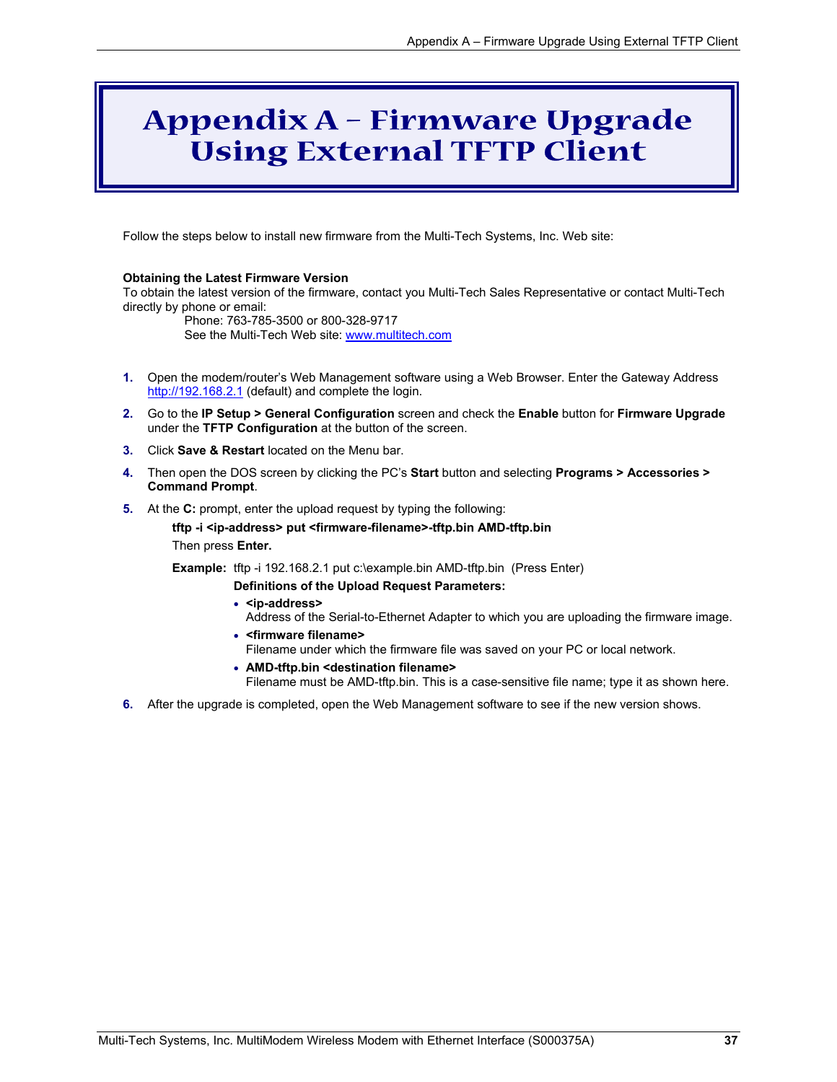## **Appendix A – Firmware Upgrade Using External TFTP Client**

Follow the steps below to install new firmware from the Multi-Tech Systems, Inc. Web site:

#### **Obtaining the Latest Firmware Version**

To obtain the latest version of the firmware, contact you Multi-Tech Sales Representative or contact Multi-Tech directly by phone or email:

Phone: 763-785-3500 or 800-328-9717 See the Multi-Tech Web site: www.multitech.com

- **1.** Open the modem/router's Web Management software using a Web Browser. Enter the Gateway Address http://192.168.2.1 (default) and complete the login.
- **2.** Go to the **IP Setup > General Configuration** screen and check the **Enable** button for **Firmware Upgrade** under the **TFTP Configuration** at the button of the screen.
- **3.** Click **Save & Restart** located on the Menu bar.
- **4.** Then open the DOS screen by clicking the PC's **Start** button and selecting **Programs > Accessories > Command Prompt**.
- **5.** At the **C:** prompt, enter the upload request by typing the following:

```
tftp -i <ip-address> put <firmware-filename>-tftp.bin AMD-tftp.bin 
Then press Enter.
```
**Example:** tftp -i 192.168.2.1 put c:\example.bin AMD-tftp.bin (Press Enter)

**Definitions of the Upload Request Parameters:** 

- **<ip-address>** Address of the Serial-to-Ethernet Adapter to which you are uploading the firmware image.
- **<firmware filename>** Filename under which the firmware file was saved on your PC or local network.
- **AMD-tftp.bin <destination filename>**

Filename must be AMD-tftp.bin. This is a case-sensitive file name; type it as shown here.

**6.** After the upgrade is completed, open the Web Management software to see if the new version shows.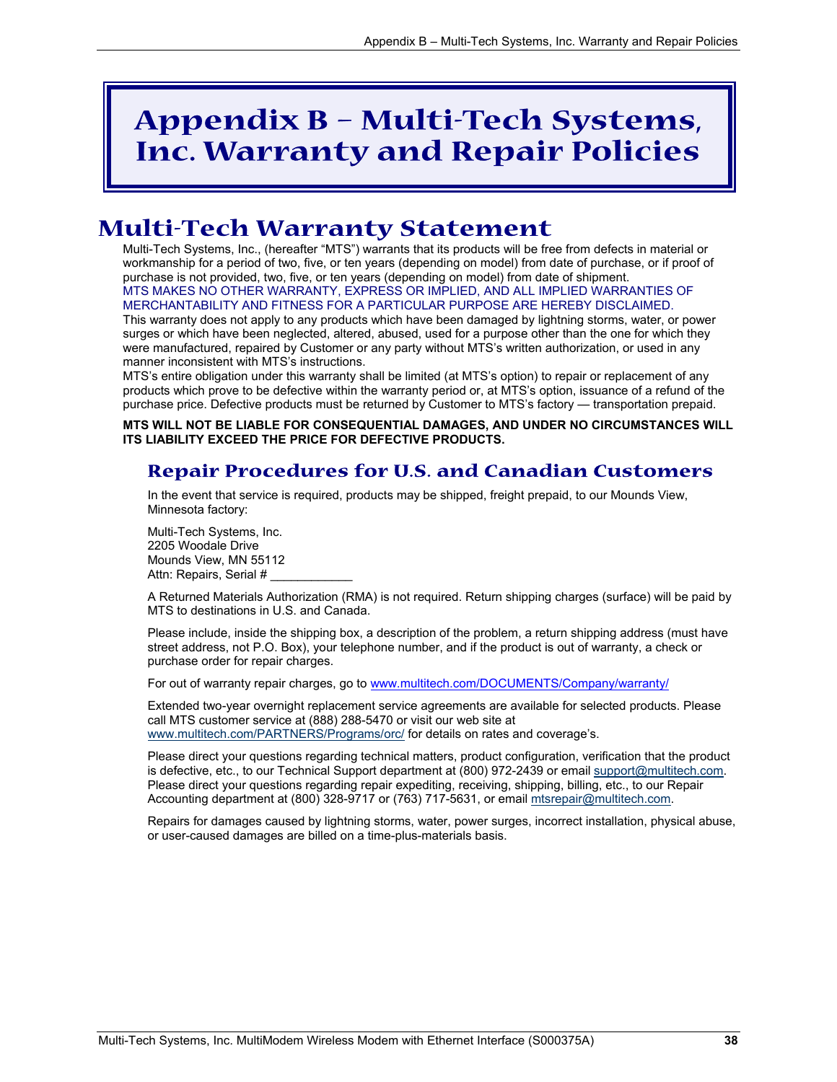## **Appendix B – Multi-Tech Systems, Inc. Warranty and Repair Policies**

### **Multi-Tech Warranty Statement**

Multi-Tech Systems, Inc., (hereafter "MTS") warrants that its products will be free from defects in material or workmanship for a period of two, five, or ten years (depending on model) from date of purchase, or if proof of purchase is not provided, two, five, or ten years (depending on model) from date of shipment. MTS MAKES NO OTHER WARRANTY, EXPRESS OR IMPLIED, AND ALL IMPLIED WARRANTIES OF MERCHANTABILITY AND FITNESS FOR A PARTICULAR PURPOSE ARE HEREBY DISCLAIMED.

This warranty does not apply to any products which have been damaged by lightning storms, water, or power surges or which have been neglected, altered, abused, used for a purpose other than the one for which they were manufactured, repaired by Customer or any party without MTS's written authorization, or used in any manner inconsistent with MTS's instructions.

MTS's entire obligation under this warranty shall be limited (at MTS's option) to repair or replacement of any products which prove to be defective within the warranty period or, at MTS's option, issuance of a refund of the purchase price. Defective products must be returned by Customer to MTS's factory — transportation prepaid.

**MTS WILL NOT BE LIABLE FOR CONSEQUENTIAL DAMAGES, AND UNDER NO CIRCUMSTANCES WILL ITS LIABILITY EXCEED THE PRICE FOR DEFECTIVE PRODUCTS.** 

### **Repair Procedures for U.S. and Canadian Customers**

In the event that service is required, products may be shipped, freight prepaid, to our Mounds View, Minnesota factory:

Multi-Tech Systems, Inc. 2205 Woodale Drive Mounds View, MN 55112 Attn: Repairs, Serial #

A Returned Materials Authorization (RMA) is not required. Return shipping charges (surface) will be paid by MTS to destinations in U.S. and Canada.

Please include, inside the shipping box, a description of the problem, a return shipping address (must have street address, not P.O. Box), your telephone number, and if the product is out of warranty, a check or purchase order for repair charges.

For out of warranty repair charges, go to www.multitech.com/DOCUMENTS/Company/warranty/

Extended two-year overnight replacement service agreements are available for selected products. Please call MTS customer service at (888) 288-5470 or visit our web site at www.multitech.com/PARTNERS/Programs/orc/ for details on rates and coverage's.

Please direct your questions regarding technical matters, product configuration, verification that the product is defective, etc., to our Technical Support department at (800) 972-2439 or email support@multitech.com. Please direct your questions regarding repair expediting, receiving, shipping, billing, etc., to our Repair Accounting department at (800) 328-9717 or (763) 717-5631, or email mtsrepair@multitech.com.

Repairs for damages caused by lightning storms, water, power surges, incorrect installation, physical abuse, or user-caused damages are billed on a time-plus-materials basis.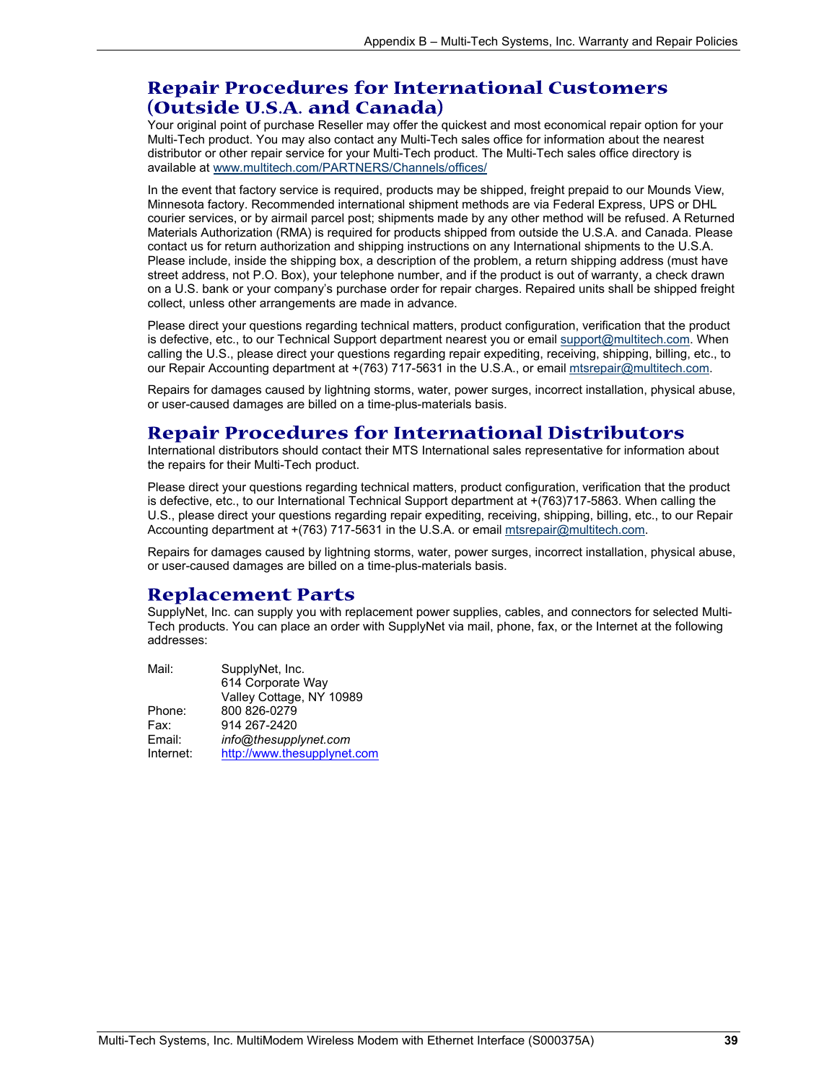### **Repair Procedures for International Customers (Outside U.S.A. and Canada)**

Your original point of purchase Reseller may offer the quickest and most economical repair option for your Multi-Tech product. You may also contact any Multi-Tech sales office for information about the nearest distributor or other repair service for your Multi-Tech product. The Multi-Tech sales office directory is available at www.multitech.com/PARTNERS/Channels/offices/

In the event that factory service is required, products may be shipped, freight prepaid to our Mounds View, Minnesota factory. Recommended international shipment methods are via Federal Express, UPS or DHL courier services, or by airmail parcel post; shipments made by any other method will be refused. A Returned Materials Authorization (RMA) is required for products shipped from outside the U.S.A. and Canada. Please contact us for return authorization and shipping instructions on any International shipments to the U.S.A. Please include, inside the shipping box, a description of the problem, a return shipping address (must have street address, not P.O. Box), your telephone number, and if the product is out of warranty, a check drawn on a U.S. bank or your company's purchase order for repair charges. Repaired units shall be shipped freight collect, unless other arrangements are made in advance.

Please direct your questions regarding technical matters, product configuration, verification that the product is defective, etc., to our Technical Support department nearest you or email support@multitech.com. When calling the U.S., please direct your questions regarding repair expediting, receiving, shipping, billing, etc., to our Repair Accounting department at +(763) 717-5631 in the U.S.A., or email mtsrepair@multitech.com.

Repairs for damages caused by lightning storms, water, power surges, incorrect installation, physical abuse, or user-caused damages are billed on a time-plus-materials basis.

### **Repair Procedures for International Distributors**

International distributors should contact their MTS International sales representative for information about the repairs for their Multi-Tech product.

Please direct your questions regarding technical matters, product configuration, verification that the product is defective, etc., to our International Technical Support department at +(763)717-5863. When calling the U.S., please direct your questions regarding repair expediting, receiving, shipping, billing, etc., to our Repair Accounting department at +(763) 717-5631 in the U.S.A. or email mtsrepair@multitech.com.

Repairs for damages caused by lightning storms, water, power surges, incorrect installation, physical abuse, or user-caused damages are billed on a time-plus-materials basis.

### **Replacement Parts**

SupplyNet, Inc. can supply you with replacement power supplies, cables, and connectors for selected Multi-Tech products. You can place an order with SupplyNet via mail, phone, fax, or the Internet at the following addresses:

| Mail:     | SupplyNet, Inc.             |
|-----------|-----------------------------|
|           | 614 Corporate Way           |
|           | Valley Cottage, NY 10989    |
| Phone:    | 800 826-0279                |
| Fax:      | 914 267-2420                |
| Email:    | info@thesupplynet.com       |
| Internet: | http://www.thesupplynet.com |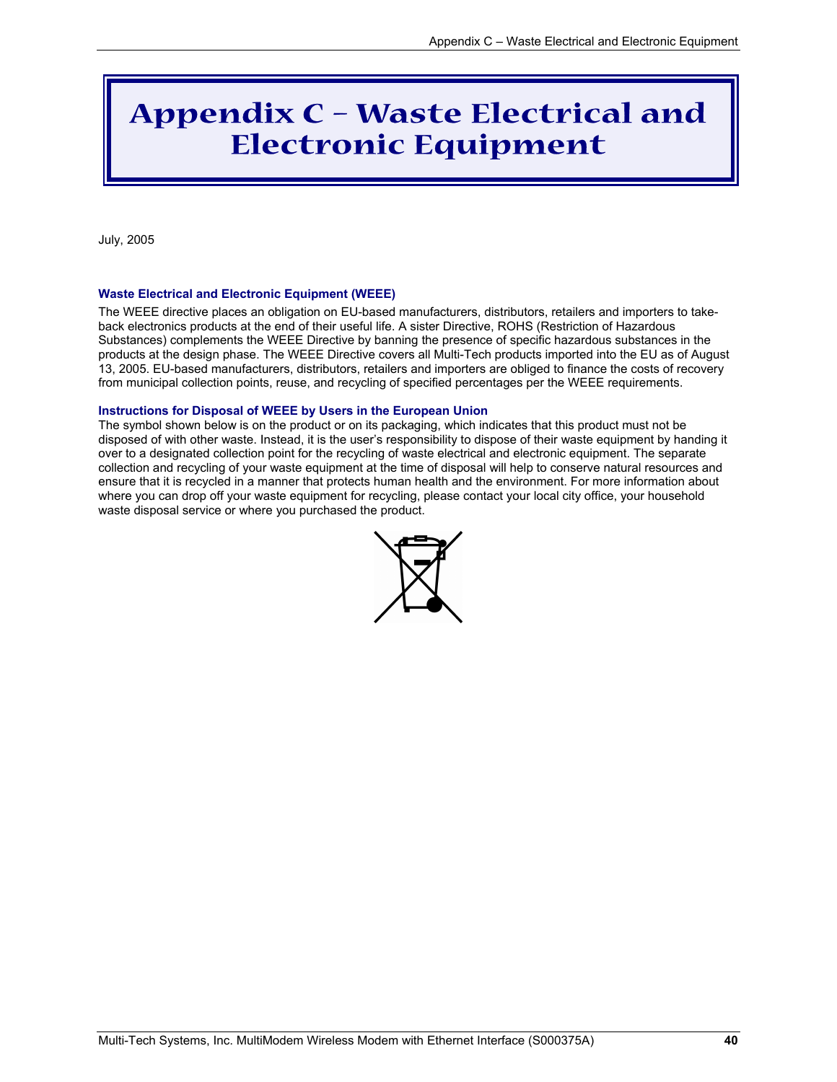## **Appendix C – Waste Electrical and Electronic Equipment**

July, 2005

#### **Waste Electrical and Electronic Equipment (WEEE)**

The WEEE directive places an obligation on EU-based manufacturers, distributors, retailers and importers to takeback electronics products at the end of their useful life. A sister Directive, ROHS (Restriction of Hazardous Substances) complements the WEEE Directive by banning the presence of specific hazardous substances in the products at the design phase. The WEEE Directive covers all Multi-Tech products imported into the EU as of August 13, 2005. EU-based manufacturers, distributors, retailers and importers are obliged to finance the costs of recovery from municipal collection points, reuse, and recycling of specified percentages per the WEEE requirements.

#### **Instructions for Disposal of WEEE by Users in the European Union**

The symbol shown below is on the product or on its packaging, which indicates that this product must not be disposed of with other waste. Instead, it is the user's responsibility to dispose of their waste equipment by handing it over to a designated collection point for the recycling of waste electrical and electronic equipment. The separate collection and recycling of your waste equipment at the time of disposal will help to conserve natural resources and ensure that it is recycled in a manner that protects human health and the environment. For more information about where you can drop off your waste equipment for recycling, please contact your local city office, your household waste disposal service or where you purchased the product.

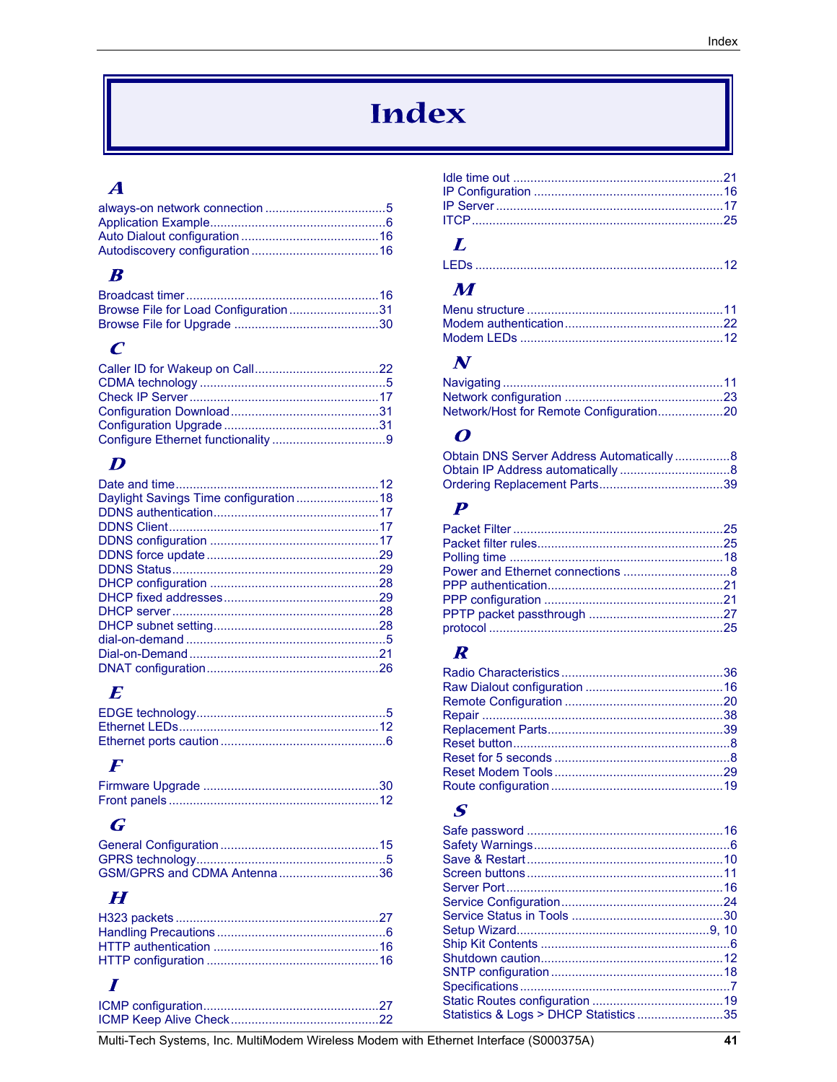## **Index**

### $\boldsymbol{A}$

### $\boldsymbol{B}$

| Browse File for Load Configuration31 |  |
|--------------------------------------|--|
|                                      |  |

### $\boldsymbol{C}$

### $\boldsymbol{D}$

### $\boldsymbol{E}$

### $\boldsymbol{F}$

### $\boldsymbol{G}$

| GSM/GPRS and CDMA Antenna36 |  |
|-----------------------------|--|

### $\boldsymbol{H}$

### $\boldsymbol{I}$

### $\boldsymbol{L}$

### $\boldsymbol{M}$

### $\boldsymbol{N}$

### $\boldsymbol{o}$

| Obtain DNS Server Address Automatically8 |  |
|------------------------------------------|--|
|                                          |  |
|                                          |  |

### $\boldsymbol{P}$

### $\boldsymbol{R}$

### $\boldsymbol{S}$

| Statistics & Logs > DHCP Statistics35 |  |
|---------------------------------------|--|
|                                       |  |